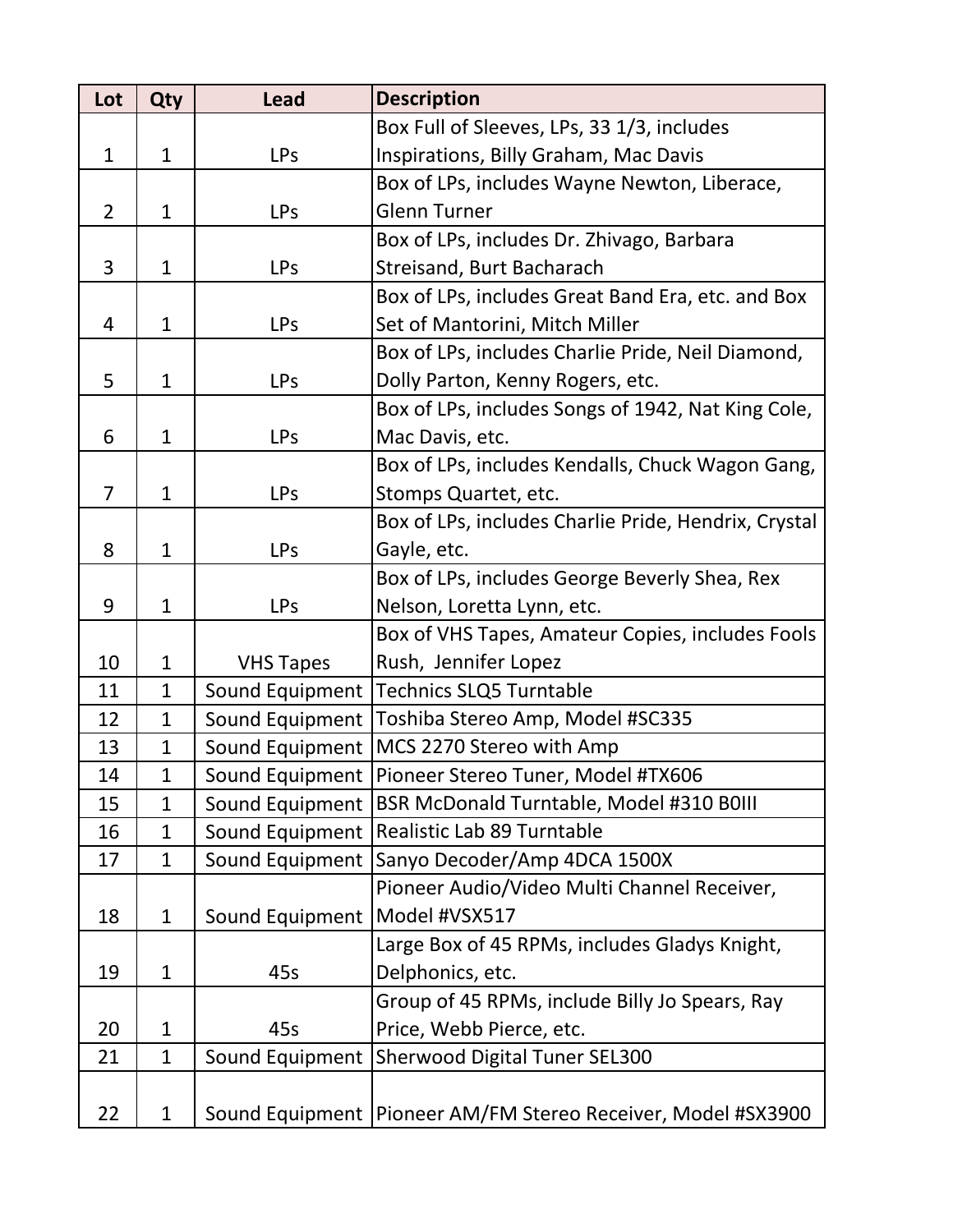| Lot            | Qty          | <b>Lead</b>      | <b>Description</b>                                             |
|----------------|--------------|------------------|----------------------------------------------------------------|
|                |              |                  | Box Full of Sleeves, LPs, 33 1/3, includes                     |
| $\mathbf{1}$   | $\mathbf{1}$ | <b>LPs</b>       | Inspirations, Billy Graham, Mac Davis                          |
|                |              |                  | Box of LPs, includes Wayne Newton, Liberace,                   |
| $\overline{2}$ | $\mathbf{1}$ | <b>LPs</b>       | <b>Glenn Turner</b>                                            |
|                |              |                  | Box of LPs, includes Dr. Zhivago, Barbara                      |
| 3              | $\mathbf{1}$ | <b>LPs</b>       | Streisand, Burt Bacharach                                      |
|                |              |                  | Box of LPs, includes Great Band Era, etc. and Box              |
| 4              | $\mathbf{1}$ | <b>LPs</b>       | Set of Mantorini, Mitch Miller                                 |
|                |              |                  | Box of LPs, includes Charlie Pride, Neil Diamond,              |
| 5              | $\mathbf{1}$ | <b>LPs</b>       | Dolly Parton, Kenny Rogers, etc.                               |
|                |              |                  | Box of LPs, includes Songs of 1942, Nat King Cole,             |
| 6              | $\mathbf{1}$ | <b>LPs</b>       | Mac Davis, etc.                                                |
|                |              |                  | Box of LPs, includes Kendalls, Chuck Wagon Gang,               |
| $\overline{7}$ | $\mathbf{1}$ | <b>LPs</b>       | Stomps Quartet, etc.                                           |
|                |              |                  | Box of LPs, includes Charlie Pride, Hendrix, Crystal           |
| 8              | $\mathbf{1}$ | <b>LPs</b>       | Gayle, etc.                                                    |
|                |              |                  | Box of LPs, includes George Beverly Shea, Rex                  |
| 9              | $\mathbf{1}$ | <b>LPs</b>       | Nelson, Loretta Lynn, etc.                                     |
|                |              |                  | Box of VHS Tapes, Amateur Copies, includes Fools               |
| 10             | $\mathbf{1}$ | <b>VHS Tapes</b> | Rush, Jennifer Lopez                                           |
| 11             | $\mathbf{1}$ | Sound Equipment  | <b>Technics SLQ5 Turntable</b>                                 |
| 12             | $\mathbf{1}$ | Sound Equipment  | Toshiba Stereo Amp, Model #SC335                               |
| 13             | $\mathbf{1}$ | Sound Equipment  | MCS 2270 Stereo with Amp                                       |
| 14             | $\mathbf{1}$ | Sound Equipment  | Pioneer Stereo Tuner, Model #TX606                             |
| 15             | $\mathbf 1$  |                  | Sound Equipment   BSR McDonald Turntable, Model #310 B0III     |
| 16             | $\mathbf 1$  | Sound Equipment  | Realistic Lab 89 Turntable                                     |
| 17             | $\mathbf{1}$ | Sound Equipment  | Sanyo Decoder/Amp 4DCA 1500X                                   |
|                |              |                  | Pioneer Audio/Video Multi Channel Receiver,                    |
| 18             | $\mathbf{1}$ | Sound Equipment  | Model #VSX517                                                  |
|                |              |                  | Large Box of 45 RPMs, includes Gladys Knight,                  |
| 19             | $\mathbf{1}$ | 45s              | Delphonics, etc.                                               |
|                |              |                  | Group of 45 RPMs, include Billy Jo Spears, Ray                 |
| 20             | $\mathbf{1}$ | 45s              | Price, Webb Pierce, etc.                                       |
| 21             | $\mathbf{1}$ | Sound Equipment  | <b>Sherwood Digital Tuner SEL300</b>                           |
|                |              |                  |                                                                |
| 22             | $\mathbf{1}$ |                  | Sound Equipment   Pioneer AM/FM Stereo Receiver, Model #SX3900 |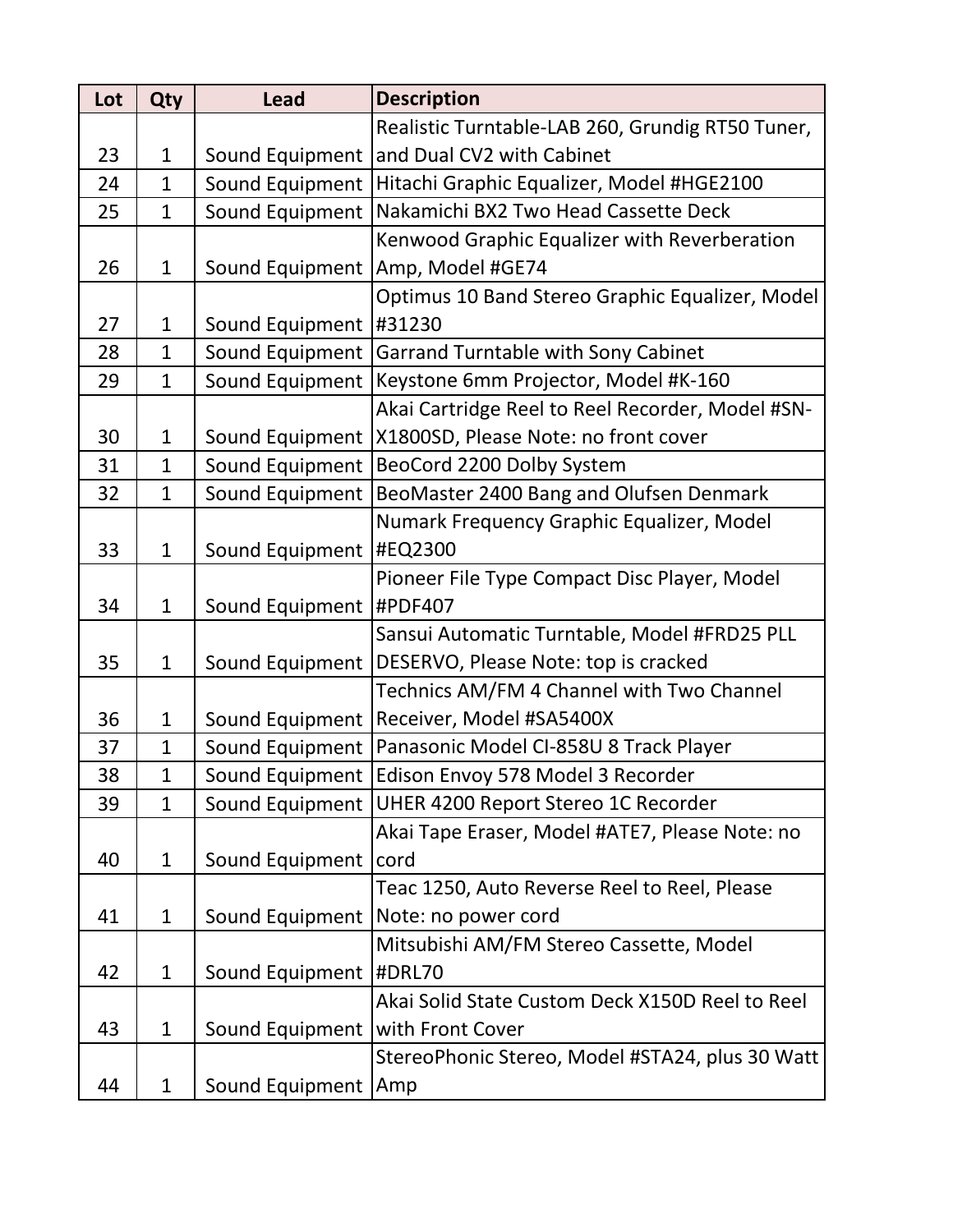| Lot | Qty          | <b>Lead</b>             | <b>Description</b>                                       |
|-----|--------------|-------------------------|----------------------------------------------------------|
|     |              |                         | Realistic Turntable-LAB 260, Grundig RT50 Tuner,         |
| 23  | $\mathbf{1}$ | Sound Equipment         | and Dual CV2 with Cabinet                                |
| 24  | $\mathbf{1}$ | Sound Equipment         | Hitachi Graphic Equalizer, Model #HGE2100                |
| 25  | $\mathbf{1}$ | Sound Equipment         | Nakamichi BX2 Two Head Cassette Deck                     |
|     |              |                         | Kenwood Graphic Equalizer with Reverberation             |
| 26  | $\mathbf{1}$ |                         | Sound Equipment   Amp, Model #GE74                       |
|     |              |                         | Optimus 10 Band Stereo Graphic Equalizer, Model          |
| 27  | $\mathbf{1}$ | Sound Equipment  #31230 |                                                          |
| 28  | $\mathbf{1}$ | Sound Equipment         | <b>Garrand Turntable with Sony Cabinet</b>               |
| 29  | $\mathbf{1}$ | Sound Equipment         | Keystone 6mm Projector, Model #K-160                     |
|     |              |                         | Akai Cartridge Reel to Reel Recorder, Model #SN-         |
| 30  | $\mathbf 1$  |                         | Sound Equipment   X1800SD, Please Note: no front cover   |
| 31  | $\mathbf{1}$ | Sound Equipment         | BeoCord 2200 Dolby System                                |
| 32  | $\mathbf{1}$ | Sound Equipment         | BeoMaster 2400 Bang and Olufsen Denmark                  |
|     |              |                         | Numark Frequency Graphic Equalizer, Model                |
| 33  | $\mathbf 1$  | Sound Equipment         | <b>#EQ2300</b>                                           |
|     |              |                         | Pioneer File Type Compact Disc Player, Model             |
| 34  | $\mathbf{1}$ | Sound Equipment         | <b>#PDF407</b>                                           |
|     |              |                         | Sansui Automatic Turntable, Model #FRD25 PLL             |
| 35  | $\mathbf{1}$ |                         | Sound Equipment   DESERVO, Please Note: top is cracked   |
|     |              |                         | Technics AM/FM 4 Channel with Two Channel                |
| 36  | $\mathbf{1}$ |                         | Sound Equipment   Receiver, Model #SA5400X               |
| 37  | $\mathbf{1}$ |                         | Sound Equipment   Panasonic Model CI-858U 8 Track Player |
| 38  | $\mathbf{1}$ |                         | Sound Equipment   Edison Envoy 578 Model 3 Recorder      |
| 39  | $\mathbf{1}$ |                         | Sound Equipment   UHER 4200 Report Stereo 1C Recorder    |
|     |              |                         | Akai Tape Eraser, Model #ATE7, Please Note: no           |
| 40  | $\mathbf{1}$ | Sound Equipment         | cord                                                     |
|     |              |                         | Teac 1250, Auto Reverse Reel to Reel, Please             |
| 41  | $\mathbf{1}$ | Sound Equipment         | Note: no power cord                                      |
|     |              |                         | Mitsubishi AM/FM Stereo Cassette, Model                  |
| 42  | $\mathbf{1}$ | Sound Equipment         | #DRL70                                                   |
|     |              |                         | Akai Solid State Custom Deck X150D Reel to Reel          |
| 43  | $\mathbf{1}$ | Sound Equipment         | with Front Cover                                         |
|     |              |                         | StereoPhonic Stereo, Model #STA24, plus 30 Watt          |
| 44  | $\mathbf{1}$ | Sound Equipment         | Amp                                                      |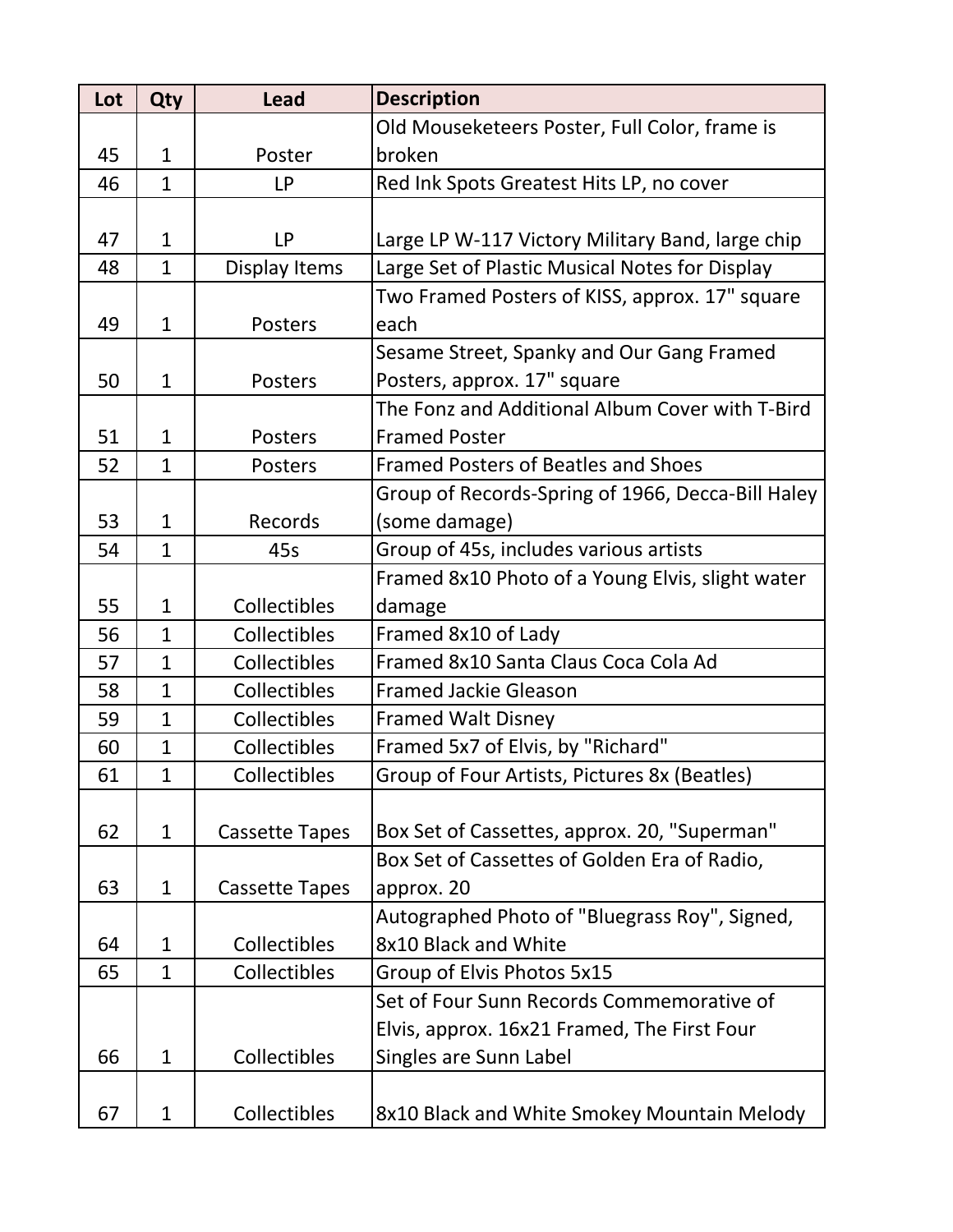| Lot | Qty          | <b>Lead</b>           | <b>Description</b>                                |
|-----|--------------|-----------------------|---------------------------------------------------|
|     |              |                       | Old Mouseketeers Poster, Full Color, frame is     |
| 45  | $\mathbf{1}$ | Poster                | broken                                            |
| 46  | $\mathbf{1}$ | <b>LP</b>             | Red Ink Spots Greatest Hits LP, no cover          |
|     |              |                       |                                                   |
| 47  | $\mathbf{1}$ | LP                    | Large LP W-117 Victory Military Band, large chip  |
| 48  | $\mathbf{1}$ | Display Items         | Large Set of Plastic Musical Notes for Display    |
|     |              |                       | Two Framed Posters of KISS, approx. 17" square    |
| 49  | $\mathbf{1}$ | Posters               | each                                              |
|     |              |                       | Sesame Street, Spanky and Our Gang Framed         |
| 50  | $\mathbf{1}$ | Posters               | Posters, approx. 17" square                       |
|     |              |                       | The Fonz and Additional Album Cover with T-Bird   |
| 51  | $\mathbf{1}$ | Posters               | <b>Framed Poster</b>                              |
| 52  | $\mathbf{1}$ | Posters               | <b>Framed Posters of Beatles and Shoes</b>        |
|     |              |                       | Group of Records-Spring of 1966, Decca-Bill Haley |
| 53  | $\mathbf{1}$ | Records               | (some damage)                                     |
| 54  | $\mathbf{1}$ | 45s                   | Group of 45s, includes various artists            |
|     |              |                       | Framed 8x10 Photo of a Young Elvis, slight water  |
| 55  | $\mathbf{1}$ | Collectibles          | damage                                            |
| 56  | $\mathbf{1}$ | Collectibles          | Framed 8x10 of Lady                               |
| 57  | $\mathbf{1}$ | Collectibles          | Framed 8x10 Santa Claus Coca Cola Ad              |
| 58  | $\mathbf{1}$ | Collectibles          | <b>Framed Jackie Gleason</b>                      |
| 59  | $\mathbf{1}$ | Collectibles          | <b>Framed Walt Disney</b>                         |
| 60  | $\mathbf{1}$ | Collectibles          | Framed 5x7 of Elvis, by "Richard"                 |
| 61  | 1            | Collectibles          | Group of Four Artists, Pictures 8x (Beatles)      |
|     |              |                       |                                                   |
| 62  | $\mathbf{1}$ | <b>Cassette Tapes</b> | Box Set of Cassettes, approx. 20, "Superman"      |
|     |              |                       | Box Set of Cassettes of Golden Era of Radio,      |
| 63  | $\mathbf{1}$ | <b>Cassette Tapes</b> | approx. 20                                        |
|     |              |                       | Autographed Photo of "Bluegrass Roy", Signed,     |
| 64  | $\mathbf{1}$ | Collectibles          | 8x10 Black and White                              |
| 65  | $\mathbf{1}$ | Collectibles          | Group of Elvis Photos 5x15                        |
|     |              |                       | Set of Four Sunn Records Commemorative of         |
|     |              |                       | Elvis, approx. 16x21 Framed, The First Four       |
| 66  | $\mathbf 1$  | Collectibles          | Singles are Sunn Label                            |
|     |              |                       |                                                   |
| 67  | $\mathbf 1$  | Collectibles          | 8x10 Black and White Smokey Mountain Melody       |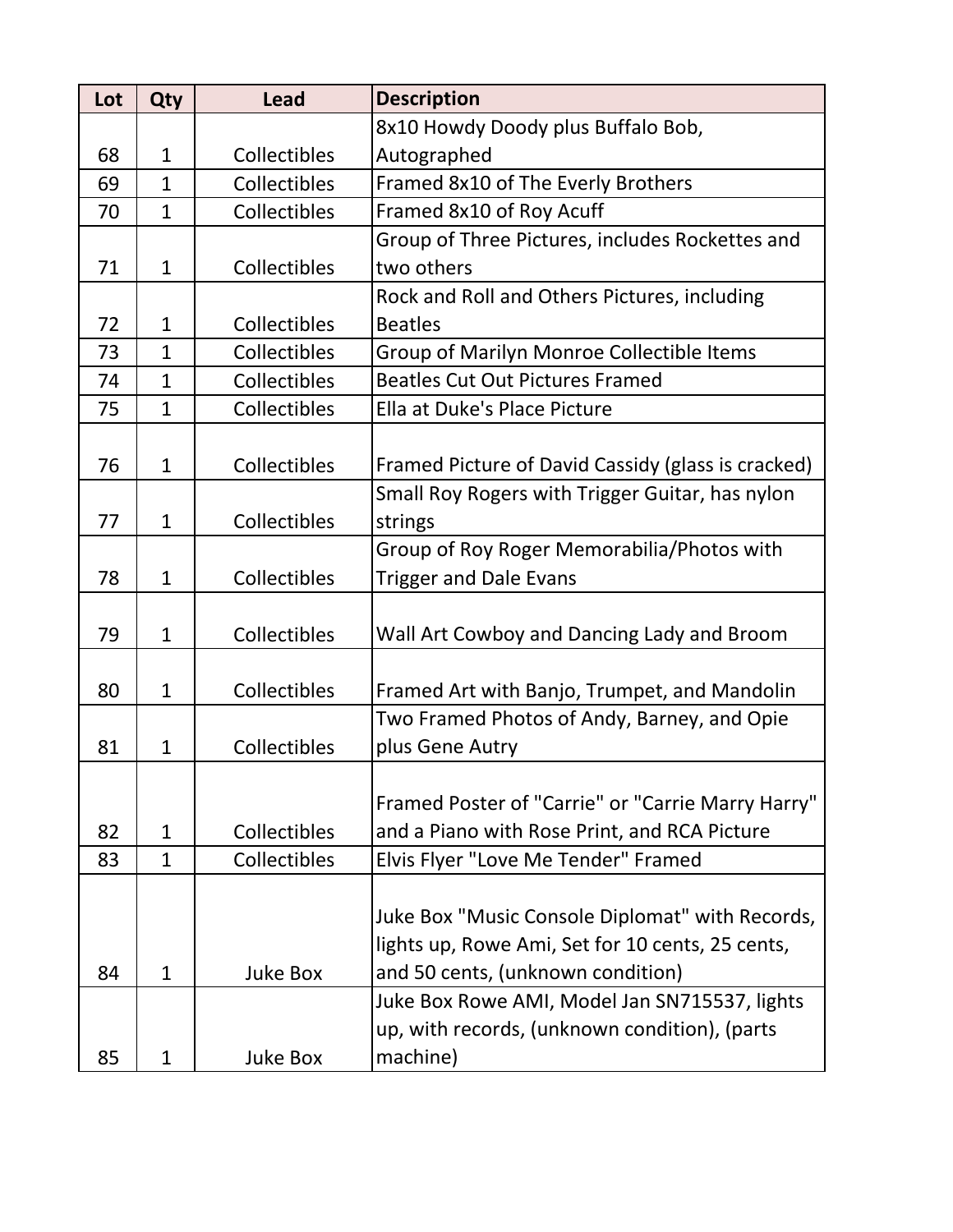| Lot | Qty          | <b>Lead</b>  | <b>Description</b>                                 |
|-----|--------------|--------------|----------------------------------------------------|
|     |              |              | 8x10 Howdy Doody plus Buffalo Bob,                 |
| 68  | $\mathbf{1}$ | Collectibles | Autographed                                        |
| 69  | $\mathbf{1}$ | Collectibles | Framed 8x10 of The Everly Brothers                 |
| 70  | $\mathbf{1}$ | Collectibles | Framed 8x10 of Roy Acuff                           |
|     |              |              | Group of Three Pictures, includes Rockettes and    |
| 71  | $\mathbf{1}$ | Collectibles | two others                                         |
|     |              |              | Rock and Roll and Others Pictures, including       |
| 72  | $\mathbf{1}$ | Collectibles | <b>Beatles</b>                                     |
| 73  | $\mathbf{1}$ | Collectibles | Group of Marilyn Monroe Collectible Items          |
| 74  | $\mathbf{1}$ | Collectibles | <b>Beatles Cut Out Pictures Framed</b>             |
| 75  | $\mathbf{1}$ | Collectibles | Ella at Duke's Place Picture                       |
|     |              |              |                                                    |
| 76  | $\mathbf{1}$ | Collectibles | Framed Picture of David Cassidy (glass is cracked) |
|     |              |              | Small Roy Rogers with Trigger Guitar, has nylon    |
| 77  | $\mathbf{1}$ | Collectibles | strings                                            |
|     |              |              | Group of Roy Roger Memorabilia/Photos with         |
| 78  | $\mathbf{1}$ | Collectibles | <b>Trigger and Dale Evans</b>                      |
|     |              |              |                                                    |
| 79  | $\mathbf{1}$ | Collectibles | Wall Art Cowboy and Dancing Lady and Broom         |
|     |              |              |                                                    |
| 80  | $\mathbf{1}$ | Collectibles | Framed Art with Banjo, Trumpet, and Mandolin       |
|     |              |              | Two Framed Photos of Andy, Barney, and Opie        |
| 81  | $\mathbf{1}$ | Collectibles | plus Gene Autry                                    |
|     |              |              |                                                    |
|     |              |              | Framed Poster of "Carrie" or "Carrie Marry Harry"  |
| 82  | $\mathbf{1}$ | Collectibles | and a Piano with Rose Print, and RCA Picture       |
| 83  | $\mathbf{1}$ | Collectibles | Elvis Flyer "Love Me Tender" Framed                |
|     |              |              |                                                    |
|     |              |              | Juke Box "Music Console Diplomat" with Records,    |
|     |              |              | lights up, Rowe Ami, Set for 10 cents, 25 cents,   |
| 84  | $\mathbf{1}$ | Juke Box     | and 50 cents, (unknown condition)                  |
|     |              |              | Juke Box Rowe AMI, Model Jan SN715537, lights      |
|     |              |              | up, with records, (unknown condition), (parts      |
| 85  | $\mathbf{1}$ | Juke Box     | machine)                                           |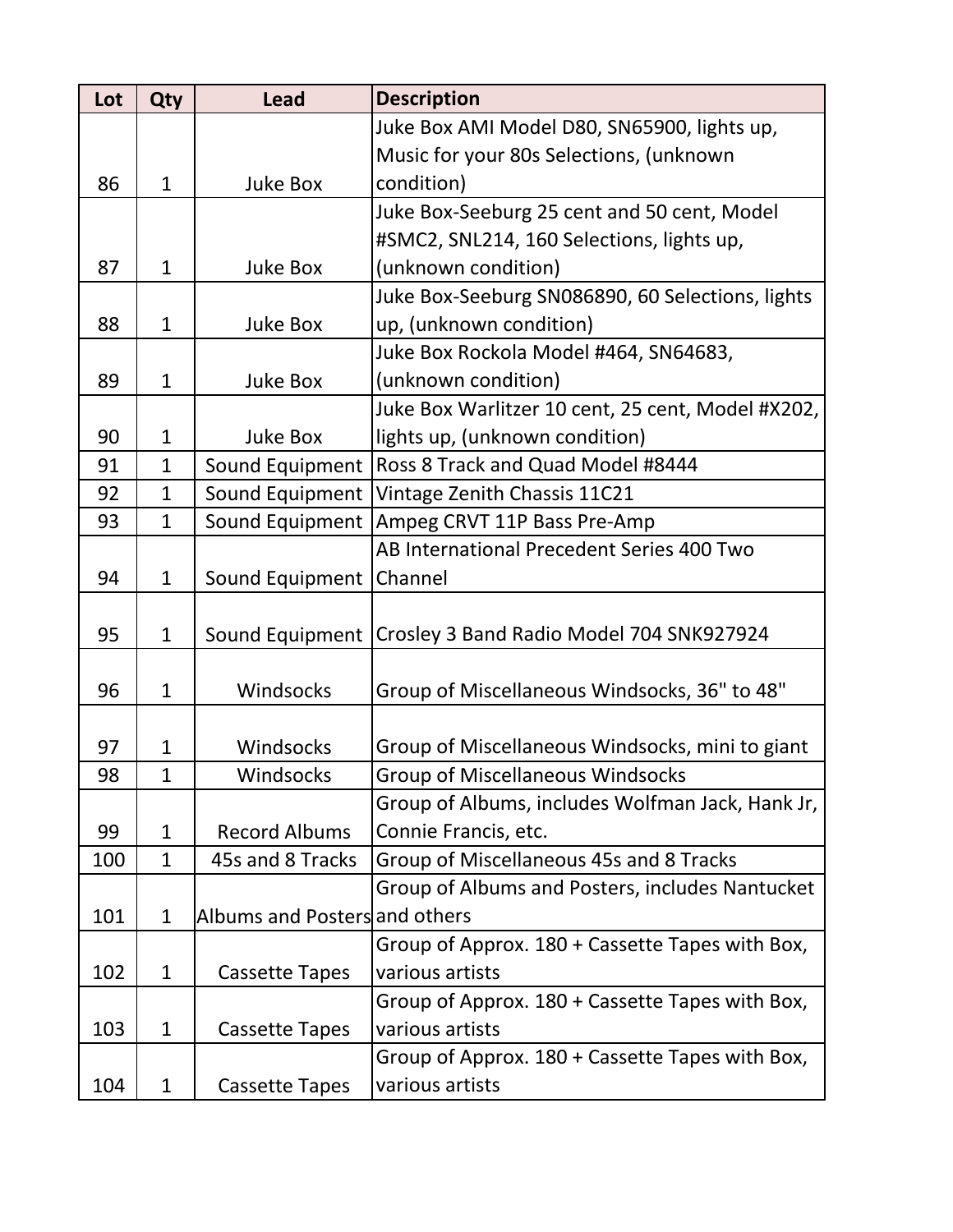| Lot | Qty          | <b>Lead</b>                   | <b>Description</b>                                         |
|-----|--------------|-------------------------------|------------------------------------------------------------|
|     |              |                               | Juke Box AMI Model D80, SN65900, lights up,                |
|     |              |                               | Music for your 80s Selections, (unknown                    |
| 86  | $\mathbf{1}$ | <b>Juke Box</b>               | condition)                                                 |
|     |              |                               | Juke Box-Seeburg 25 cent and 50 cent, Model                |
|     |              |                               | #SMC2, SNL214, 160 Selections, lights up,                  |
| 87  | $\mathbf{1}$ | <b>Juke Box</b>               | (unknown condition)                                        |
|     |              |                               | Juke Box-Seeburg SN086890, 60 Selections, lights           |
| 88  | $\mathbf 1$  | <b>Juke Box</b>               | up, (unknown condition)                                    |
|     |              |                               | Juke Box Rockola Model #464, SN64683,                      |
| 89  | $\mathbf{1}$ | <b>Juke Box</b>               | (unknown condition)                                        |
|     |              |                               | Juke Box Warlitzer 10 cent, 25 cent, Model #X202,          |
| 90  | $\mathbf{1}$ | <b>Juke Box</b>               | lights up, (unknown condition)                             |
| 91  | $\mathbf{1}$ | Sound Equipment               | Ross 8 Track and Quad Model #8444                          |
| 92  | $\mathbf{1}$ | Sound Equipment               | Vintage Zenith Chassis 11C21                               |
| 93  | $\mathbf{1}$ | Sound Equipment               | Ampeg CRVT 11P Bass Pre-Amp                                |
|     |              |                               | AB International Precedent Series 400 Two                  |
| 94  | $\mathbf{1}$ | Sound Equipment               | Channel                                                    |
|     |              |                               |                                                            |
| 95  | $\mathbf{1}$ |                               | Sound Equipment   Crosley 3 Band Radio Model 704 SNK927924 |
|     |              |                               |                                                            |
| 96  | $\mathbf{1}$ | Windsocks                     | Group of Miscellaneous Windsocks, 36" to 48"               |
|     |              |                               |                                                            |
| 97  | $\mathbf{1}$ | Windsocks                     | Group of Miscellaneous Windsocks, mini to giant            |
| 98  | 1            | Windsocks                     | <b>Group of Miscellaneous Windsocks</b>                    |
|     |              |                               | Group of Albums, includes Wolfman Jack, Hank Jr,           |
| 99  | $\mathbf{1}$ | <b>Record Albums</b>          | Connie Francis, etc.                                       |
| 100 | $\mathbf{1}$ | 45s and 8 Tracks              | Group of Miscellaneous 45s and 8 Tracks                    |
|     |              |                               | Group of Albums and Posters, includes Nantucket            |
| 101 | $\mathbf{1}$ | Albums and Posters and others |                                                            |
|     |              |                               | Group of Approx. 180 + Cassette Tapes with Box,            |
| 102 | $\mathbf{1}$ | <b>Cassette Tapes</b>         | various artists                                            |
|     |              |                               | Group of Approx. 180 + Cassette Tapes with Box,            |
| 103 | $\mathbf{1}$ | <b>Cassette Tapes</b>         | various artists                                            |
|     |              |                               | Group of Approx. 180 + Cassette Tapes with Box,            |
| 104 | $\mathbf{1}$ | <b>Cassette Tapes</b>         | various artists                                            |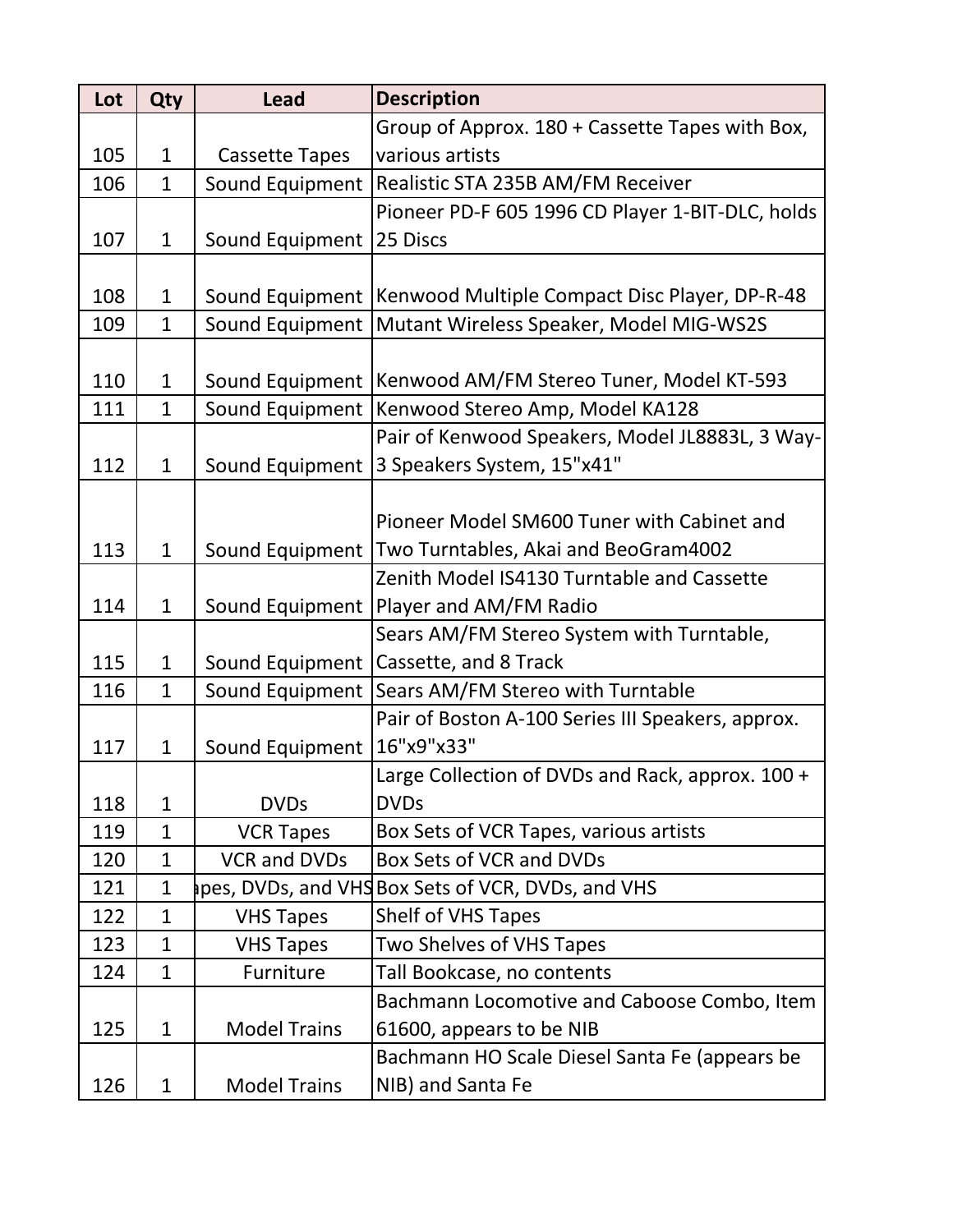| Lot | Qty          | <b>Lead</b>           | <b>Description</b>                                 |
|-----|--------------|-----------------------|----------------------------------------------------|
|     |              |                       | Group of Approx. 180 + Cassette Tapes with Box,    |
| 105 | $\mathbf{1}$ | <b>Cassette Tapes</b> | various artists                                    |
| 106 | $\mathbf{1}$ | Sound Equipment       | Realistic STA 235B AM/FM Receiver                  |
|     |              |                       | Pioneer PD-F 605 1996 CD Player 1-BIT-DLC, holds   |
| 107 | $\mathbf{1}$ | Sound Equipment       | 25 Discs                                           |
|     |              |                       |                                                    |
| 108 | $\mathbf{1}$ | Sound Equipment       | Kenwood Multiple Compact Disc Player, DP-R-48      |
| 109 | $\mathbf{1}$ | Sound Equipment       | Mutant Wireless Speaker, Model MIG-WS2S            |
|     |              |                       |                                                    |
| 110 | $\mathbf{1}$ | Sound Equipment       | Kenwood AM/FM Stereo Tuner, Model KT-593           |
| 111 | $\mathbf{1}$ | Sound Equipment       | Kenwood Stereo Amp, Model KA128                    |
|     |              |                       | Pair of Kenwood Speakers, Model JL8883L, 3 Way-    |
| 112 | $\mathbf{1}$ | Sound Equipment       | 3 Speakers System, 15"x41"                         |
|     |              |                       |                                                    |
|     |              |                       | Pioneer Model SM600 Tuner with Cabinet and         |
| 113 | $\mathbf{1}$ | Sound Equipment       | Two Turntables, Akai and BeoGram4002               |
|     |              |                       | Zenith Model IS4130 Turntable and Cassette         |
| 114 | $\mathbf{1}$ | Sound Equipment       | Player and AM/FM Radio                             |
|     |              |                       | Sears AM/FM Stereo System with Turntable,          |
| 115 | $\mathbf{1}$ | Sound Equipment       | Cassette, and 8 Track                              |
| 116 | $\mathbf{1}$ | Sound Equipment       | Sears AM/FM Stereo with Turntable                  |
|     |              |                       | Pair of Boston A-100 Series III Speakers, approx.  |
| 117 | $\mathbf{1}$ | Sound Equipment       | 16"x9"x33"                                         |
|     |              |                       | Large Collection of DVDs and Rack, approx. 100 +   |
| 118 | $\mathbf{1}$ | <b>DVDs</b>           | <b>DVDs</b>                                        |
| 119 | $\mathbf{1}$ | <b>VCR Tapes</b>      | Box Sets of VCR Tapes, various artists             |
| 120 | $\mathbf{1}$ | <b>VCR and DVDs</b>   | Box Sets of VCR and DVDs                           |
| 121 | $\mathbf 1$  |                       | apes, DVDs, and VHS Box Sets of VCR, DVDs, and VHS |
| 122 | $\mathbf{1}$ | <b>VHS Tapes</b>      | <b>Shelf of VHS Tapes</b>                          |
| 123 | $\mathbf{1}$ | <b>VHS Tapes</b>      | Two Shelves of VHS Tapes                           |
| 124 | $\mathbf{1}$ | Furniture             | Tall Bookcase, no contents                         |
|     |              |                       | Bachmann Locomotive and Caboose Combo, Item        |
| 125 | $\mathbf{1}$ | <b>Model Trains</b>   | 61600, appears to be NIB                           |
|     |              |                       | Bachmann HO Scale Diesel Santa Fe (appears be      |
| 126 | $\mathbf{1}$ | <b>Model Trains</b>   | NIB) and Santa Fe                                  |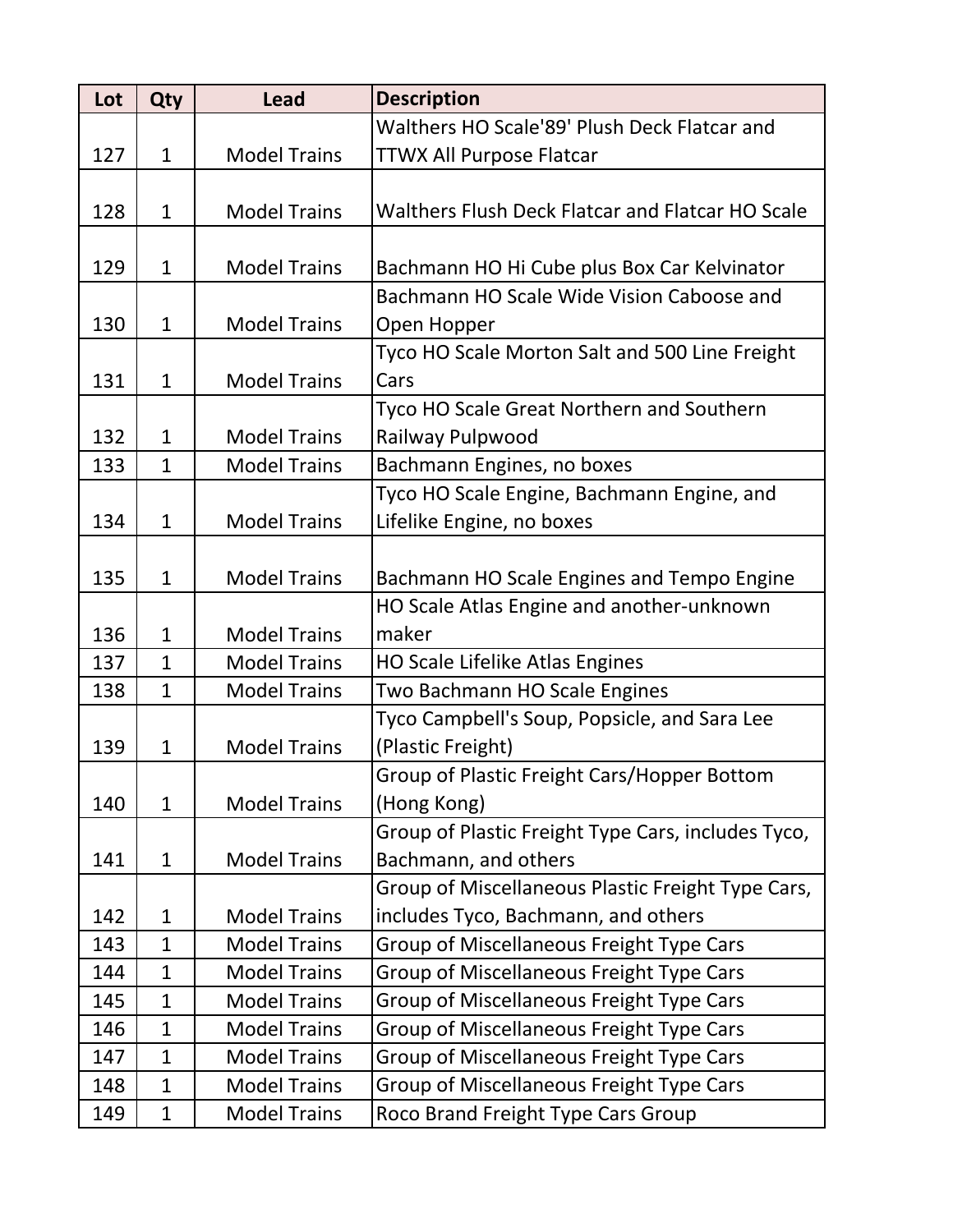| Lot | Qty          | <b>Lead</b>         | <b>Description</b>                                 |
|-----|--------------|---------------------|----------------------------------------------------|
|     |              |                     | Walthers HO Scale'89' Plush Deck Flatcar and       |
| 127 | $\mathbf{1}$ | <b>Model Trains</b> | <b>TTWX All Purpose Flatcar</b>                    |
|     |              |                     |                                                    |
| 128 | $\mathbf{1}$ | <b>Model Trains</b> | Walthers Flush Deck Flatcar and Flatcar HO Scale   |
|     |              |                     |                                                    |
| 129 | $\mathbf{1}$ | <b>Model Trains</b> | Bachmann HO Hi Cube plus Box Car Kelvinator        |
|     |              |                     | Bachmann HO Scale Wide Vision Caboose and          |
| 130 | $\mathbf 1$  | <b>Model Trains</b> | Open Hopper                                        |
|     |              |                     | Tyco HO Scale Morton Salt and 500 Line Freight     |
| 131 | $\mathbf{1}$ | <b>Model Trains</b> | Cars                                               |
|     |              |                     | <b>Tyco HO Scale Great Northern and Southern</b>   |
| 132 | $\mathbf{1}$ | <b>Model Trains</b> | Railway Pulpwood                                   |
| 133 | $\mathbf{1}$ | <b>Model Trains</b> | Bachmann Engines, no boxes                         |
|     |              |                     | Tyco HO Scale Engine, Bachmann Engine, and         |
| 134 | $\mathbf{1}$ | <b>Model Trains</b> | Lifelike Engine, no boxes                          |
|     |              |                     |                                                    |
| 135 | $\mathbf{1}$ | <b>Model Trains</b> | Bachmann HO Scale Engines and Tempo Engine         |
|     |              |                     | HO Scale Atlas Engine and another-unknown          |
| 136 | $\mathbf{1}$ | <b>Model Trains</b> | maker                                              |
| 137 | $\mathbf{1}$ | <b>Model Trains</b> | <b>HO Scale Lifelike Atlas Engines</b>             |
| 138 | $\mathbf{1}$ | <b>Model Trains</b> | Two Bachmann HO Scale Engines                      |
|     |              |                     | Tyco Campbell's Soup, Popsicle, and Sara Lee       |
| 139 | $\mathbf{1}$ | <b>Model Trains</b> | (Plastic Freight)                                  |
|     |              |                     | Group of Plastic Freight Cars/Hopper Bottom        |
| 140 | $\mathbf{1}$ | <b>Model Trains</b> | (Hong Kong)                                        |
|     |              |                     | Group of Plastic Freight Type Cars, includes Tyco, |
| 141 | $\mathbf{1}$ | <b>Model Trains</b> | Bachmann, and others                               |
|     |              |                     | Group of Miscellaneous Plastic Freight Type Cars,  |
| 142 | $\mathbf{1}$ | <b>Model Trains</b> | includes Tyco, Bachmann, and others                |
| 143 | $\mathbf{1}$ | <b>Model Trains</b> | <b>Group of Miscellaneous Freight Type Cars</b>    |
| 144 | $\mathbf{1}$ | <b>Model Trains</b> | Group of Miscellaneous Freight Type Cars           |
| 145 | $\mathbf{1}$ | <b>Model Trains</b> | <b>Group of Miscellaneous Freight Type Cars</b>    |
| 146 | $\mathbf{1}$ | <b>Model Trains</b> | <b>Group of Miscellaneous Freight Type Cars</b>    |
| 147 | $\mathbf{1}$ | <b>Model Trains</b> | <b>Group of Miscellaneous Freight Type Cars</b>    |
| 148 | $\mathbf{1}$ | <b>Model Trains</b> | <b>Group of Miscellaneous Freight Type Cars</b>    |
| 149 | $\mathbf{1}$ | <b>Model Trains</b> | Roco Brand Freight Type Cars Group                 |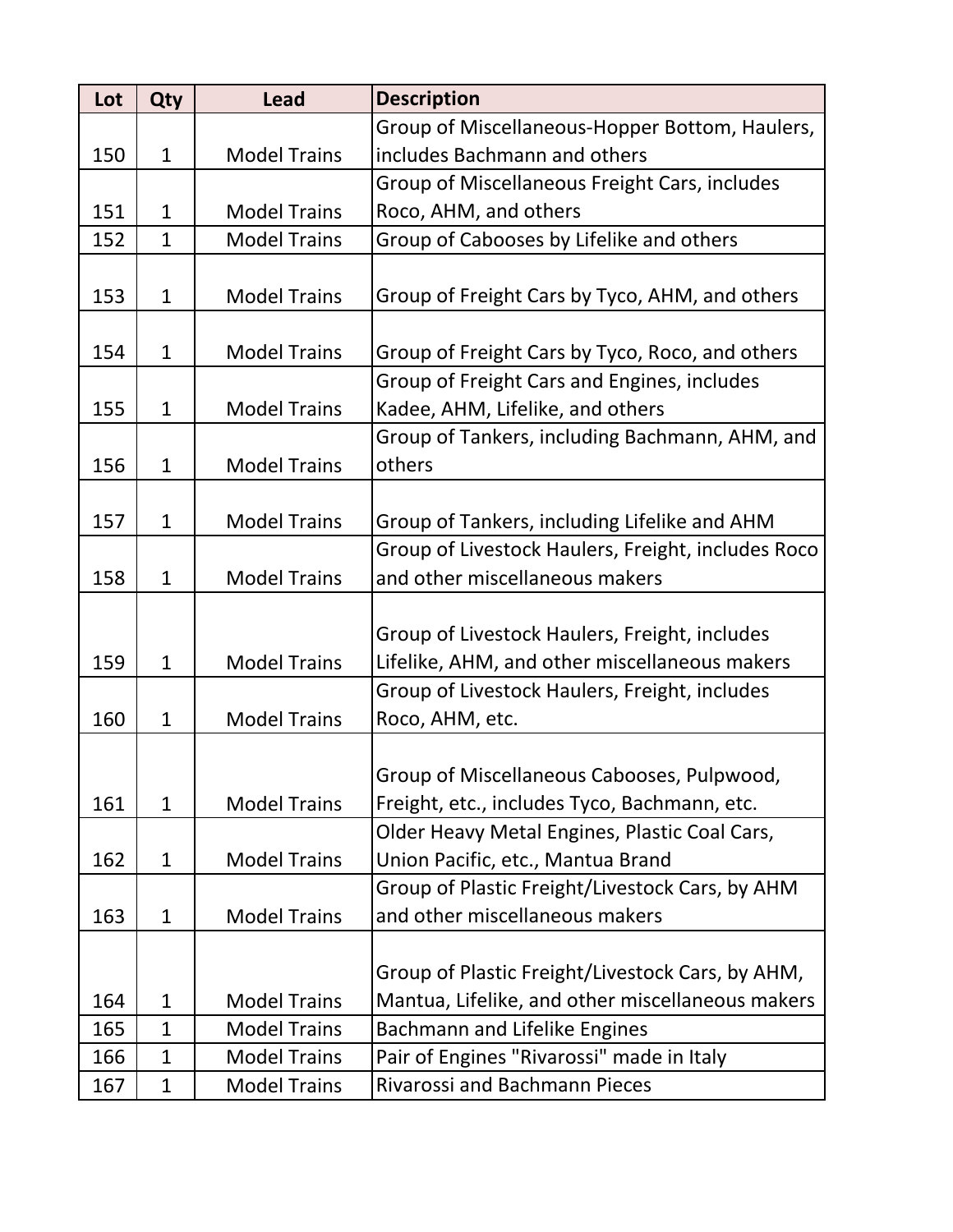| Lot | Qty          | <b>Lead</b>         | <b>Description</b>                                 |
|-----|--------------|---------------------|----------------------------------------------------|
|     |              |                     | Group of Miscellaneous-Hopper Bottom, Haulers,     |
| 150 | $\mathbf{1}$ | <b>Model Trains</b> | includes Bachmann and others                       |
|     |              |                     | Group of Miscellaneous Freight Cars, includes      |
| 151 | $\mathbf{1}$ | <b>Model Trains</b> | Roco, AHM, and others                              |
| 152 | $\mathbf{1}$ | <b>Model Trains</b> | Group of Cabooses by Lifelike and others           |
|     |              |                     |                                                    |
| 153 | $\mathbf{1}$ | <b>Model Trains</b> | Group of Freight Cars by Tyco, AHM, and others     |
|     |              |                     |                                                    |
| 154 | $\mathbf{1}$ | <b>Model Trains</b> | Group of Freight Cars by Tyco, Roco, and others    |
|     |              |                     | Group of Freight Cars and Engines, includes        |
| 155 | $\mathbf{1}$ | <b>Model Trains</b> | Kadee, AHM, Lifelike, and others                   |
|     |              |                     | Group of Tankers, including Bachmann, AHM, and     |
| 156 | $\mathbf{1}$ | <b>Model Trains</b> | others                                             |
|     |              |                     |                                                    |
| 157 | $\mathbf{1}$ | <b>Model Trains</b> | Group of Tankers, including Lifelike and AHM       |
|     |              |                     | Group of Livestock Haulers, Freight, includes Roco |
| 158 | $\mathbf{1}$ | <b>Model Trains</b> | and other miscellaneous makers                     |
|     |              |                     |                                                    |
|     |              |                     | Group of Livestock Haulers, Freight, includes      |
| 159 | $\mathbf{1}$ | <b>Model Trains</b> | Lifelike, AHM, and other miscellaneous makers      |
|     |              |                     | Group of Livestock Haulers, Freight, includes      |
| 160 | $\mathbf{1}$ | <b>Model Trains</b> | Roco, AHM, etc.                                    |
|     |              |                     |                                                    |
|     |              |                     | Group of Miscellaneous Cabooses, Pulpwood,         |
| 161 | $\mathbf{1}$ | <b>Model Trains</b> | Freight, etc., includes Tyco, Bachmann, etc.       |
|     |              |                     | Older Heavy Metal Engines, Plastic Coal Cars,      |
| 162 | $\mathbf 1$  | <b>Model Trains</b> | Union Pacific, etc., Mantua Brand                  |
|     |              |                     | Group of Plastic Freight/Livestock Cars, by AHM    |
| 163 | $\mathbf{1}$ | <b>Model Trains</b> | and other miscellaneous makers                     |
|     |              |                     |                                                    |
|     |              |                     | Group of Plastic Freight/Livestock Cars, by AHM,   |
| 164 | 1            | <b>Model Trains</b> | Mantua, Lifelike, and other miscellaneous makers   |
| 165 | $\mathbf{1}$ | <b>Model Trains</b> | Bachmann and Lifelike Engines                      |
| 166 | $\mathbf 1$  | <b>Model Trains</b> | Pair of Engines "Rivarossi" made in Italy          |
| 167 | $\mathbf{1}$ | <b>Model Trains</b> | <b>Rivarossi and Bachmann Pieces</b>               |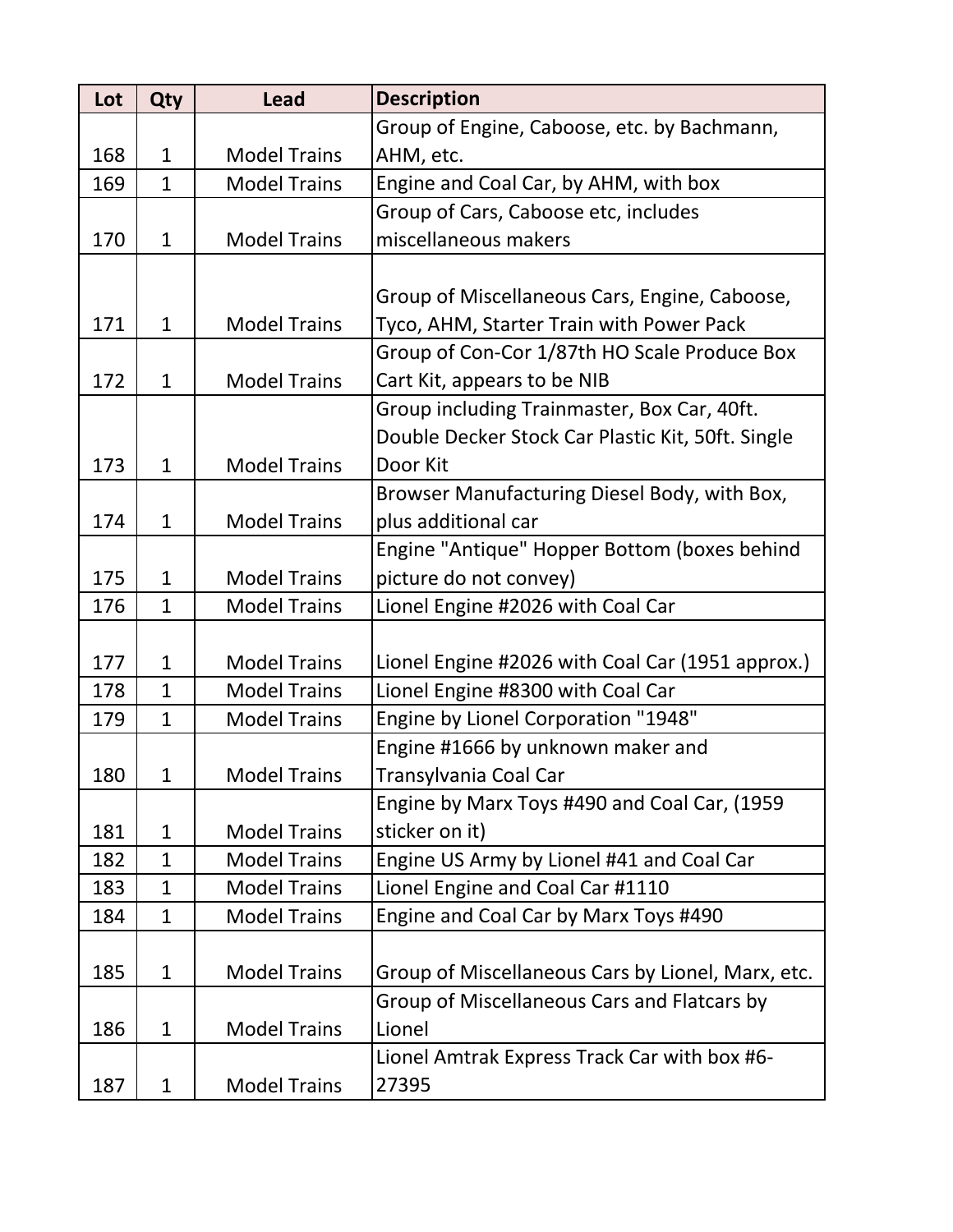| Lot | <b>Qty</b>   | <b>Lead</b>         | <b>Description</b>                                |
|-----|--------------|---------------------|---------------------------------------------------|
|     |              |                     | Group of Engine, Caboose, etc. by Bachmann,       |
| 168 | $\mathbf{1}$ | <b>Model Trains</b> | AHM, etc.                                         |
| 169 | $\mathbf{1}$ | <b>Model Trains</b> | Engine and Coal Car, by AHM, with box             |
|     |              |                     | Group of Cars, Caboose etc, includes              |
| 170 | $\mathbf{1}$ | <b>Model Trains</b> | miscellaneous makers                              |
|     |              |                     |                                                   |
|     |              |                     | Group of Miscellaneous Cars, Engine, Caboose,     |
| 171 | $\mathbf{1}$ | <b>Model Trains</b> | Tyco, AHM, Starter Train with Power Pack          |
|     |              |                     | Group of Con-Cor 1/87th HO Scale Produce Box      |
| 172 | $\mathbf{1}$ | <b>Model Trains</b> | Cart Kit, appears to be NIB                       |
|     |              |                     | Group including Trainmaster, Box Car, 40ft.       |
|     |              |                     | Double Decker Stock Car Plastic Kit, 50ft. Single |
| 173 | $\mathbf{1}$ | <b>Model Trains</b> | Door Kit                                          |
|     |              |                     | Browser Manufacturing Diesel Body, with Box,      |
| 174 | $\mathbf{1}$ | <b>Model Trains</b> | plus additional car                               |
|     |              |                     | Engine "Antique" Hopper Bottom (boxes behind      |
| 175 | $\mathbf{1}$ | <b>Model Trains</b> | picture do not convey)                            |
| 176 | $\mathbf{1}$ | <b>Model Trains</b> | Lionel Engine #2026 with Coal Car                 |
|     |              |                     |                                                   |
| 177 | $\mathbf{1}$ | <b>Model Trains</b> | Lionel Engine #2026 with Coal Car (1951 approx.)  |
| 178 | $\mathbf{1}$ | <b>Model Trains</b> | Lionel Engine #8300 with Coal Car                 |
| 179 | $\mathbf{1}$ | <b>Model Trains</b> | Engine by Lionel Corporation "1948"               |
|     |              |                     | Engine #1666 by unknown maker and                 |
| 180 | 1            | <b>Model Trains</b> | Transylvania Coal Car                             |
|     |              |                     | Engine by Marx Toys #490 and Coal Car, (1959      |
| 181 | $\mathbf{1}$ | <b>Model Trains</b> | sticker on it)                                    |
| 182 | $\mathbf{1}$ | <b>Model Trains</b> | Engine US Army by Lionel #41 and Coal Car         |
| 183 | $\mathbf 1$  | <b>Model Trains</b> | Lionel Engine and Coal Car #1110                  |
| 184 | $\mathbf{1}$ | <b>Model Trains</b> | Engine and Coal Car by Marx Toys #490             |
|     |              |                     |                                                   |
| 185 | $\mathbf 1$  | <b>Model Trains</b> | Group of Miscellaneous Cars by Lionel, Marx, etc. |
|     |              |                     | Group of Miscellaneous Cars and Flatcars by       |
| 186 | $\mathbf{1}$ | <b>Model Trains</b> | Lionel                                            |
|     |              |                     | Lionel Amtrak Express Track Car with box #6-      |
| 187 | $\mathbf{1}$ | <b>Model Trains</b> | 27395                                             |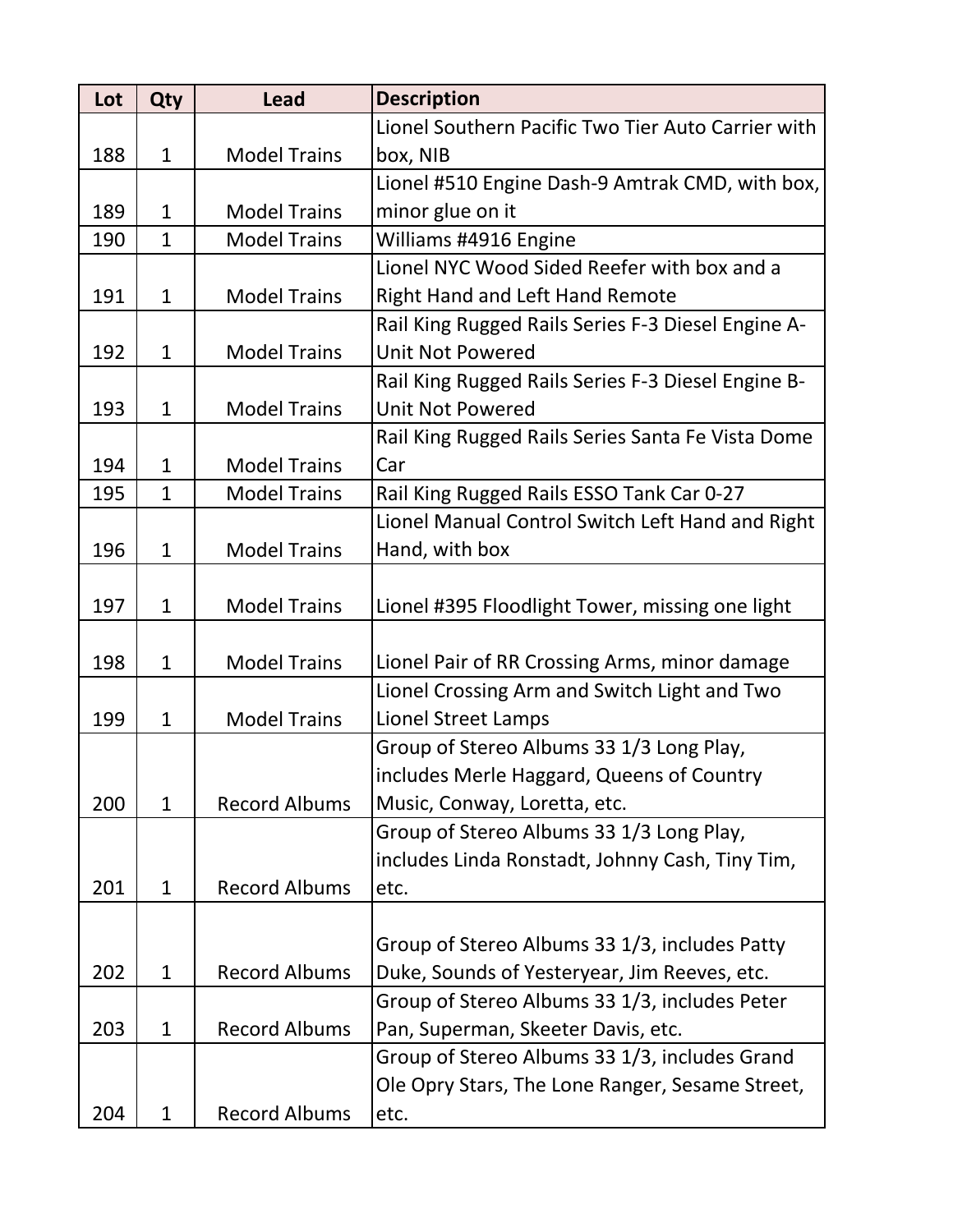| Lot | Qty          | <b>Lead</b>          | <b>Description</b>                                 |
|-----|--------------|----------------------|----------------------------------------------------|
|     |              |                      | Lionel Southern Pacific Two Tier Auto Carrier with |
| 188 | $\mathbf{1}$ | <b>Model Trains</b>  | box, NIB                                           |
|     |              |                      | Lionel #510 Engine Dash-9 Amtrak CMD, with box,    |
| 189 | $\mathbf{1}$ | <b>Model Trains</b>  | minor glue on it                                   |
| 190 | $\mathbf{1}$ | <b>Model Trains</b>  | Williams #4916 Engine                              |
|     |              |                      | Lionel NYC Wood Sided Reefer with box and a        |
| 191 | $\mathbf{1}$ | <b>Model Trains</b>  | <b>Right Hand and Left Hand Remote</b>             |
|     |              |                      | Rail King Rugged Rails Series F-3 Diesel Engine A- |
| 192 | $\mathbf{1}$ | <b>Model Trains</b>  | <b>Unit Not Powered</b>                            |
|     |              |                      | Rail King Rugged Rails Series F-3 Diesel Engine B- |
| 193 | $\mathbf{1}$ | <b>Model Trains</b>  | <b>Unit Not Powered</b>                            |
|     |              |                      | Rail King Rugged Rails Series Santa Fe Vista Dome  |
| 194 | $\mathbf{1}$ | <b>Model Trains</b>  | Car                                                |
| 195 | $\mathbf{1}$ | <b>Model Trains</b>  | Rail King Rugged Rails ESSO Tank Car 0-27          |
|     |              |                      | Lionel Manual Control Switch Left Hand and Right   |
| 196 | $\mathbf 1$  | <b>Model Trains</b>  | Hand, with box                                     |
|     |              |                      |                                                    |
| 197 | $\mathbf 1$  | <b>Model Trains</b>  | Lionel #395 Floodlight Tower, missing one light    |
|     |              |                      |                                                    |
| 198 | $\mathbf{1}$ | <b>Model Trains</b>  | Lionel Pair of RR Crossing Arms, minor damage      |
|     |              |                      | Lionel Crossing Arm and Switch Light and Two       |
| 199 | $\mathbf 1$  | <b>Model Trains</b>  | <b>Lionel Street Lamps</b>                         |
|     |              |                      | Group of Stereo Albums 33 1/3 Long Play,           |
|     |              |                      | includes Merle Haggard, Queens of Country          |
| 200 | $\mathbf{1}$ | <b>Record Albums</b> | Music, Conway, Loretta, etc.                       |
|     |              |                      | Group of Stereo Albums 33 1/3 Long Play,           |
|     |              |                      | includes Linda Ronstadt, Johnny Cash, Tiny Tim,    |
| 201 | $\mathbf{1}$ | <b>Record Albums</b> | etc.                                               |
|     |              |                      |                                                    |
|     |              |                      | Group of Stereo Albums 33 1/3, includes Patty      |
| 202 | $\mathbf{1}$ | <b>Record Albums</b> | Duke, Sounds of Yesteryear, Jim Reeves, etc.       |
|     |              |                      | Group of Stereo Albums 33 1/3, includes Peter      |
| 203 | $\mathbf{1}$ | <b>Record Albums</b> | Pan, Superman, Skeeter Davis, etc.                 |
|     |              |                      | Group of Stereo Albums 33 1/3, includes Grand      |
|     |              |                      | Ole Opry Stars, The Lone Ranger, Sesame Street,    |
| 204 | $\mathbf{1}$ | <b>Record Albums</b> | etc.                                               |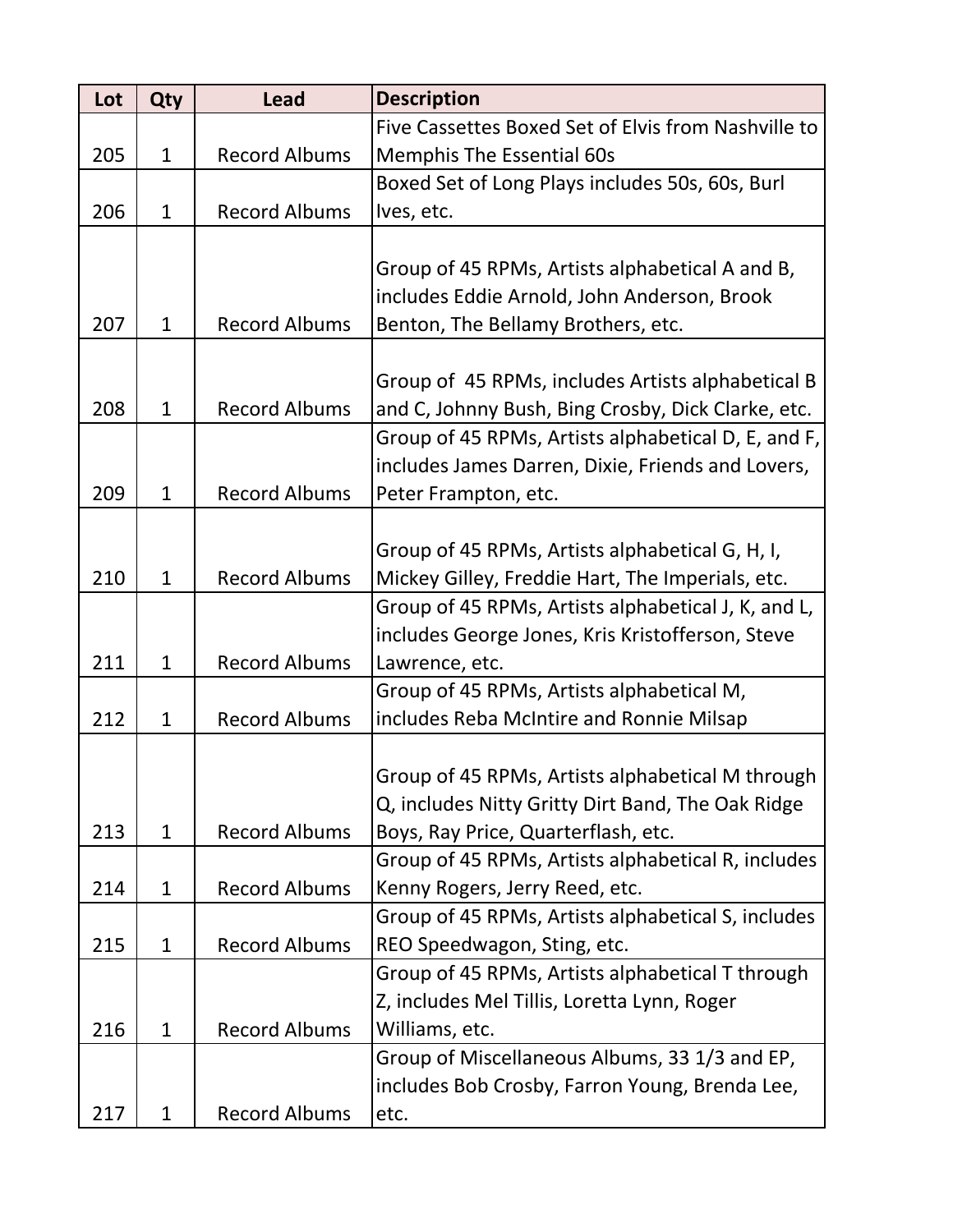| Lot | Qty          | <b>Lead</b>          | <b>Description</b>                                  |
|-----|--------------|----------------------|-----------------------------------------------------|
|     |              |                      | Five Cassettes Boxed Set of Elvis from Nashville to |
| 205 | $\mathbf{1}$ | <b>Record Albums</b> | <b>Memphis The Essential 60s</b>                    |
|     |              |                      | Boxed Set of Long Plays includes 50s, 60s, Burl     |
| 206 | $\mathbf{1}$ | <b>Record Albums</b> | Ives, etc.                                          |
|     |              |                      |                                                     |
|     |              |                      | Group of 45 RPMs, Artists alphabetical A and B,     |
|     |              |                      | includes Eddie Arnold, John Anderson, Brook         |
| 207 | 1            | <b>Record Albums</b> | Benton, The Bellamy Brothers, etc.                  |
|     |              |                      |                                                     |
|     |              |                      | Group of 45 RPMs, includes Artists alphabetical B   |
| 208 | $\mathbf{1}$ | <b>Record Albums</b> | and C, Johnny Bush, Bing Crosby, Dick Clarke, etc.  |
|     |              |                      | Group of 45 RPMs, Artists alphabetical D, E, and F, |
|     |              |                      | includes James Darren, Dixie, Friends and Lovers,   |
| 209 | $\mathbf{1}$ | <b>Record Albums</b> | Peter Frampton, etc.                                |
|     |              |                      |                                                     |
|     |              |                      | Group of 45 RPMs, Artists alphabetical G, H, I,     |
| 210 | $\mathbf{1}$ | <b>Record Albums</b> | Mickey Gilley, Freddie Hart, The Imperials, etc.    |
|     |              |                      | Group of 45 RPMs, Artists alphabetical J, K, and L, |
|     |              |                      | includes George Jones, Kris Kristofferson, Steve    |
| 211 | $\mathbf{1}$ | <b>Record Albums</b> | Lawrence, etc.                                      |
|     |              |                      | Group of 45 RPMs, Artists alphabetical M,           |
| 212 | $\mathbf{1}$ | <b>Record Albums</b> | includes Reba McIntire and Ronnie Milsap            |
|     |              |                      |                                                     |
|     |              |                      | Group of 45 RPMs, Artists alphabetical M through    |
|     |              |                      | Q, includes Nitty Gritty Dirt Band, The Oak Ridge   |
| 213 | $\mathbf{1}$ | <b>Record Albums</b> | Boys, Ray Price, Quarterflash, etc.                 |
|     |              |                      | Group of 45 RPMs, Artists alphabetical R, includes  |
| 214 | $\mathbf{1}$ | <b>Record Albums</b> | Kenny Rogers, Jerry Reed, etc.                      |
|     |              |                      | Group of 45 RPMs, Artists alphabetical S, includes  |
| 215 | $\mathbf{1}$ | <b>Record Albums</b> | REO Speedwagon, Sting, etc.                         |
|     |              |                      | Group of 45 RPMs, Artists alphabetical T through    |
|     |              |                      | Z, includes Mel Tillis, Loretta Lynn, Roger         |
| 216 | $\mathbf{1}$ | <b>Record Albums</b> | Williams, etc.                                      |
|     |              |                      | Group of Miscellaneous Albums, 33 1/3 and EP,       |
|     |              |                      | includes Bob Crosby, Farron Young, Brenda Lee,      |
| 217 | $\mathbf{1}$ | <b>Record Albums</b> | etc.                                                |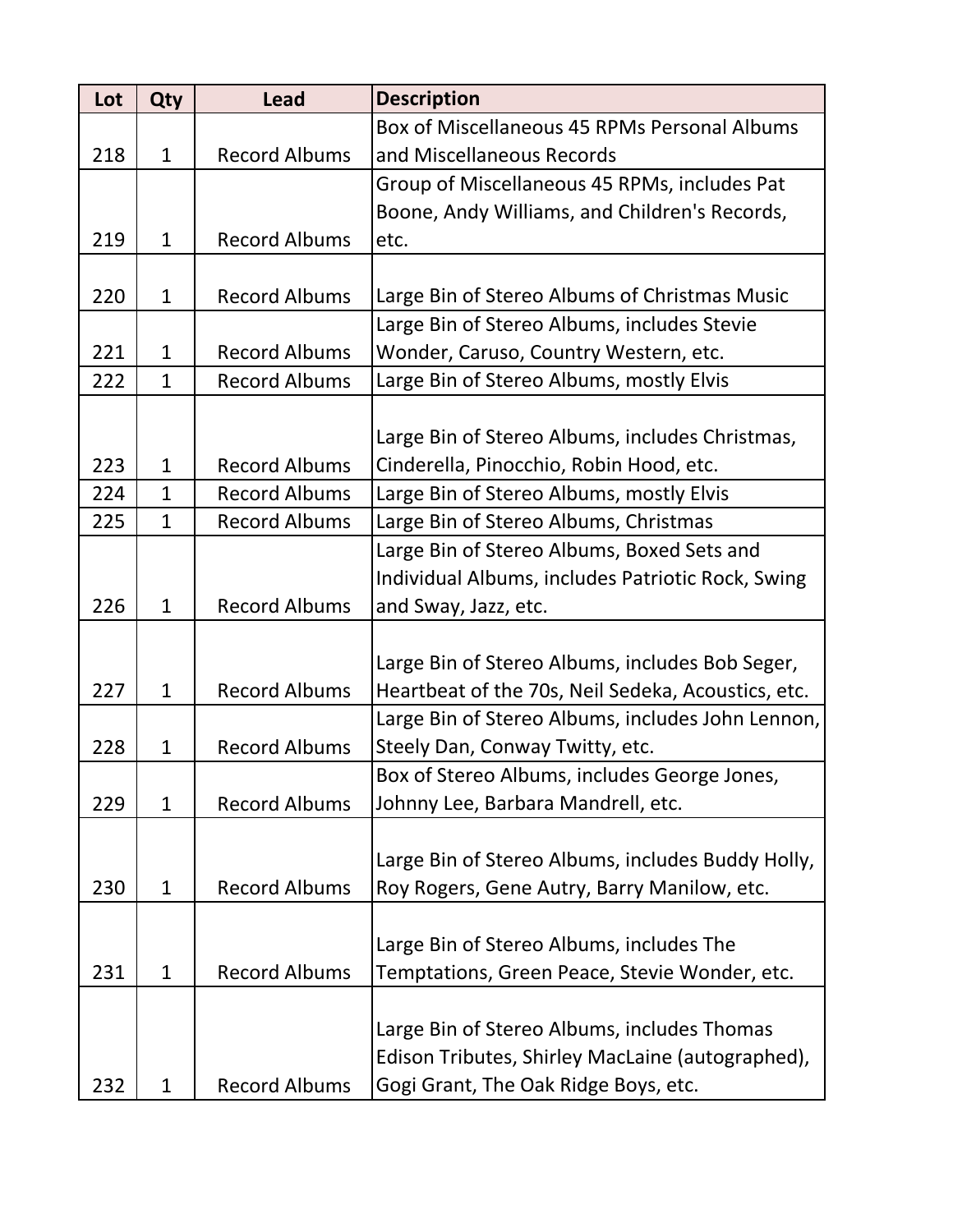| Lot | Qty          | <b>Lead</b>          | <b>Description</b>                                 |
|-----|--------------|----------------------|----------------------------------------------------|
|     |              |                      | Box of Miscellaneous 45 RPMs Personal Albums       |
| 218 | $\mathbf{1}$ | <b>Record Albums</b> | and Miscellaneous Records                          |
|     |              |                      | Group of Miscellaneous 45 RPMs, includes Pat       |
|     |              |                      | Boone, Andy Williams, and Children's Records,      |
| 219 | $\mathbf{1}$ | <b>Record Albums</b> | etc.                                               |
|     |              |                      |                                                    |
| 220 | $\mathbf{1}$ | <b>Record Albums</b> | Large Bin of Stereo Albums of Christmas Music      |
|     |              |                      | Large Bin of Stereo Albums, includes Stevie        |
| 221 | $\mathbf{1}$ | <b>Record Albums</b> | Wonder, Caruso, Country Western, etc.              |
| 222 | $\mathbf{1}$ | <b>Record Albums</b> | Large Bin of Stereo Albums, mostly Elvis           |
|     |              |                      |                                                    |
|     |              |                      | Large Bin of Stereo Albums, includes Christmas,    |
| 223 | $\mathbf{1}$ | <b>Record Albums</b> | Cinderella, Pinocchio, Robin Hood, etc.            |
| 224 | $\mathbf{1}$ | <b>Record Albums</b> | Large Bin of Stereo Albums, mostly Elvis           |
| 225 | $\mathbf{1}$ | <b>Record Albums</b> | Large Bin of Stereo Albums, Christmas              |
|     |              |                      | Large Bin of Stereo Albums, Boxed Sets and         |
|     |              |                      | Individual Albums, includes Patriotic Rock, Swing  |
| 226 | $\mathbf{1}$ | <b>Record Albums</b> | and Sway, Jazz, etc.                               |
|     |              |                      |                                                    |
|     |              |                      | Large Bin of Stereo Albums, includes Bob Seger,    |
| 227 | $\mathbf{1}$ | <b>Record Albums</b> | Heartbeat of the 70s, Neil Sedeka, Acoustics, etc. |
|     |              |                      | Large Bin of Stereo Albums, includes John Lennon,  |
| 228 | $\mathbf{1}$ | <b>Record Albums</b> | Steely Dan, Conway Twitty, etc.                    |
|     |              |                      | Box of Stereo Albums, includes George Jones,       |
| 229 | $\mathbf{1}$ | <b>Record Albums</b> | Johnny Lee, Barbara Mandrell, etc.                 |
|     |              |                      |                                                    |
|     |              |                      | Large Bin of Stereo Albums, includes Buddy Holly,  |
| 230 | $\mathbf{1}$ | <b>Record Albums</b> | Roy Rogers, Gene Autry, Barry Manilow, etc.        |
|     |              |                      |                                                    |
|     |              |                      | Large Bin of Stereo Albums, includes The           |
| 231 | $\mathbf{1}$ | <b>Record Albums</b> | Temptations, Green Peace, Stevie Wonder, etc.      |
|     |              |                      |                                                    |
|     |              |                      | Large Bin of Stereo Albums, includes Thomas        |
|     |              |                      | Edison Tributes, Shirley MacLaine (autographed),   |
| 232 | $\mathbf 1$  | <b>Record Albums</b> | Gogi Grant, The Oak Ridge Boys, etc.               |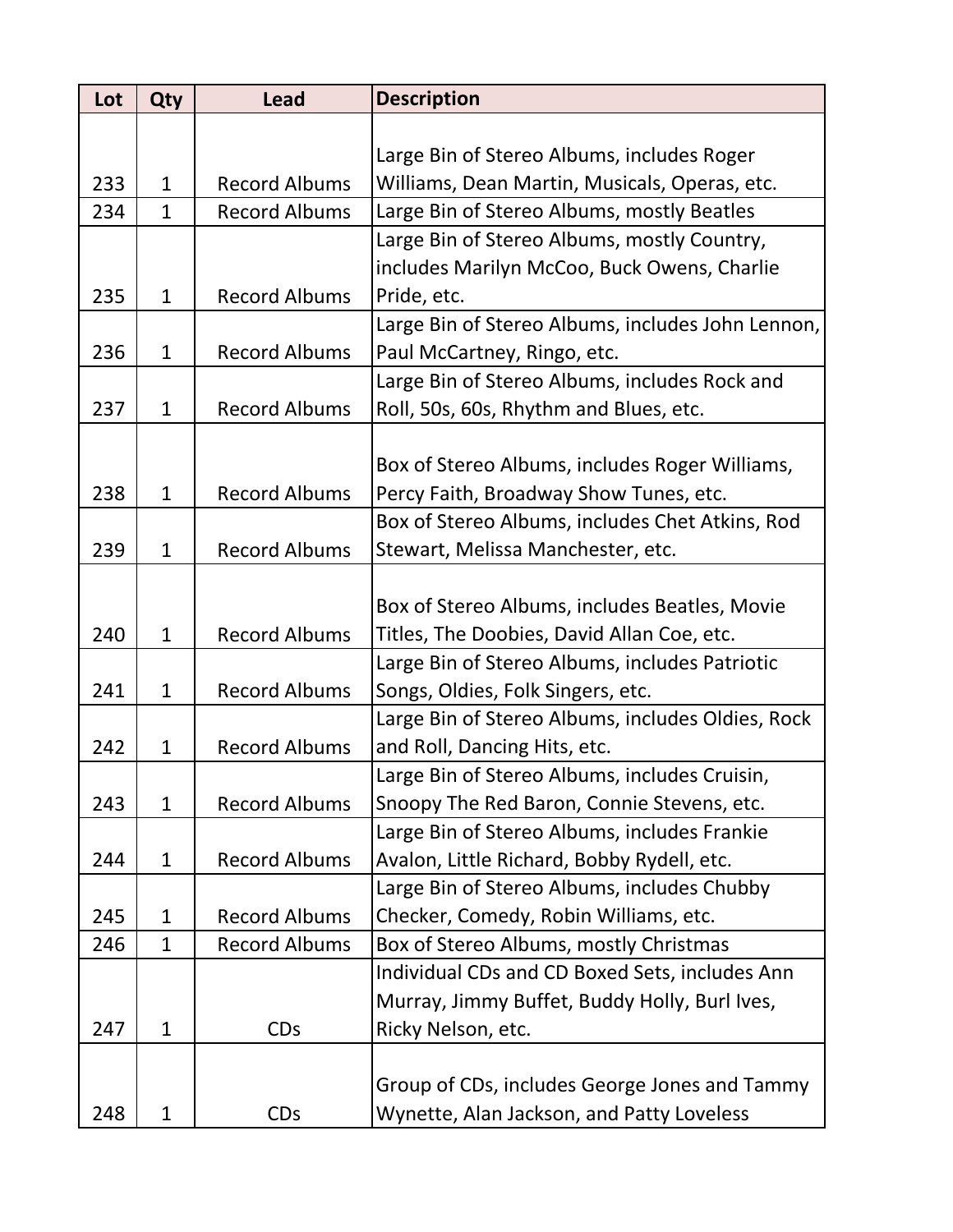| Lot | Qty          | <b>Lead</b>          | <b>Description</b>                                |
|-----|--------------|----------------------|---------------------------------------------------|
|     |              |                      |                                                   |
|     |              |                      | Large Bin of Stereo Albums, includes Roger        |
| 233 | $\mathbf{1}$ | <b>Record Albums</b> | Williams, Dean Martin, Musicals, Operas, etc.     |
| 234 | $\mathbf{1}$ | <b>Record Albums</b> | Large Bin of Stereo Albums, mostly Beatles        |
|     |              |                      | Large Bin of Stereo Albums, mostly Country,       |
|     |              |                      | includes Marilyn McCoo, Buck Owens, Charlie       |
| 235 | $\mathbf{1}$ | <b>Record Albums</b> | Pride, etc.                                       |
|     |              |                      | Large Bin of Stereo Albums, includes John Lennon, |
| 236 | $\mathbf{1}$ | <b>Record Albums</b> | Paul McCartney, Ringo, etc.                       |
|     |              |                      | Large Bin of Stereo Albums, includes Rock and     |
| 237 | $\mathbf{1}$ | <b>Record Albums</b> | Roll, 50s, 60s, Rhythm and Blues, etc.            |
|     |              |                      |                                                   |
|     |              |                      | Box of Stereo Albums, includes Roger Williams,    |
| 238 | $\mathbf{1}$ | <b>Record Albums</b> | Percy Faith, Broadway Show Tunes, etc.            |
|     |              |                      | Box of Stereo Albums, includes Chet Atkins, Rod   |
| 239 | $\mathbf{1}$ | <b>Record Albums</b> | Stewart, Melissa Manchester, etc.                 |
|     |              |                      |                                                   |
|     |              |                      | Box of Stereo Albums, includes Beatles, Movie     |
| 240 | $\mathbf{1}$ | <b>Record Albums</b> | Titles, The Doobies, David Allan Coe, etc.        |
|     |              |                      | Large Bin of Stereo Albums, includes Patriotic    |
| 241 | $\mathbf{1}$ | <b>Record Albums</b> | Songs, Oldies, Folk Singers, etc.                 |
|     |              |                      | Large Bin of Stereo Albums, includes Oldies, Rock |
| 242 | $\mathbf{1}$ | <b>Record Albums</b> | and Roll, Dancing Hits, etc.                      |
|     |              |                      | Large Bin of Stereo Albums, includes Cruisin,     |
| 243 | $\mathbf{1}$ | <b>Record Albums</b> | Snoopy The Red Baron, Connie Stevens, etc.        |
|     |              |                      | Large Bin of Stereo Albums, includes Frankie      |
| 244 | $\mathbf{1}$ | <b>Record Albums</b> | Avalon, Little Richard, Bobby Rydell, etc.        |
|     |              |                      | Large Bin of Stereo Albums, includes Chubby       |
| 245 | $\mathbf 1$  | <b>Record Albums</b> | Checker, Comedy, Robin Williams, etc.             |
| 246 | $\mathbf{1}$ | <b>Record Albums</b> | Box of Stereo Albums, mostly Christmas            |
|     |              |                      | Individual CDs and CD Boxed Sets, includes Ann    |
|     |              |                      | Murray, Jimmy Buffet, Buddy Holly, Burl Ives,     |
| 247 | $\mathbf{1}$ | <b>CDs</b>           | Ricky Nelson, etc.                                |
|     |              |                      |                                                   |
|     |              |                      | Group of CDs, includes George Jones and Tammy     |
| 248 | $\mathbf{1}$ | <b>CDs</b>           | Wynette, Alan Jackson, and Patty Loveless         |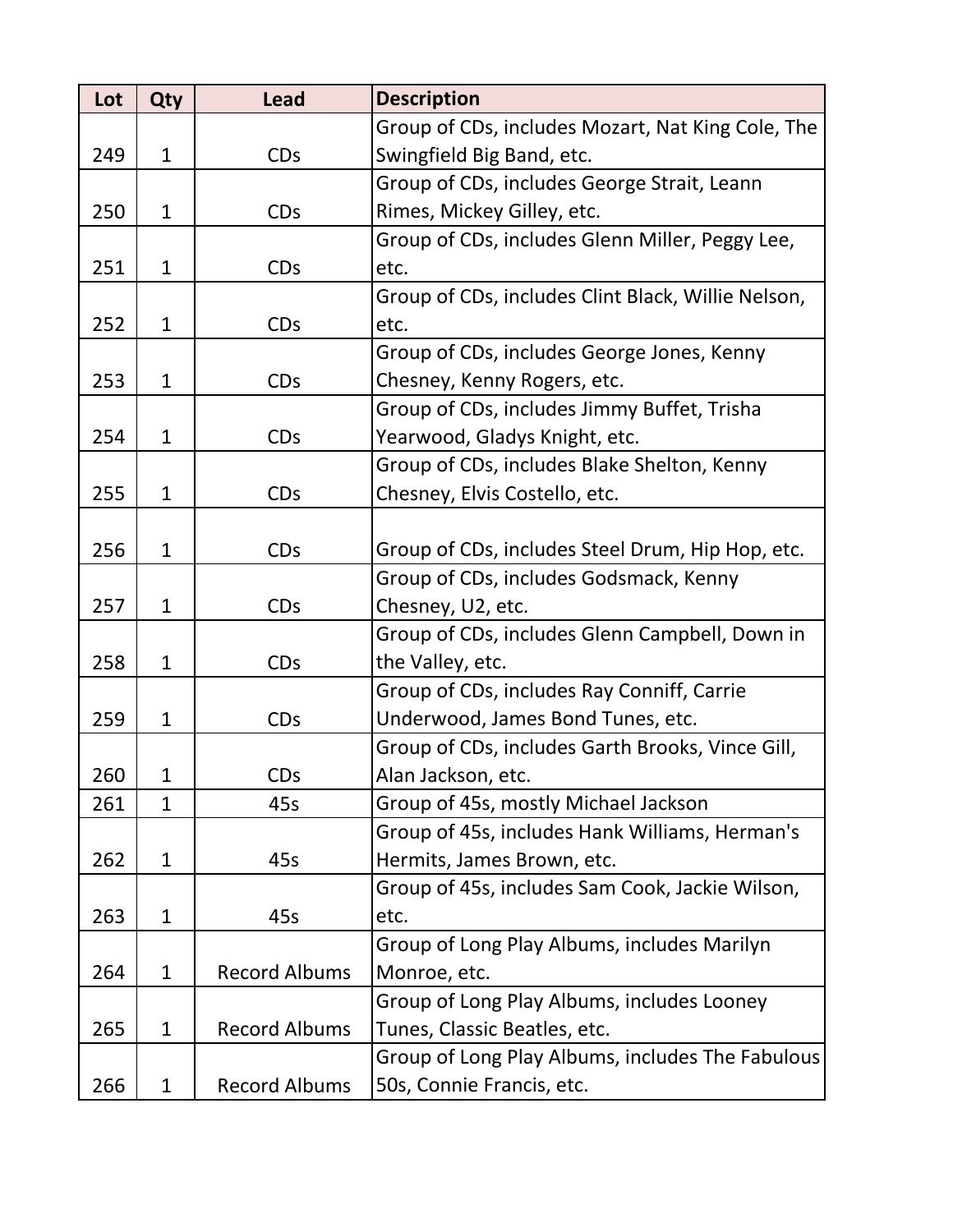| Lot | Qty          | <b>Lead</b>           | <b>Description</b>                                 |
|-----|--------------|-----------------------|----------------------------------------------------|
|     |              |                       | Group of CDs, includes Mozart, Nat King Cole, The  |
| 249 | $\mathbf{1}$ | <b>CDs</b>            | Swingfield Big Band, etc.                          |
|     |              |                       | Group of CDs, includes George Strait, Leann        |
| 250 | $\mathbf{1}$ | <b>CDs</b>            | Rimes, Mickey Gilley, etc.                         |
|     |              |                       | Group of CDs, includes Glenn Miller, Peggy Lee,    |
| 251 | $\mathbf{1}$ | <b>CDs</b>            | etc.                                               |
|     |              |                       | Group of CDs, includes Clint Black, Willie Nelson, |
| 252 | $\mathbf{1}$ | <b>CDs</b>            | etc.                                               |
|     |              |                       | Group of CDs, includes George Jones, Kenny         |
| 253 | $\mathbf{1}$ | <b>CDs</b>            | Chesney, Kenny Rogers, etc.                        |
|     |              |                       | Group of CDs, includes Jimmy Buffet, Trisha        |
| 254 | $\mathbf{1}$ | <b>CDs</b>            | Yearwood, Gladys Knight, etc.                      |
|     |              |                       | Group of CDs, includes Blake Shelton, Kenny        |
| 255 | $\mathbf{1}$ | <b>CDs</b>            | Chesney, Elvis Costello, etc.                      |
|     |              |                       |                                                    |
| 256 | $\mathbf{1}$ | <b>CDs</b>            | Group of CDs, includes Steel Drum, Hip Hop, etc.   |
|     |              |                       | Group of CDs, includes Godsmack, Kenny             |
| 257 | $\mathbf{1}$ | <b>CDs</b>            | Chesney, U2, etc.                                  |
|     |              |                       | Group of CDs, includes Glenn Campbell, Down in     |
| 258 | $\mathbf{1}$ | <b>CDs</b>            | the Valley, etc.                                   |
|     |              |                       | Group of CDs, includes Ray Conniff, Carrie         |
| 259 | $\mathbf{1}$ | <b>CDs</b>            | Underwood, James Bond Tunes, etc.                  |
|     |              |                       | Group of CDs, includes Garth Brooks, Vince Gill,   |
| 260 | 1            | <b>CD<sub>S</sub></b> | Alan Jackson, etc.                                 |
| 261 | $\mathbf{1}$ | 45s                   | Group of 45s, mostly Michael Jackson               |
|     |              |                       | Group of 45s, includes Hank Williams, Herman's     |
| 262 | $\mathbf{1}$ | 45s                   | Hermits, James Brown, etc.                         |
|     |              |                       | Group of 45s, includes Sam Cook, Jackie Wilson,    |
| 263 | $\mathbf{1}$ | 45s                   | etc.                                               |
|     |              |                       | Group of Long Play Albums, includes Marilyn        |
| 264 | $\mathbf{1}$ | <b>Record Albums</b>  | Monroe, etc.                                       |
|     |              |                       | Group of Long Play Albums, includes Looney         |
| 265 | $\mathbf{1}$ | <b>Record Albums</b>  | Tunes, Classic Beatles, etc.                       |
|     |              |                       | Group of Long Play Albums, includes The Fabulous   |
| 266 | $\mathbf{1}$ | <b>Record Albums</b>  | 50s, Connie Francis, etc.                          |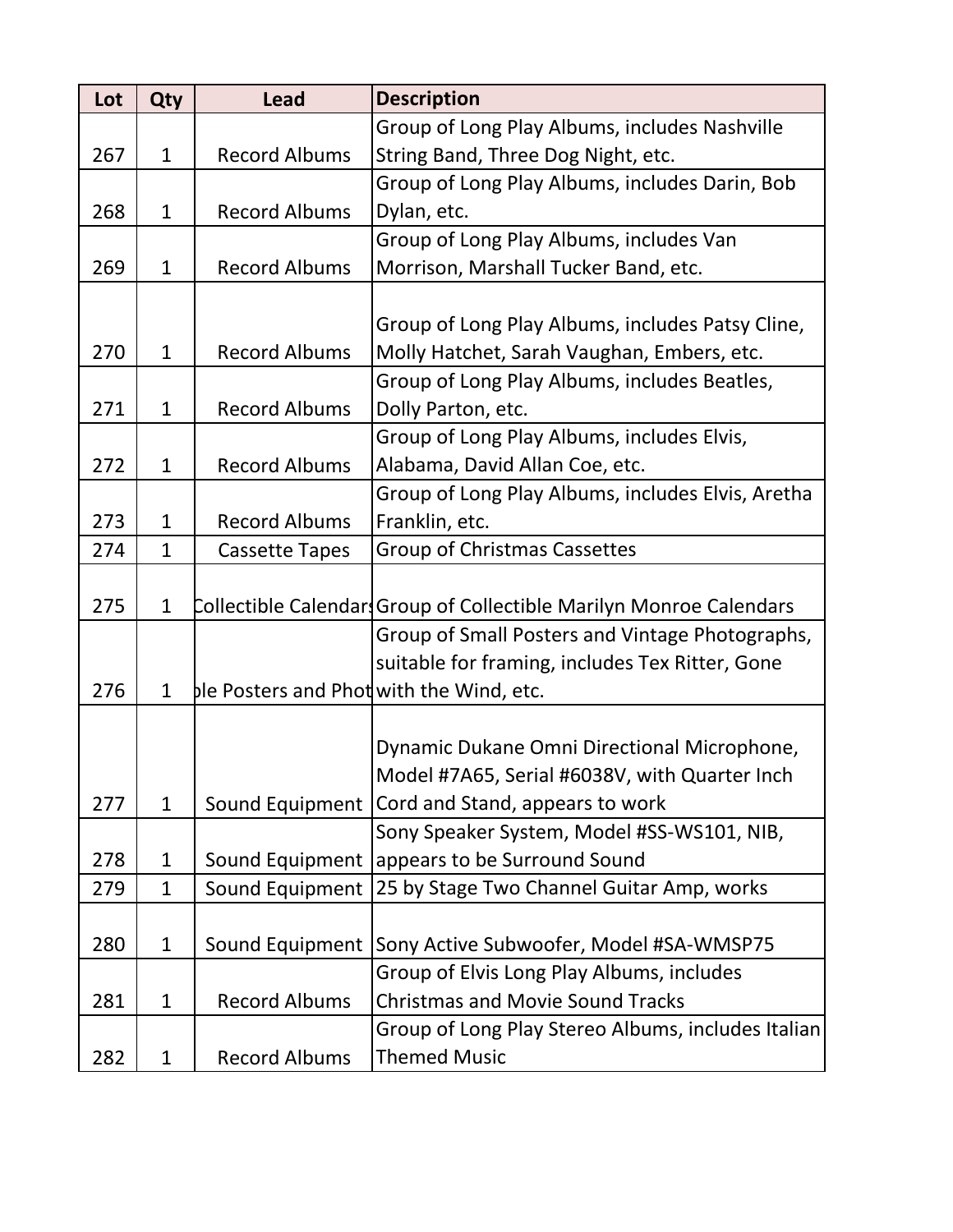| Lot | Qty          | <b>Lead</b>                              | <b>Description</b>                                                 |
|-----|--------------|------------------------------------------|--------------------------------------------------------------------|
|     |              |                                          | Group of Long Play Albums, includes Nashville                      |
| 267 | $\mathbf{1}$ | <b>Record Albums</b>                     | String Band, Three Dog Night, etc.                                 |
|     |              |                                          | Group of Long Play Albums, includes Darin, Bob                     |
| 268 | $\mathbf{1}$ | <b>Record Albums</b>                     | Dylan, etc.                                                        |
|     |              |                                          | Group of Long Play Albums, includes Van                            |
| 269 | $\mathbf{1}$ | <b>Record Albums</b>                     | Morrison, Marshall Tucker Band, etc.                               |
|     |              |                                          |                                                                    |
|     |              |                                          | Group of Long Play Albums, includes Patsy Cline,                   |
| 270 | $\mathbf{1}$ | <b>Record Albums</b>                     | Molly Hatchet, Sarah Vaughan, Embers, etc.                         |
|     |              |                                          | Group of Long Play Albums, includes Beatles,                       |
| 271 | $\mathbf{1}$ | <b>Record Albums</b>                     | Dolly Parton, etc.                                                 |
|     |              |                                          | Group of Long Play Albums, includes Elvis,                         |
| 272 | $\mathbf{1}$ | <b>Record Albums</b>                     | Alabama, David Allan Coe, etc.                                     |
|     |              |                                          | Group of Long Play Albums, includes Elvis, Aretha                  |
| 273 | $\mathbf{1}$ | <b>Record Albums</b>                     | Franklin, etc.                                                     |
| 274 | $\mathbf{1}$ | <b>Cassette Tapes</b>                    | <b>Group of Christmas Cassettes</b>                                |
|     |              |                                          |                                                                    |
| 275 | $\mathbf{1}$ |                                          | Collectible Calendar Group of Collectible Marilyn Monroe Calendars |
|     |              |                                          | Group of Small Posters and Vintage Photographs,                    |
|     |              |                                          | suitable for framing, includes Tex Ritter, Gone                    |
| 276 | $\mathbf 1$  | ble Posters and Phot with the Wind, etc. |                                                                    |
|     |              |                                          |                                                                    |
|     |              |                                          | Dynamic Dukane Omni Directional Microphone,                        |
|     |              |                                          | Model #7A65, Serial #6038V, with Quarter Inch                      |
| 277 | $\mathbf{1}$ |                                          | Sound Equipment   Cord and Stand, appears to work                  |
|     |              |                                          | Sony Speaker System, Model #SS-WS101, NIB,                         |
| 278 | $\mathbf{1}$ |                                          | Sound Equipment appears to be Surround Sound                       |
| 279 | $\mathbf{1}$ | Sound Equipment                          | 25 by Stage Two Channel Guitar Amp, works                          |
|     |              |                                          |                                                                    |
| 280 | $\mathbf{1}$ | Sound Equipment                          | Sony Active Subwoofer, Model #SA-WMSP75                            |
|     |              |                                          | Group of Elvis Long Play Albums, includes                          |
| 281 | $\mathbf{1}$ | <b>Record Albums</b>                     | <b>Christmas and Movie Sound Tracks</b>                            |
|     |              |                                          | Group of Long Play Stereo Albums, includes Italian                 |
| 282 | $\mathbf{1}$ | <b>Record Albums</b>                     | <b>Themed Music</b>                                                |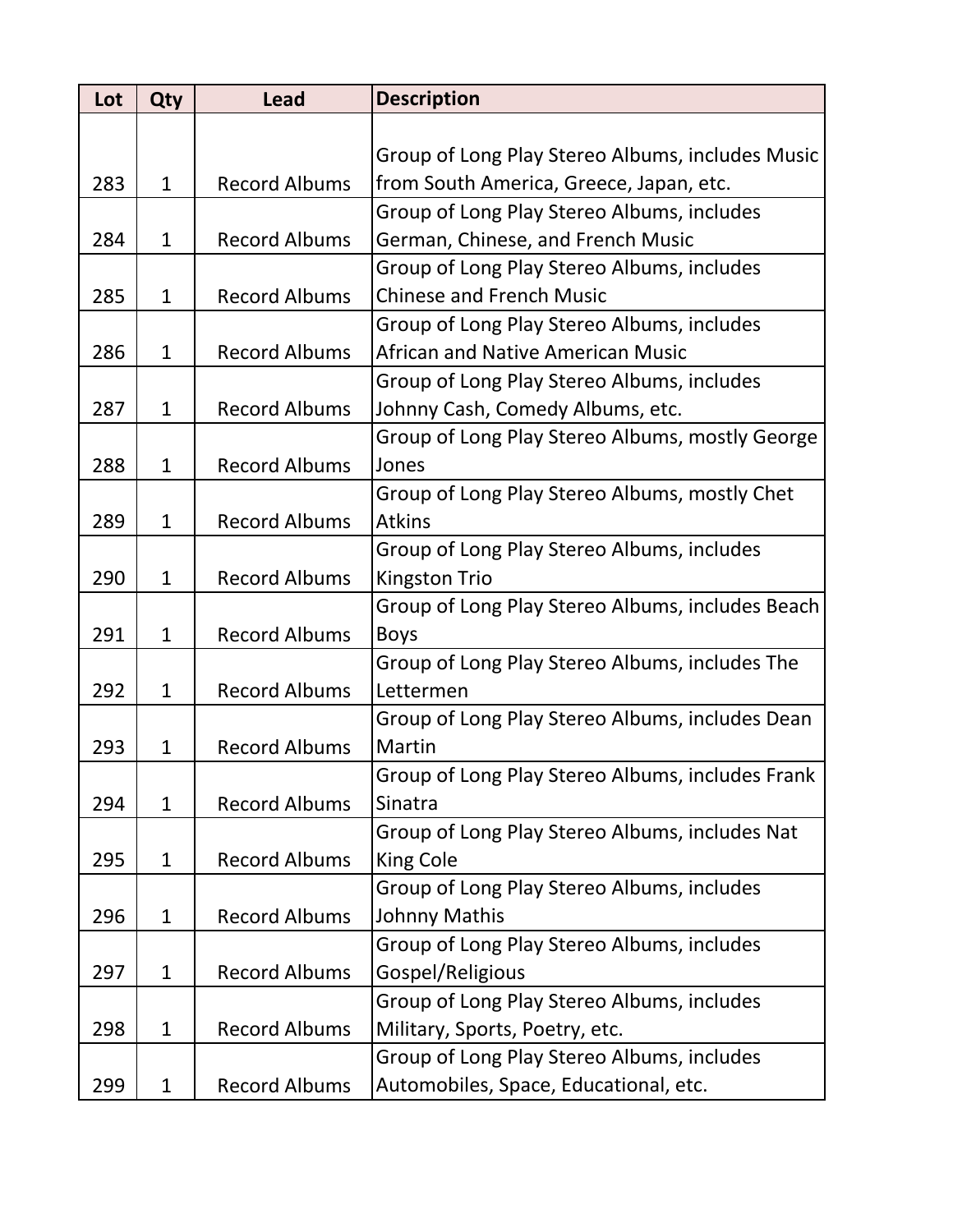| Lot | <b>Qty</b>   | <b>Lead</b>          | <b>Description</b>                               |
|-----|--------------|----------------------|--------------------------------------------------|
|     |              |                      |                                                  |
|     |              |                      | Group of Long Play Stereo Albums, includes Music |
| 283 | $\mathbf{1}$ | <b>Record Albums</b> | from South America, Greece, Japan, etc.          |
|     |              |                      | Group of Long Play Stereo Albums, includes       |
| 284 | $\mathbf{1}$ | <b>Record Albums</b> | German, Chinese, and French Music                |
|     |              |                      | Group of Long Play Stereo Albums, includes       |
| 285 | $\mathbf{1}$ | <b>Record Albums</b> | <b>Chinese and French Music</b>                  |
|     |              |                      | Group of Long Play Stereo Albums, includes       |
| 286 | $\mathbf{1}$ | <b>Record Albums</b> | <b>African and Native American Music</b>         |
|     |              |                      | Group of Long Play Stereo Albums, includes       |
| 287 | $\mathbf 1$  | <b>Record Albums</b> | Johnny Cash, Comedy Albums, etc.                 |
|     |              |                      | Group of Long Play Stereo Albums, mostly George  |
| 288 | $\mathbf{1}$ | <b>Record Albums</b> | Jones                                            |
|     |              |                      | Group of Long Play Stereo Albums, mostly Chet    |
| 289 | $\mathbf{1}$ | <b>Record Albums</b> | <b>Atkins</b>                                    |
|     |              |                      | Group of Long Play Stereo Albums, includes       |
| 290 | $\mathbf{1}$ | <b>Record Albums</b> | <b>Kingston Trio</b>                             |
|     |              |                      | Group of Long Play Stereo Albums, includes Beach |
| 291 | $\mathbf{1}$ | <b>Record Albums</b> | <b>Boys</b>                                      |
|     |              |                      | Group of Long Play Stereo Albums, includes The   |
| 292 | $\mathbf{1}$ | <b>Record Albums</b> | Lettermen                                        |
|     |              |                      | Group of Long Play Stereo Albums, includes Dean  |
| 293 | $\mathbf 1$  | <b>Record Albums</b> | <b>Martin</b>                                    |
|     |              |                      | Group of Long Play Stereo Albums, includes Frank |
| 294 | $\mathbf{1}$ | <b>Record Albums</b> | Sinatra                                          |
|     |              |                      | Group of Long Play Stereo Albums, includes Nat   |
| 295 | $\mathbf{1}$ | <b>Record Albums</b> | King Cole                                        |
|     |              |                      | Group of Long Play Stereo Albums, includes       |
| 296 | $\mathbf{1}$ | <b>Record Albums</b> | Johnny Mathis                                    |
|     |              |                      | Group of Long Play Stereo Albums, includes       |
| 297 | $\mathbf{1}$ | <b>Record Albums</b> | Gospel/Religious                                 |
|     |              |                      | Group of Long Play Stereo Albums, includes       |
| 298 | $\mathbf{1}$ | <b>Record Albums</b> | Military, Sports, Poetry, etc.                   |
|     |              |                      | Group of Long Play Stereo Albums, includes       |
| 299 | $\mathbf{1}$ | <b>Record Albums</b> | Automobiles, Space, Educational, etc.            |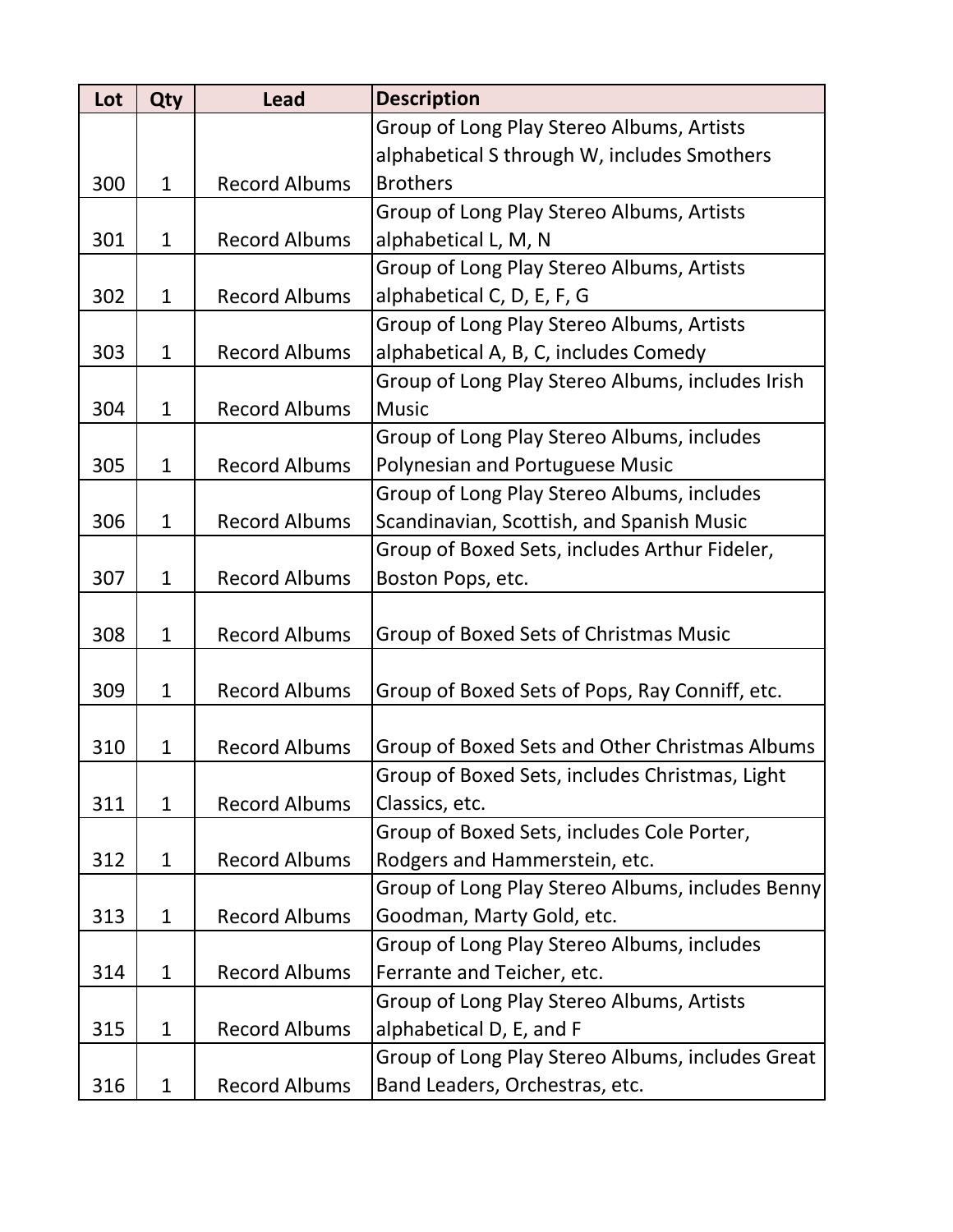| Lot | <b>Qty</b>   | <b>Lead</b>          | <b>Description</b>                               |
|-----|--------------|----------------------|--------------------------------------------------|
|     |              |                      | Group of Long Play Stereo Albums, Artists        |
|     |              |                      | alphabetical S through W, includes Smothers      |
| 300 | $\mathbf{1}$ | <b>Record Albums</b> | <b>Brothers</b>                                  |
|     |              |                      | Group of Long Play Stereo Albums, Artists        |
| 301 | $\mathbf{1}$ | <b>Record Albums</b> | alphabetical L, M, N                             |
|     |              |                      | Group of Long Play Stereo Albums, Artists        |
| 302 | $\mathbf{1}$ | <b>Record Albums</b> | alphabetical C, D, E, F, G                       |
|     |              |                      | Group of Long Play Stereo Albums, Artists        |
| 303 | $\mathbf{1}$ | <b>Record Albums</b> | alphabetical A, B, C, includes Comedy            |
|     |              |                      | Group of Long Play Stereo Albums, includes Irish |
| 304 | $\mathbf{1}$ | <b>Record Albums</b> | <b>Music</b>                                     |
|     |              |                      | Group of Long Play Stereo Albums, includes       |
| 305 | $\mathbf{1}$ | <b>Record Albums</b> | <b>Polynesian and Portuguese Music</b>           |
|     |              |                      | Group of Long Play Stereo Albums, includes       |
| 306 | $\mathbf{1}$ | <b>Record Albums</b> | Scandinavian, Scottish, and Spanish Music        |
|     |              |                      | Group of Boxed Sets, includes Arthur Fideler,    |
| 307 | $\mathbf{1}$ | <b>Record Albums</b> | Boston Pops, etc.                                |
|     |              |                      |                                                  |
| 308 | $\mathbf{1}$ | <b>Record Albums</b> | Group of Boxed Sets of Christmas Music           |
|     |              |                      |                                                  |
| 309 | $\mathbf{1}$ | <b>Record Albums</b> | Group of Boxed Sets of Pops, Ray Conniff, etc.   |
|     |              |                      |                                                  |
| 310 | $\mathbf{1}$ | <b>Record Albums</b> | Group of Boxed Sets and Other Christmas Albums   |
|     |              |                      | Group of Boxed Sets, includes Christmas, Light   |
| 311 | $\mathbf{1}$ | <b>Record Albums</b> | Classics, etc.                                   |
|     |              |                      | Group of Boxed Sets, includes Cole Porter,       |
| 312 | $\mathbf{1}$ | <b>Record Albums</b> | Rodgers and Hammerstein, etc.                    |
|     |              |                      | Group of Long Play Stereo Albums, includes Benny |
| 313 | $\mathbf{1}$ | <b>Record Albums</b> | Goodman, Marty Gold, etc.                        |
|     |              |                      | Group of Long Play Stereo Albums, includes       |
| 314 | $\mathbf{1}$ | <b>Record Albums</b> | Ferrante and Teicher, etc.                       |
|     |              |                      | Group of Long Play Stereo Albums, Artists        |
| 315 | $\mathbf{1}$ | <b>Record Albums</b> | alphabetical D, E, and F                         |
|     |              |                      | Group of Long Play Stereo Albums, includes Great |
| 316 | $\mathbf{1}$ | <b>Record Albums</b> | Band Leaders, Orchestras, etc.                   |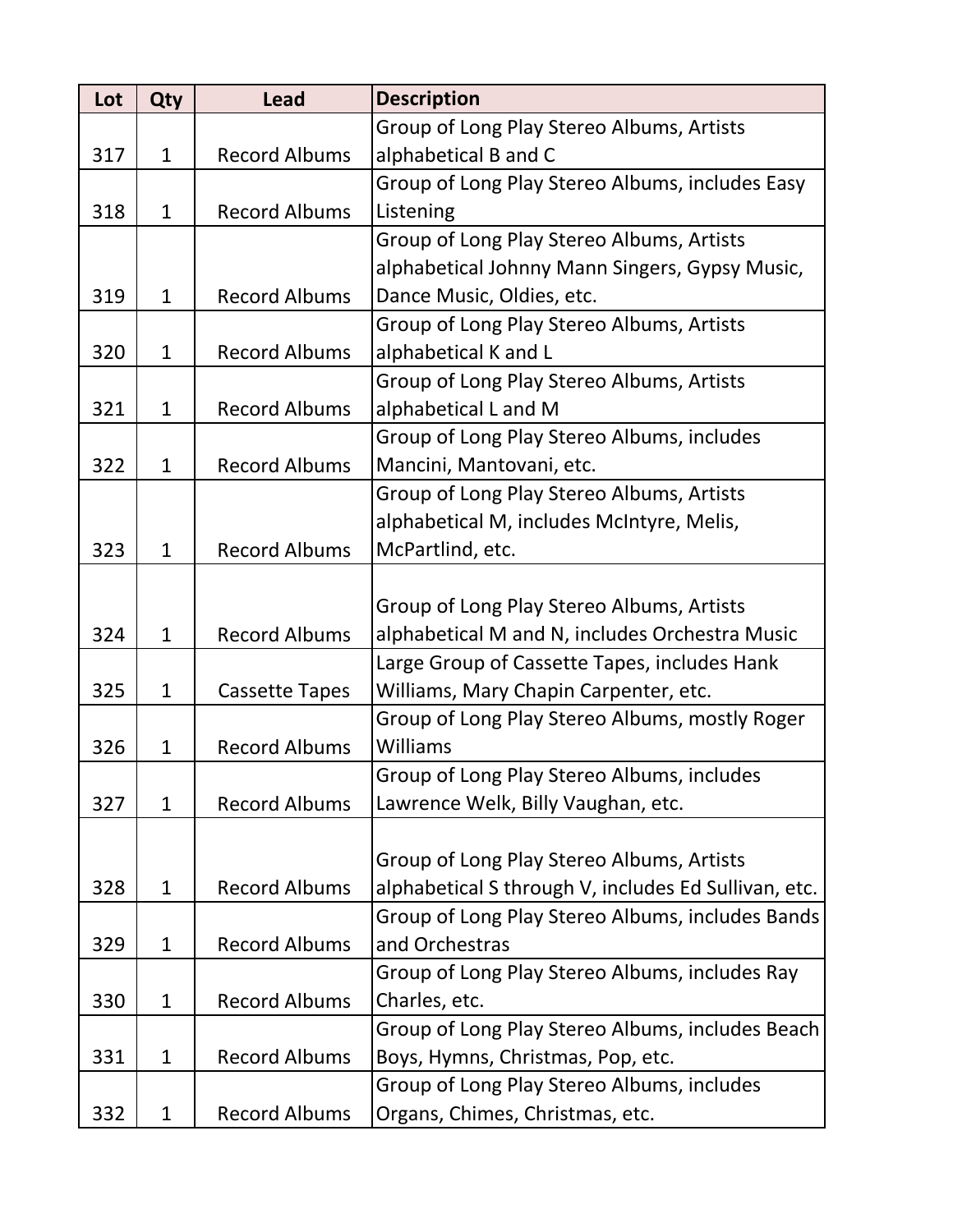| Lot | Qty          | <b>Lead</b>           | <b>Description</b>                                   |
|-----|--------------|-----------------------|------------------------------------------------------|
|     |              |                       | Group of Long Play Stereo Albums, Artists            |
| 317 | $\mathbf{1}$ | <b>Record Albums</b>  | alphabetical B and C                                 |
|     |              |                       | Group of Long Play Stereo Albums, includes Easy      |
| 318 | $\mathbf{1}$ | <b>Record Albums</b>  | Listening                                            |
|     |              |                       | Group of Long Play Stereo Albums, Artists            |
|     |              |                       | alphabetical Johnny Mann Singers, Gypsy Music,       |
| 319 | $\mathbf{1}$ | <b>Record Albums</b>  | Dance Music, Oldies, etc.                            |
|     |              |                       | Group of Long Play Stereo Albums, Artists            |
| 320 | $\mathbf{1}$ | <b>Record Albums</b>  | alphabetical K and L                                 |
|     |              |                       | Group of Long Play Stereo Albums, Artists            |
| 321 | $\mathbf{1}$ | <b>Record Albums</b>  | alphabetical L and M                                 |
|     |              |                       | Group of Long Play Stereo Albums, includes           |
| 322 | $\mathbf{1}$ | <b>Record Albums</b>  | Mancini, Mantovani, etc.                             |
|     |              |                       | Group of Long Play Stereo Albums, Artists            |
|     |              |                       | alphabetical M, includes McIntyre, Melis,            |
| 323 | $\mathbf{1}$ | <b>Record Albums</b>  | McPartlind, etc.                                     |
|     |              |                       |                                                      |
|     |              |                       | Group of Long Play Stereo Albums, Artists            |
| 324 | $\mathbf{1}$ | <b>Record Albums</b>  | alphabetical M and N, includes Orchestra Music       |
|     |              |                       | Large Group of Cassette Tapes, includes Hank         |
| 325 | $\mathbf{1}$ | <b>Cassette Tapes</b> | Williams, Mary Chapin Carpenter, etc.                |
|     |              |                       | Group of Long Play Stereo Albums, mostly Roger       |
| 326 | $\mathbf{1}$ | <b>Record Albums</b>  | Williams                                             |
|     |              |                       | Group of Long Play Stereo Albums, includes           |
| 327 | $\mathbf{1}$ | <b>Record Albums</b>  | Lawrence Welk, Billy Vaughan, etc.                   |
|     |              |                       |                                                      |
|     |              |                       | Group of Long Play Stereo Albums, Artists            |
| 328 | $\mathbf{1}$ | <b>Record Albums</b>  | alphabetical S through V, includes Ed Sullivan, etc. |
|     |              |                       | Group of Long Play Stereo Albums, includes Bands     |
| 329 | $\mathbf{1}$ | <b>Record Albums</b>  | and Orchestras                                       |
|     |              |                       | Group of Long Play Stereo Albums, includes Ray       |
| 330 | $\mathbf{1}$ | <b>Record Albums</b>  | Charles, etc.                                        |
|     |              |                       | Group of Long Play Stereo Albums, includes Beach     |
| 331 | $\mathbf{1}$ | <b>Record Albums</b>  | Boys, Hymns, Christmas, Pop, etc.                    |
|     |              |                       | Group of Long Play Stereo Albums, includes           |
| 332 | $\mathbf{1}$ | <b>Record Albums</b>  | Organs, Chimes, Christmas, etc.                      |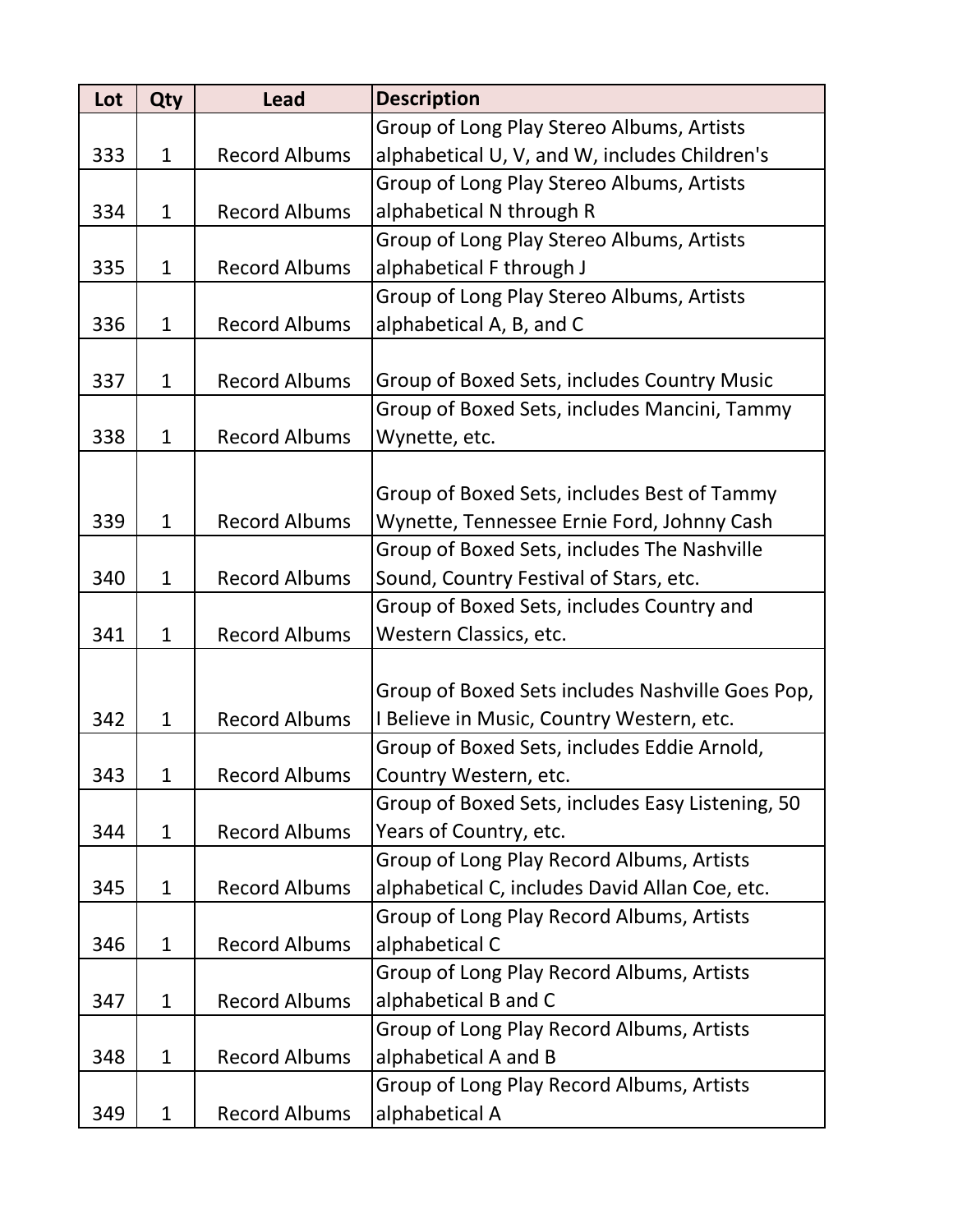| Lot | Qty          | <b>Lead</b>          | <b>Description</b>                               |
|-----|--------------|----------------------|--------------------------------------------------|
|     |              |                      | Group of Long Play Stereo Albums, Artists        |
| 333 | $\mathbf{1}$ | <b>Record Albums</b> | alphabetical U, V, and W, includes Children's    |
|     |              |                      | Group of Long Play Stereo Albums, Artists        |
| 334 | $\mathbf{1}$ | <b>Record Albums</b> | alphabetical N through R                         |
|     |              |                      | Group of Long Play Stereo Albums, Artists        |
| 335 | $\mathbf{1}$ | <b>Record Albums</b> | alphabetical F through J                         |
|     |              |                      | Group of Long Play Stereo Albums, Artists        |
| 336 | $\mathbf{1}$ | <b>Record Albums</b> | alphabetical A, B, and C                         |
|     |              |                      |                                                  |
| 337 | $\mathbf{1}$ | <b>Record Albums</b> | Group of Boxed Sets, includes Country Music      |
|     |              |                      | Group of Boxed Sets, includes Mancini, Tammy     |
| 338 | $\mathbf{1}$ | <b>Record Albums</b> | Wynette, etc.                                    |
|     |              |                      |                                                  |
|     |              |                      | Group of Boxed Sets, includes Best of Tammy      |
| 339 | $\mathbf{1}$ | <b>Record Albums</b> | Wynette, Tennessee Ernie Ford, Johnny Cash       |
|     |              |                      | Group of Boxed Sets, includes The Nashville      |
| 340 | $\mathbf{1}$ | <b>Record Albums</b> | Sound, Country Festival of Stars, etc.           |
|     |              |                      | Group of Boxed Sets, includes Country and        |
| 341 | $\mathbf{1}$ | <b>Record Albums</b> | Western Classics, etc.                           |
|     |              |                      |                                                  |
|     |              |                      | Group of Boxed Sets includes Nashville Goes Pop, |
| 342 | $\mathbf{1}$ | <b>Record Albums</b> | I Believe in Music, Country Western, etc.        |
|     |              |                      | Group of Boxed Sets, includes Eddie Arnold,      |
| 343 | 1            | <b>Record Albums</b> | Country Western, etc.                            |
|     |              |                      | Group of Boxed Sets, includes Easy Listening, 50 |
| 344 | $\mathbf{1}$ | <b>Record Albums</b> | Years of Country, etc.                           |
|     |              |                      | Group of Long Play Record Albums, Artists        |
| 345 | $\mathbf{1}$ | <b>Record Albums</b> | alphabetical C, includes David Allan Coe, etc.   |
|     |              |                      | Group of Long Play Record Albums, Artists        |
| 346 | $\mathbf{1}$ | <b>Record Albums</b> | alphabetical C                                   |
|     |              |                      | Group of Long Play Record Albums, Artists        |
| 347 | $\mathbf{1}$ | <b>Record Albums</b> | alphabetical B and C                             |
|     |              |                      | Group of Long Play Record Albums, Artists        |
| 348 | $\mathbf{1}$ | <b>Record Albums</b> | alphabetical A and B                             |
|     |              |                      | Group of Long Play Record Albums, Artists        |
| 349 | $\mathbf{1}$ | <b>Record Albums</b> | alphabetical A                                   |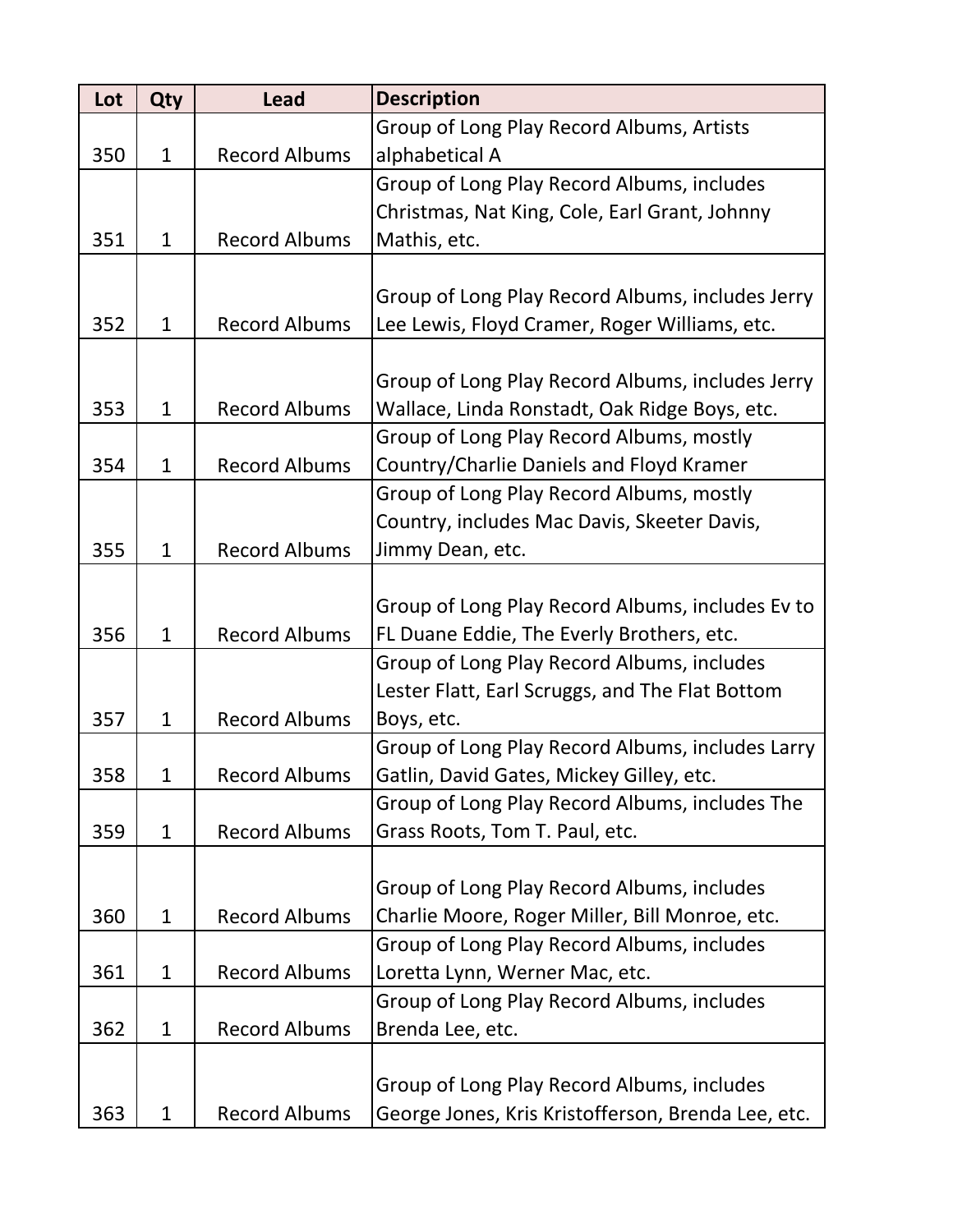| Lot | Qty          | <b>Lead</b>          | <b>Description</b>                                 |
|-----|--------------|----------------------|----------------------------------------------------|
|     |              |                      | Group of Long Play Record Albums, Artists          |
| 350 | $\mathbf{1}$ | <b>Record Albums</b> | alphabetical A                                     |
|     |              |                      | Group of Long Play Record Albums, includes         |
|     |              |                      | Christmas, Nat King, Cole, Earl Grant, Johnny      |
| 351 | $\mathbf{1}$ | <b>Record Albums</b> | Mathis, etc.                                       |
|     |              |                      |                                                    |
|     |              |                      | Group of Long Play Record Albums, includes Jerry   |
| 352 | $\mathbf 1$  | <b>Record Albums</b> | Lee Lewis, Floyd Cramer, Roger Williams, etc.      |
|     |              |                      |                                                    |
|     |              |                      | Group of Long Play Record Albums, includes Jerry   |
| 353 | $\mathbf{1}$ | <b>Record Albums</b> | Wallace, Linda Ronstadt, Oak Ridge Boys, etc.      |
|     |              |                      | Group of Long Play Record Albums, mostly           |
| 354 | $\mathbf{1}$ | <b>Record Albums</b> | Country/Charlie Daniels and Floyd Kramer           |
|     |              |                      | Group of Long Play Record Albums, mostly           |
|     |              |                      | Country, includes Mac Davis, Skeeter Davis,        |
| 355 | $\mathbf{1}$ | <b>Record Albums</b> | Jimmy Dean, etc.                                   |
|     |              |                      |                                                    |
|     |              |                      | Group of Long Play Record Albums, includes Ev to   |
| 356 | $\mathbf{1}$ | <b>Record Albums</b> | FL Duane Eddie, The Everly Brothers, etc.          |
|     |              |                      | Group of Long Play Record Albums, includes         |
|     |              |                      | Lester Flatt, Earl Scruggs, and The Flat Bottom    |
| 357 | $\mathbf{1}$ | <b>Record Albums</b> | Boys, etc.                                         |
|     |              |                      | Group of Long Play Record Albums, includes Larry   |
| 358 | 1            | <b>Record Albums</b> | Gatlin, David Gates, Mickey Gilley, etc.           |
|     |              |                      | Group of Long Play Record Albums, includes The     |
| 359 | $\mathbf{1}$ | <b>Record Albums</b> | Grass Roots, Tom T. Paul, etc.                     |
|     |              |                      |                                                    |
|     |              |                      | Group of Long Play Record Albums, includes         |
| 360 | $\mathbf{1}$ | <b>Record Albums</b> | Charlie Moore, Roger Miller, Bill Monroe, etc.     |
|     |              |                      | Group of Long Play Record Albums, includes         |
| 361 | $\mathbf{1}$ | <b>Record Albums</b> | Loretta Lynn, Werner Mac, etc.                     |
|     |              |                      | Group of Long Play Record Albums, includes         |
| 362 | $\mathbf 1$  | <b>Record Albums</b> | Brenda Lee, etc.                                   |
|     |              |                      |                                                    |
|     |              |                      | Group of Long Play Record Albums, includes         |
| 363 | $\mathbf{1}$ | <b>Record Albums</b> | George Jones, Kris Kristofferson, Brenda Lee, etc. |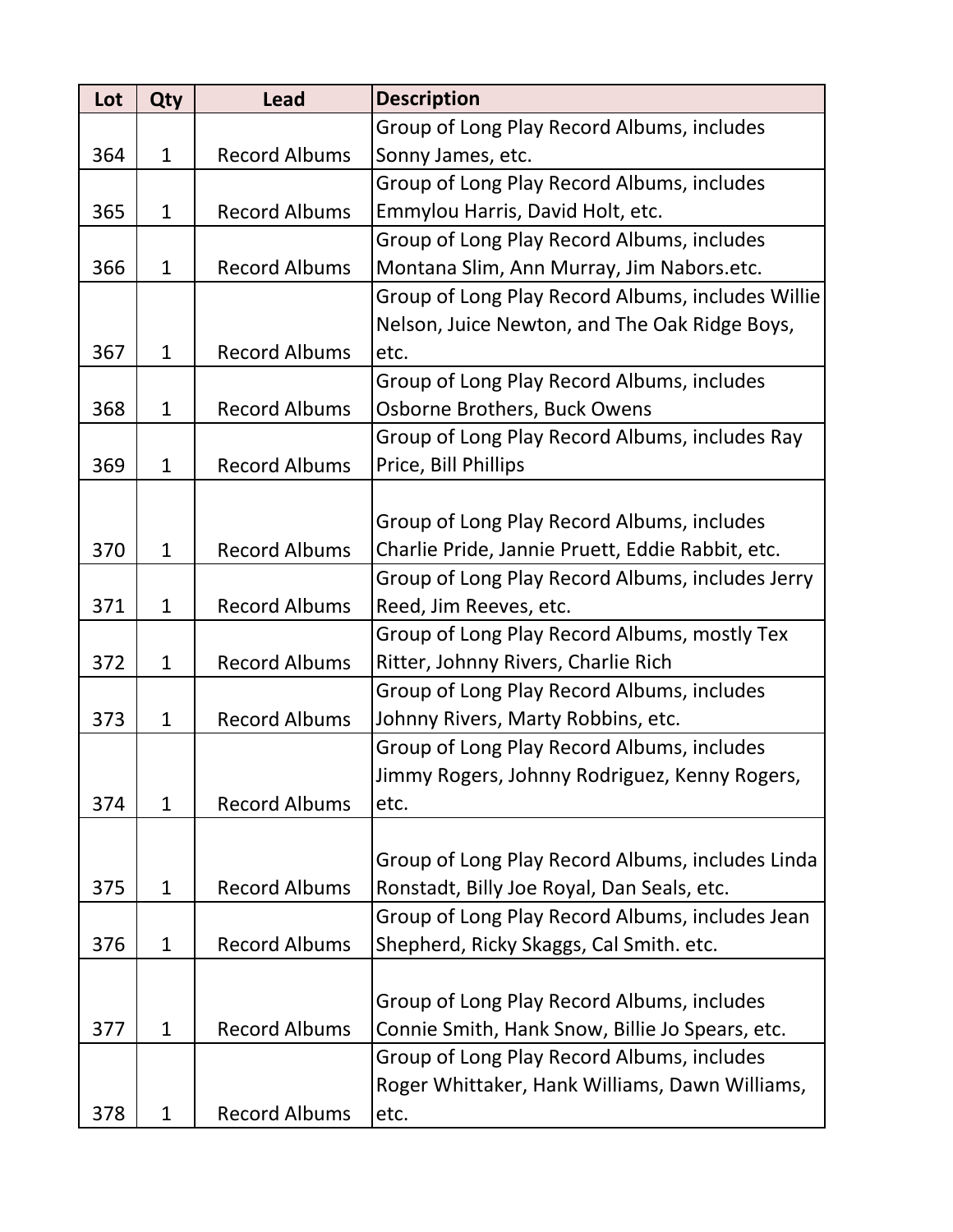| Lot | <b>Qty</b>   | <b>Lead</b>          | <b>Description</b>                                |
|-----|--------------|----------------------|---------------------------------------------------|
|     |              |                      | Group of Long Play Record Albums, includes        |
| 364 | $\mathbf{1}$ | <b>Record Albums</b> | Sonny James, etc.                                 |
|     |              |                      | Group of Long Play Record Albums, includes        |
| 365 | $\mathbf{1}$ | <b>Record Albums</b> | Emmylou Harris, David Holt, etc.                  |
|     |              |                      | Group of Long Play Record Albums, includes        |
| 366 | $\mathbf{1}$ | <b>Record Albums</b> | Montana Slim, Ann Murray, Jim Nabors.etc.         |
|     |              |                      | Group of Long Play Record Albums, includes Willie |
|     |              |                      | Nelson, Juice Newton, and The Oak Ridge Boys,     |
| 367 | $\mathbf{1}$ | <b>Record Albums</b> | etc.                                              |
|     |              |                      | Group of Long Play Record Albums, includes        |
| 368 | $\mathbf{1}$ | <b>Record Albums</b> | Osborne Brothers, Buck Owens                      |
|     |              |                      | Group of Long Play Record Albums, includes Ray    |
| 369 | $\mathbf{1}$ | <b>Record Albums</b> | Price, Bill Phillips                              |
|     |              |                      |                                                   |
|     |              |                      | Group of Long Play Record Albums, includes        |
| 370 | $\mathbf{1}$ | <b>Record Albums</b> | Charlie Pride, Jannie Pruett, Eddie Rabbit, etc.  |
|     |              |                      | Group of Long Play Record Albums, includes Jerry  |
| 371 | $\mathbf{1}$ | <b>Record Albums</b> | Reed, Jim Reeves, etc.                            |
|     |              |                      | Group of Long Play Record Albums, mostly Tex      |
| 372 | $\mathbf{1}$ | <b>Record Albums</b> | Ritter, Johnny Rivers, Charlie Rich               |
|     |              |                      | Group of Long Play Record Albums, includes        |
| 373 | $\mathbf{1}$ | <b>Record Albums</b> | Johnny Rivers, Marty Robbins, etc.                |
|     |              |                      | Group of Long Play Record Albums, includes        |
|     |              |                      | Jimmy Rogers, Johnny Rodriguez, Kenny Rogers,     |
| 374 | $\mathbf{1}$ | <b>Record Albums</b> | etc.                                              |
|     |              |                      |                                                   |
|     |              |                      | Group of Long Play Record Albums, includes Linda  |
| 375 | $\mathbf{1}$ | <b>Record Albums</b> | Ronstadt, Billy Joe Royal, Dan Seals, etc.        |
|     |              |                      | Group of Long Play Record Albums, includes Jean   |
| 376 | $\mathbf{1}$ | <b>Record Albums</b> | Shepherd, Ricky Skaggs, Cal Smith. etc.           |
|     |              |                      |                                                   |
|     |              |                      | Group of Long Play Record Albums, includes        |
| 377 | $\mathbf{1}$ | <b>Record Albums</b> | Connie Smith, Hank Snow, Billie Jo Spears, etc.   |
|     |              |                      | Group of Long Play Record Albums, includes        |
|     |              |                      | Roger Whittaker, Hank Williams, Dawn Williams,    |
| 378 | $\mathbf{1}$ | <b>Record Albums</b> | etc.                                              |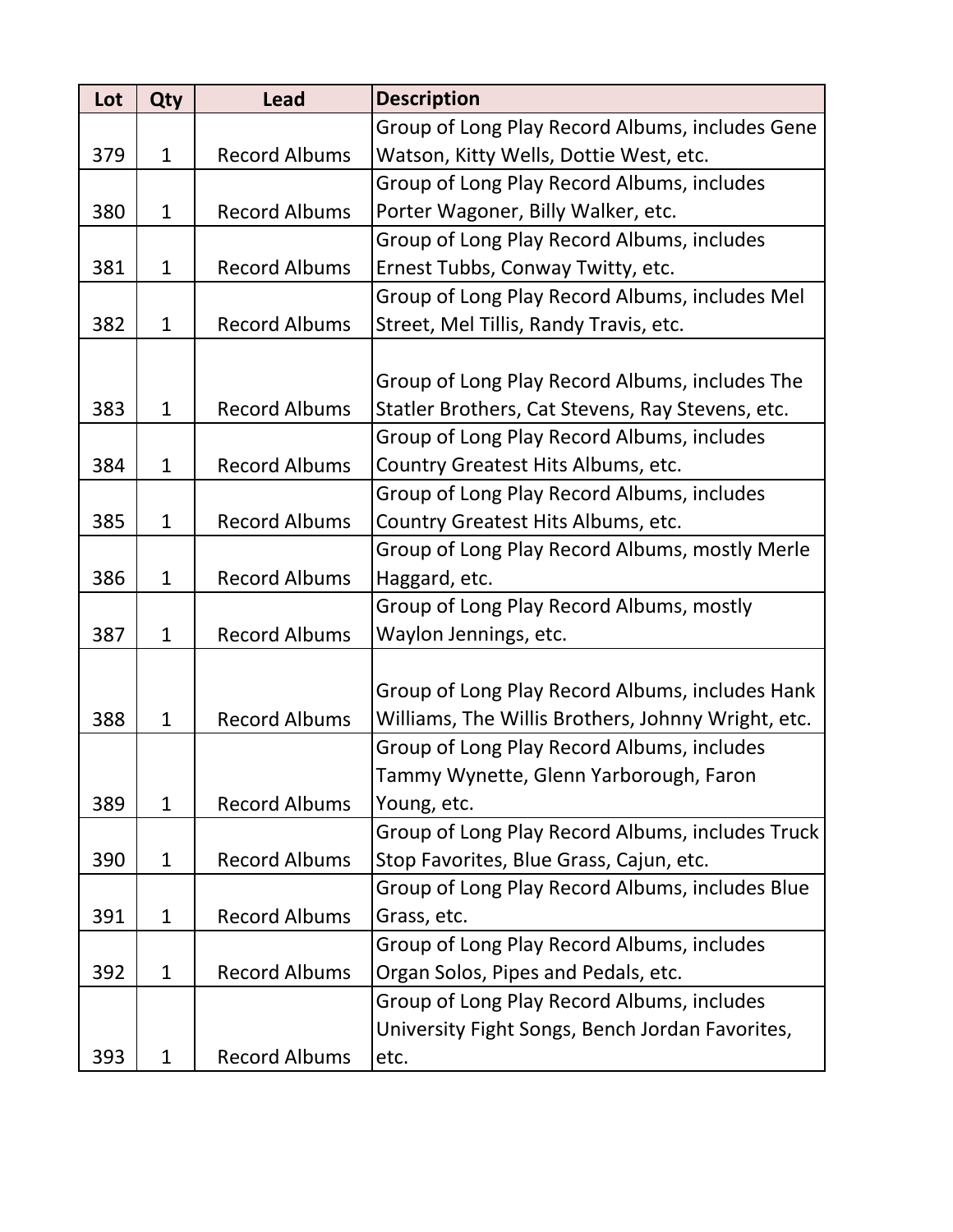| Lot | <b>Qty</b>   | <b>Lead</b>          | <b>Description</b>                                 |
|-----|--------------|----------------------|----------------------------------------------------|
|     |              |                      | Group of Long Play Record Albums, includes Gene    |
| 379 | $\mathbf{1}$ | <b>Record Albums</b> | Watson, Kitty Wells, Dottie West, etc.             |
|     |              |                      | Group of Long Play Record Albums, includes         |
| 380 | $\mathbf{1}$ | <b>Record Albums</b> | Porter Wagoner, Billy Walker, etc.                 |
|     |              |                      | Group of Long Play Record Albums, includes         |
| 381 | $\mathbf{1}$ | <b>Record Albums</b> | Ernest Tubbs, Conway Twitty, etc.                  |
|     |              |                      | Group of Long Play Record Albums, includes Mel     |
| 382 | $\mathbf{1}$ | <b>Record Albums</b> | Street, Mel Tillis, Randy Travis, etc.             |
|     |              |                      |                                                    |
|     |              |                      | Group of Long Play Record Albums, includes The     |
| 383 | $\mathbf{1}$ | <b>Record Albums</b> | Statler Brothers, Cat Stevens, Ray Stevens, etc.   |
|     |              |                      | Group of Long Play Record Albums, includes         |
| 384 | $\mathbf{1}$ | <b>Record Albums</b> | Country Greatest Hits Albums, etc.                 |
|     |              |                      | Group of Long Play Record Albums, includes         |
| 385 | $\mathbf{1}$ | <b>Record Albums</b> | Country Greatest Hits Albums, etc.                 |
|     |              |                      | Group of Long Play Record Albums, mostly Merle     |
| 386 | $\mathbf{1}$ | <b>Record Albums</b> | Haggard, etc.                                      |
|     |              |                      | Group of Long Play Record Albums, mostly           |
| 387 | $\mathbf{1}$ | <b>Record Albums</b> | Waylon Jennings, etc.                              |
|     |              |                      |                                                    |
|     |              |                      | Group of Long Play Record Albums, includes Hank    |
| 388 | $\mathbf{1}$ | <b>Record Albums</b> | Williams, The Willis Brothers, Johnny Wright, etc. |
|     |              |                      | Group of Long Play Record Albums, includes         |
|     |              |                      | Tammy Wynette, Glenn Yarborough, Faron             |
| 389 | $\mathbf{1}$ | <b>Record Albums</b> | Young, etc.                                        |
|     |              |                      | Group of Long Play Record Albums, includes Truck   |
| 390 | $\mathbf{1}$ | <b>Record Albums</b> | Stop Favorites, Blue Grass, Cajun, etc.            |
|     |              |                      | Group of Long Play Record Albums, includes Blue    |
| 391 | $\mathbf{1}$ | <b>Record Albums</b> | Grass, etc.                                        |
|     |              |                      | Group of Long Play Record Albums, includes         |
| 392 | $\mathbf{1}$ | <b>Record Albums</b> | Organ Solos, Pipes and Pedals, etc.                |
|     |              |                      | Group of Long Play Record Albums, includes         |
|     |              |                      | University Fight Songs, Bench Jordan Favorites,    |
| 393 | $\mathbf{1}$ | <b>Record Albums</b> | etc.                                               |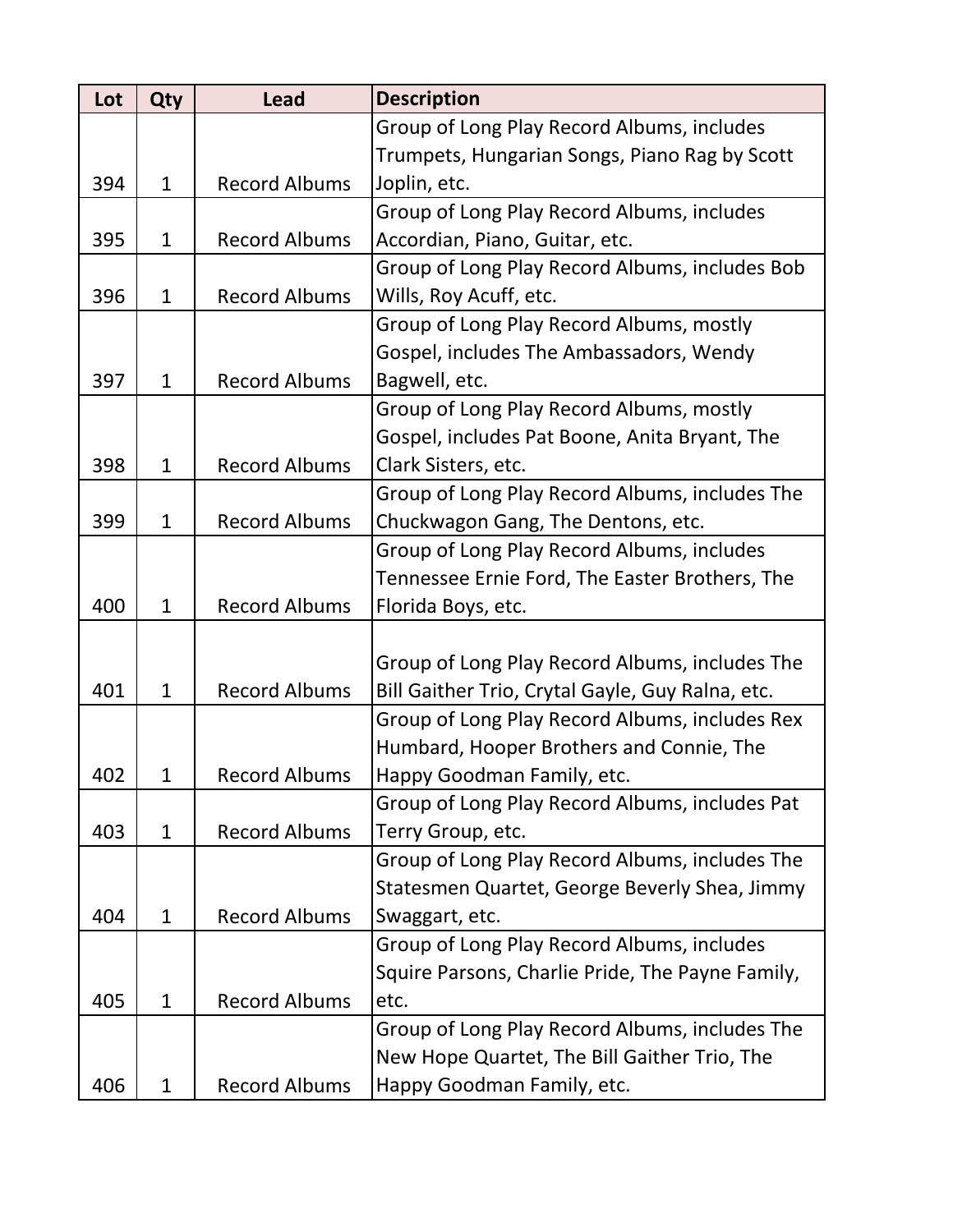| Lot | Qty          | <b>Lead</b>          | <b>Description</b>                               |
|-----|--------------|----------------------|--------------------------------------------------|
|     |              |                      | Group of Long Play Record Albums, includes       |
|     |              |                      | Trumpets, Hungarian Songs, Piano Rag by Scott    |
| 394 | $\mathbf{1}$ | <b>Record Albums</b> | Joplin, etc.                                     |
|     |              |                      | Group of Long Play Record Albums, includes       |
| 395 | $\mathbf{1}$ | <b>Record Albums</b> | Accordian, Piano, Guitar, etc.                   |
|     |              |                      | Group of Long Play Record Albums, includes Bob   |
| 396 | $\mathbf{1}$ | <b>Record Albums</b> | Wills, Roy Acuff, etc.                           |
|     |              |                      | Group of Long Play Record Albums, mostly         |
|     |              |                      | Gospel, includes The Ambassadors, Wendy          |
| 397 | 1            | <b>Record Albums</b> | Bagwell, etc.                                    |
|     |              |                      | Group of Long Play Record Albums, mostly         |
|     |              |                      | Gospel, includes Pat Boone, Anita Bryant, The    |
| 398 | $\mathbf{1}$ | <b>Record Albums</b> | Clark Sisters, etc.                              |
|     |              |                      | Group of Long Play Record Albums, includes The   |
| 399 | $\mathbf{1}$ | <b>Record Albums</b> | Chuckwagon Gang, The Dentons, etc.               |
|     |              |                      | Group of Long Play Record Albums, includes       |
|     |              |                      | Tennessee Ernie Ford, The Easter Brothers, The   |
| 400 | $\mathbf 1$  | <b>Record Albums</b> | Florida Boys, etc.                               |
|     |              |                      |                                                  |
|     |              |                      | Group of Long Play Record Albums, includes The   |
| 401 | $\mathbf{1}$ | <b>Record Albums</b> | Bill Gaither Trio, Crytal Gayle, Guy Ralna, etc. |
|     |              |                      | Group of Long Play Record Albums, includes Rex   |
|     |              |                      | Humbard, Hooper Brothers and Connie, The         |
| 402 | 1            | <b>Record Albums</b> | Happy Goodman Family, etc.                       |
|     |              |                      | Group of Long Play Record Albums, includes Pat   |
| 403 | $\mathbf{1}$ | <b>Record Albums</b> | Terry Group, etc.                                |
|     |              |                      | Group of Long Play Record Albums, includes The   |
|     |              |                      | Statesmen Quartet, George Beverly Shea, Jimmy    |
| 404 | $\mathbf{1}$ | <b>Record Albums</b> | Swaggart, etc.                                   |
|     |              |                      | Group of Long Play Record Albums, includes       |
|     |              |                      | Squire Parsons, Charlie Pride, The Payne Family, |
| 405 | $\mathbf{1}$ | <b>Record Albums</b> | etc.                                             |
|     |              |                      | Group of Long Play Record Albums, includes The   |
|     |              |                      | New Hope Quartet, The Bill Gaither Trio, The     |
| 406 | $\mathbf 1$  | <b>Record Albums</b> | Happy Goodman Family, etc.                       |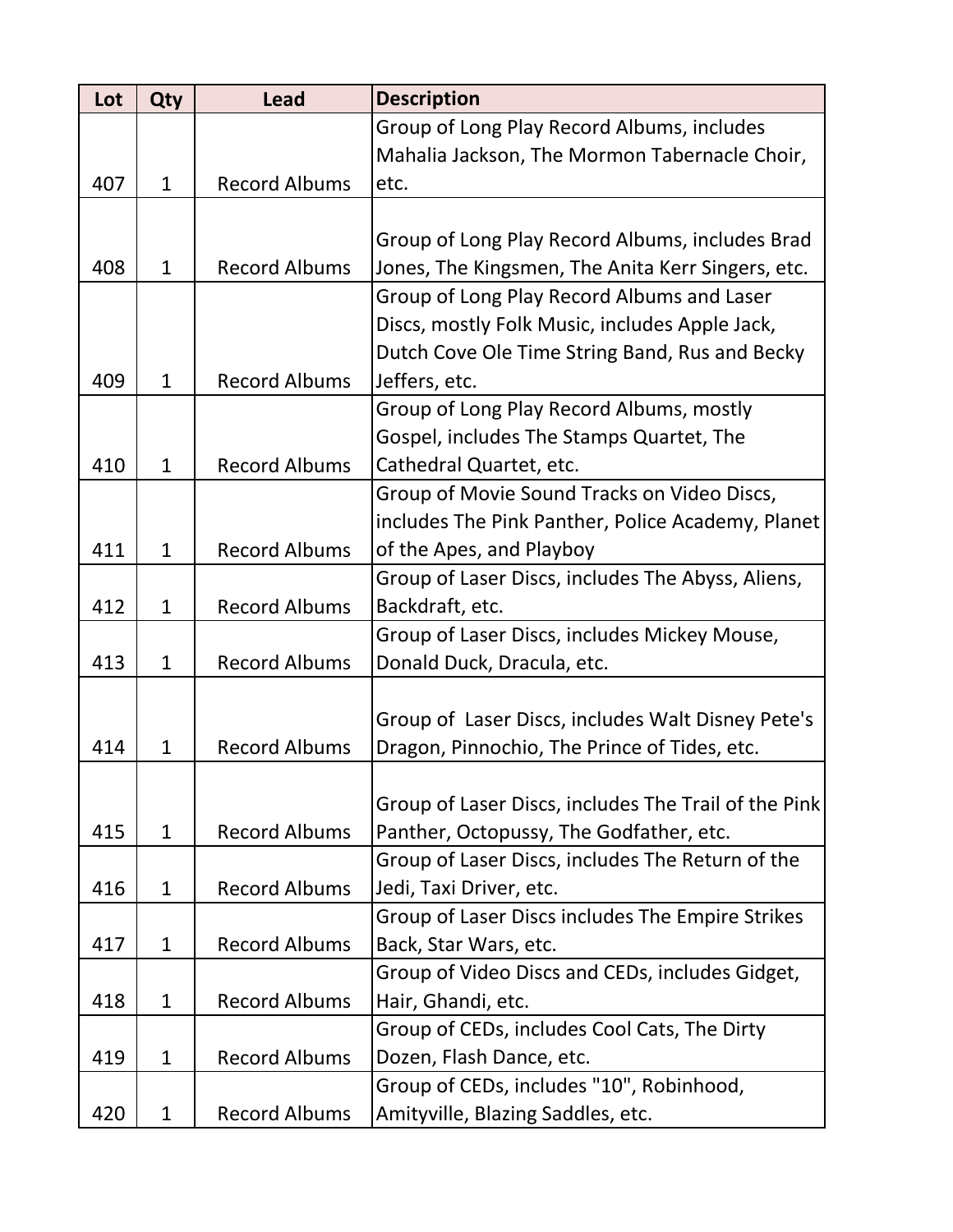| Lot | Qty          | <b>Lead</b>          | <b>Description</b>                                   |
|-----|--------------|----------------------|------------------------------------------------------|
|     |              |                      | Group of Long Play Record Albums, includes           |
|     |              |                      | Mahalia Jackson, The Mormon Tabernacle Choir,        |
| 407 | $\mathbf{1}$ | <b>Record Albums</b> | etc.                                                 |
|     |              |                      |                                                      |
|     |              |                      | Group of Long Play Record Albums, includes Brad      |
| 408 | $\mathbf 1$  | <b>Record Albums</b> | Jones, The Kingsmen, The Anita Kerr Singers, etc.    |
|     |              |                      | Group of Long Play Record Albums and Laser           |
|     |              |                      | Discs, mostly Folk Music, includes Apple Jack,       |
|     |              |                      | Dutch Cove Ole Time String Band, Rus and Becky       |
| 409 | $\mathbf{1}$ | <b>Record Albums</b> | Jeffers, etc.                                        |
|     |              |                      | Group of Long Play Record Albums, mostly             |
|     |              |                      | Gospel, includes The Stamps Quartet, The             |
| 410 | $\mathbf{1}$ | <b>Record Albums</b> | Cathedral Quartet, etc.                              |
|     |              |                      | Group of Movie Sound Tracks on Video Discs,          |
|     |              |                      | includes The Pink Panther, Police Academy, Planet    |
| 411 | $\mathbf{1}$ | <b>Record Albums</b> | of the Apes, and Playboy                             |
|     |              |                      | Group of Laser Discs, includes The Abyss, Aliens,    |
| 412 | $\mathbf{1}$ | <b>Record Albums</b> | Backdraft, etc.                                      |
|     |              |                      | Group of Laser Discs, includes Mickey Mouse,         |
| 413 | $\mathbf{1}$ | <b>Record Albums</b> | Donald Duck, Dracula, etc.                           |
|     |              |                      |                                                      |
|     |              |                      | Group of Laser Discs, includes Walt Disney Pete's    |
| 414 | $\mathbf{1}$ | <b>Record Albums</b> | Dragon, Pinnochio, The Prince of Tides, etc.         |
|     |              |                      |                                                      |
|     |              |                      | Group of Laser Discs, includes The Trail of the Pink |
| 415 | $\mathbf{1}$ | <b>Record Albums</b> | Panther, Octopussy, The Godfather, etc.              |
|     |              |                      | Group of Laser Discs, includes The Return of the     |
| 416 | $\mathbf{1}$ | <b>Record Albums</b> | Jedi, Taxi Driver, etc.                              |
|     |              |                      | Group of Laser Discs includes The Empire Strikes     |
| 417 | $\mathbf{1}$ | <b>Record Albums</b> | Back, Star Wars, etc.                                |
|     |              |                      | Group of Video Discs and CEDs, includes Gidget,      |
| 418 | $\mathbf{1}$ | <b>Record Albums</b> | Hair, Ghandi, etc.                                   |
|     |              |                      | Group of CEDs, includes Cool Cats, The Dirty         |
| 419 | $\mathbf{1}$ | <b>Record Albums</b> | Dozen, Flash Dance, etc.                             |
|     |              |                      | Group of CEDs, includes "10", Robinhood,             |
| 420 | $\mathbf{1}$ | <b>Record Albums</b> | Amityville, Blazing Saddles, etc.                    |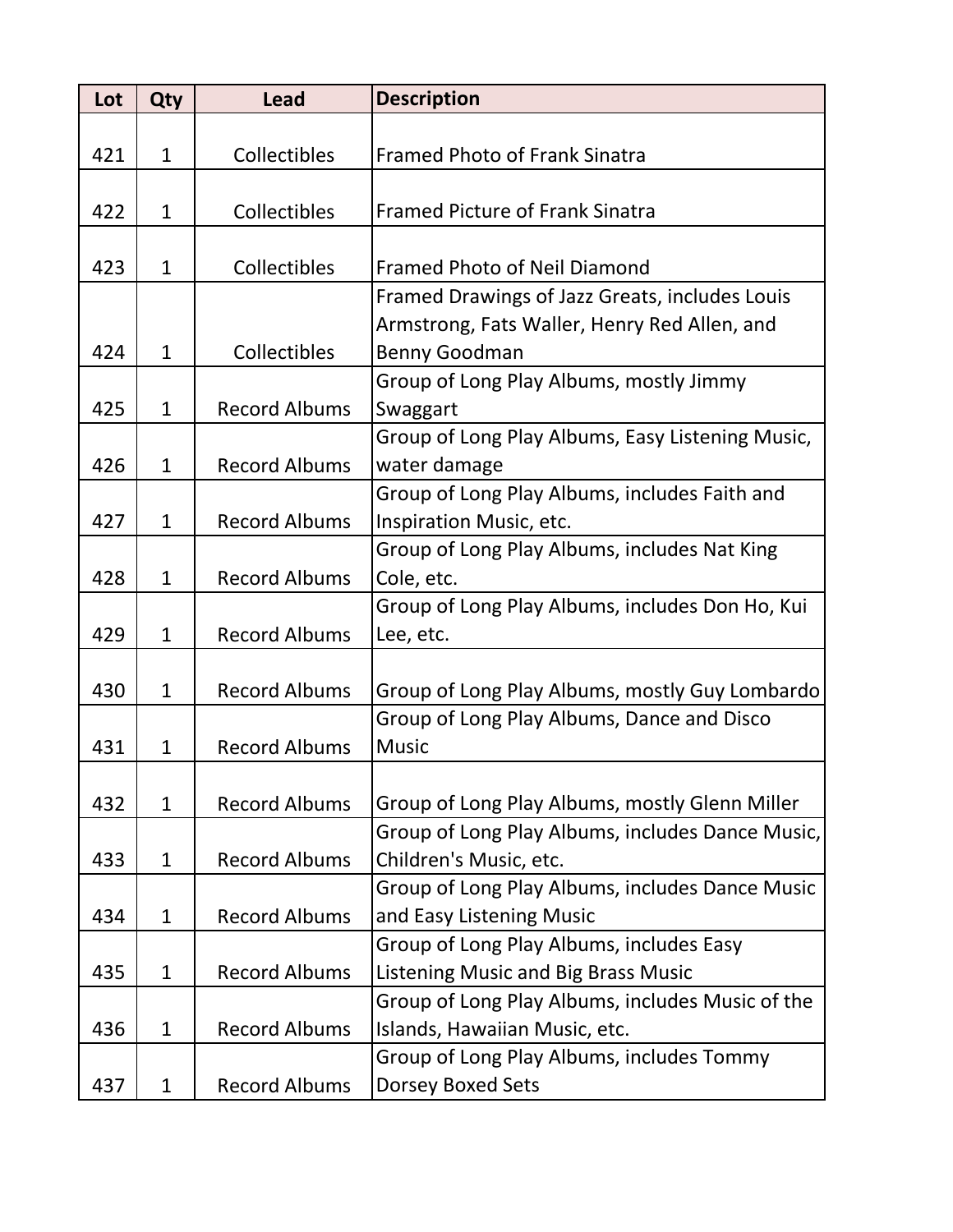| Lot | Qty          | <b>Lead</b>          | <b>Description</b>                               |
|-----|--------------|----------------------|--------------------------------------------------|
|     |              |                      |                                                  |
| 421 | $\mathbf{1}$ | <b>Collectibles</b>  | <b>Framed Photo of Frank Sinatra</b>             |
| 422 | $\mathbf{1}$ | Collectibles         | <b>Framed Picture of Frank Sinatra</b>           |
|     |              |                      |                                                  |
| 423 | $\mathbf{1}$ | Collectibles         | <b>Framed Photo of Neil Diamond</b>              |
|     |              |                      | Framed Drawings of Jazz Greats, includes Louis   |
|     |              |                      | Armstrong, Fats Waller, Henry Red Allen, and     |
| 424 | $\mathbf 1$  | Collectibles         | Benny Goodman                                    |
|     |              |                      | Group of Long Play Albums, mostly Jimmy          |
| 425 | $\mathbf{1}$ | <b>Record Albums</b> | Swaggart                                         |
|     |              |                      | Group of Long Play Albums, Easy Listening Music, |
| 426 | $\mathbf{1}$ | <b>Record Albums</b> | water damage                                     |
|     |              |                      | Group of Long Play Albums, includes Faith and    |
| 427 | $\mathbf{1}$ | <b>Record Albums</b> | Inspiration Music, etc.                          |
|     |              |                      | Group of Long Play Albums, includes Nat King     |
| 428 | $\mathbf{1}$ | <b>Record Albums</b> | Cole, etc.                                       |
|     |              |                      | Group of Long Play Albums, includes Don Ho, Kui  |
| 429 | $\mathbf{1}$ | <b>Record Albums</b> | Lee, etc.                                        |
|     |              |                      |                                                  |
| 430 | $\mathbf{1}$ | <b>Record Albums</b> | Group of Long Play Albums, mostly Guy Lombardo   |
|     |              |                      | Group of Long Play Albums, Dance and Disco       |
| 431 | $\mathbf{1}$ | <b>Record Albums</b> | <b>Music</b>                                     |
|     |              |                      |                                                  |
| 432 | $\mathbf{1}$ | <b>Record Albums</b> | Group of Long Play Albums, mostly Glenn Miller   |
|     |              |                      | Group of Long Play Albums, includes Dance Music, |
| 433 | $\mathbf{1}$ | <b>Record Albums</b> | Children's Music, etc.                           |
|     |              |                      | Group of Long Play Albums, includes Dance Music  |
| 434 | $\mathbf{1}$ | <b>Record Albums</b> | and Easy Listening Music                         |
|     |              |                      | Group of Long Play Albums, includes Easy         |
| 435 | $\mathbf{1}$ | <b>Record Albums</b> | Listening Music and Big Brass Music              |
|     |              |                      | Group of Long Play Albums, includes Music of the |
| 436 | $\mathbf{1}$ | <b>Record Albums</b> | Islands, Hawaiian Music, etc.                    |
|     |              |                      | Group of Long Play Albums, includes Tommy        |
| 437 | $\mathbf{1}$ | <b>Record Albums</b> | Dorsey Boxed Sets                                |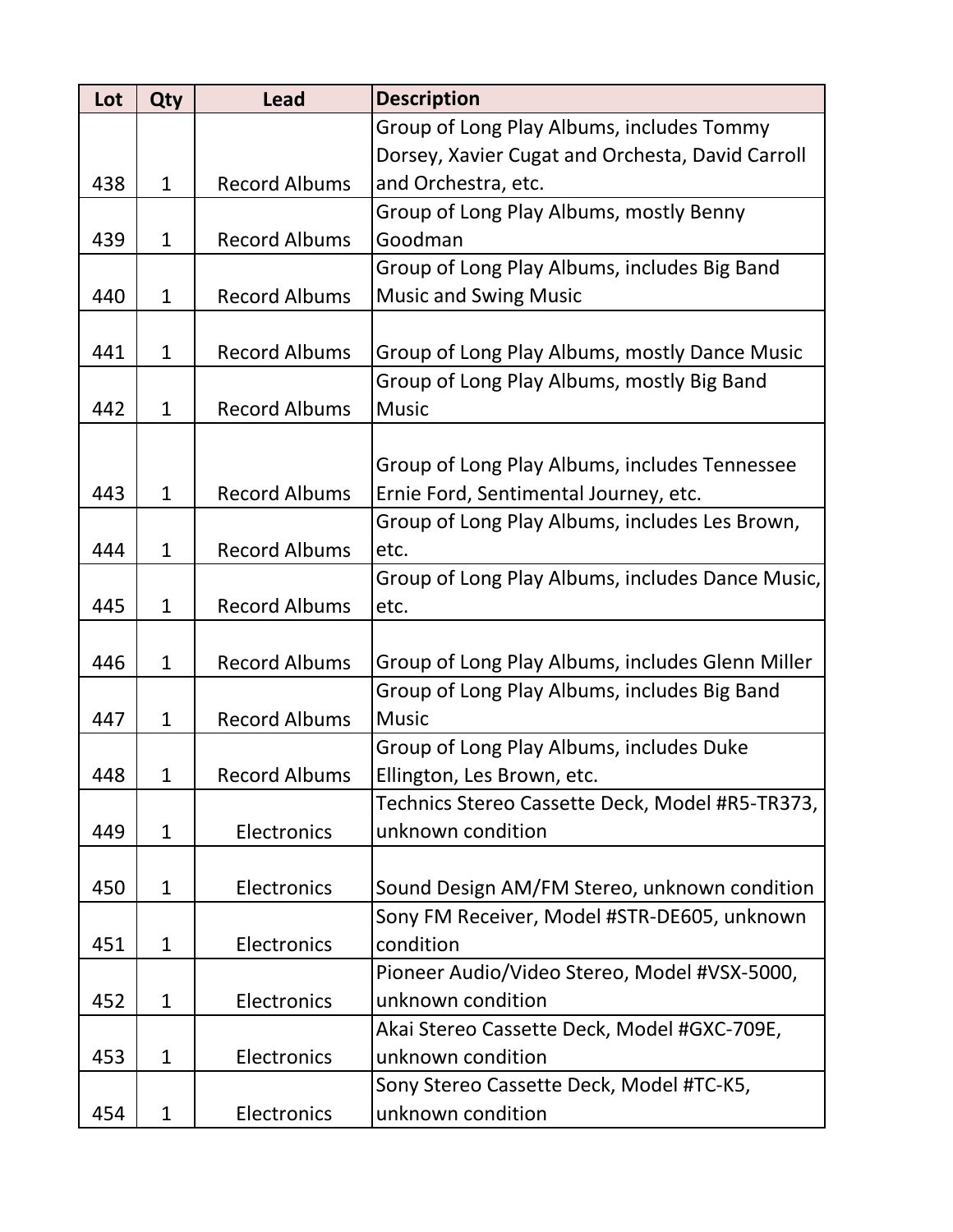| Lot | Qty          | <b>Lead</b>          | <b>Description</b>                               |
|-----|--------------|----------------------|--------------------------------------------------|
|     |              |                      | Group of Long Play Albums, includes Tommy        |
|     |              |                      | Dorsey, Xavier Cugat and Orchesta, David Carroll |
| 438 | $\mathbf{1}$ | <b>Record Albums</b> | and Orchestra, etc.                              |
|     |              |                      | Group of Long Play Albums, mostly Benny          |
| 439 | $\mathbf{1}$ | <b>Record Albums</b> | Goodman                                          |
|     |              |                      | Group of Long Play Albums, includes Big Band     |
| 440 | $\mathbf{1}$ | <b>Record Albums</b> | <b>Music and Swing Music</b>                     |
|     |              |                      |                                                  |
| 441 | $\mathbf{1}$ | <b>Record Albums</b> | Group of Long Play Albums, mostly Dance Music    |
|     |              |                      | Group of Long Play Albums, mostly Big Band       |
| 442 | $\mathbf{1}$ | <b>Record Albums</b> | <b>Music</b>                                     |
|     |              |                      |                                                  |
|     |              |                      | Group of Long Play Albums, includes Tennessee    |
| 443 | $\mathbf{1}$ | <b>Record Albums</b> | Ernie Ford, Sentimental Journey, etc.            |
|     |              |                      | Group of Long Play Albums, includes Les Brown,   |
| 444 | $\mathbf{1}$ | <b>Record Albums</b> | etc.                                             |
|     |              |                      | Group of Long Play Albums, includes Dance Music, |
| 445 | $\mathbf{1}$ | <b>Record Albums</b> | etc.                                             |
|     |              |                      |                                                  |
| 446 | $\mathbf{1}$ | <b>Record Albums</b> | Group of Long Play Albums, includes Glenn Miller |
|     |              |                      | Group of Long Play Albums, includes Big Band     |
| 447 | $\mathbf{1}$ | <b>Record Albums</b> | <b>Music</b>                                     |
|     |              |                      | Group of Long Play Albums, includes Duke         |
| 448 | 1            | <b>Record Albums</b> | Ellington, Les Brown, etc.                       |
|     |              |                      | Technics Stereo Cassette Deck, Model #R5-TR373,  |
| 449 | $\mathbf{1}$ | Electronics          | unknown condition                                |
|     |              |                      |                                                  |
| 450 | $\mathbf{1}$ | Electronics          | Sound Design AM/FM Stereo, unknown condition     |
|     |              |                      | Sony FM Receiver, Model #STR-DE605, unknown      |
| 451 | $\mathbf{1}$ | Electronics          | condition                                        |
|     |              |                      | Pioneer Audio/Video Stereo, Model #VSX-5000,     |
| 452 | $\mathbf 1$  | Electronics          | unknown condition                                |
|     |              |                      | Akai Stereo Cassette Deck, Model #GXC-709E,      |
| 453 | $\mathbf{1}$ | Electronics          | unknown condition                                |
|     |              |                      | Sony Stereo Cassette Deck, Model #TC-K5,         |
| 454 | $\mathbf{1}$ | Electronics          | unknown condition                                |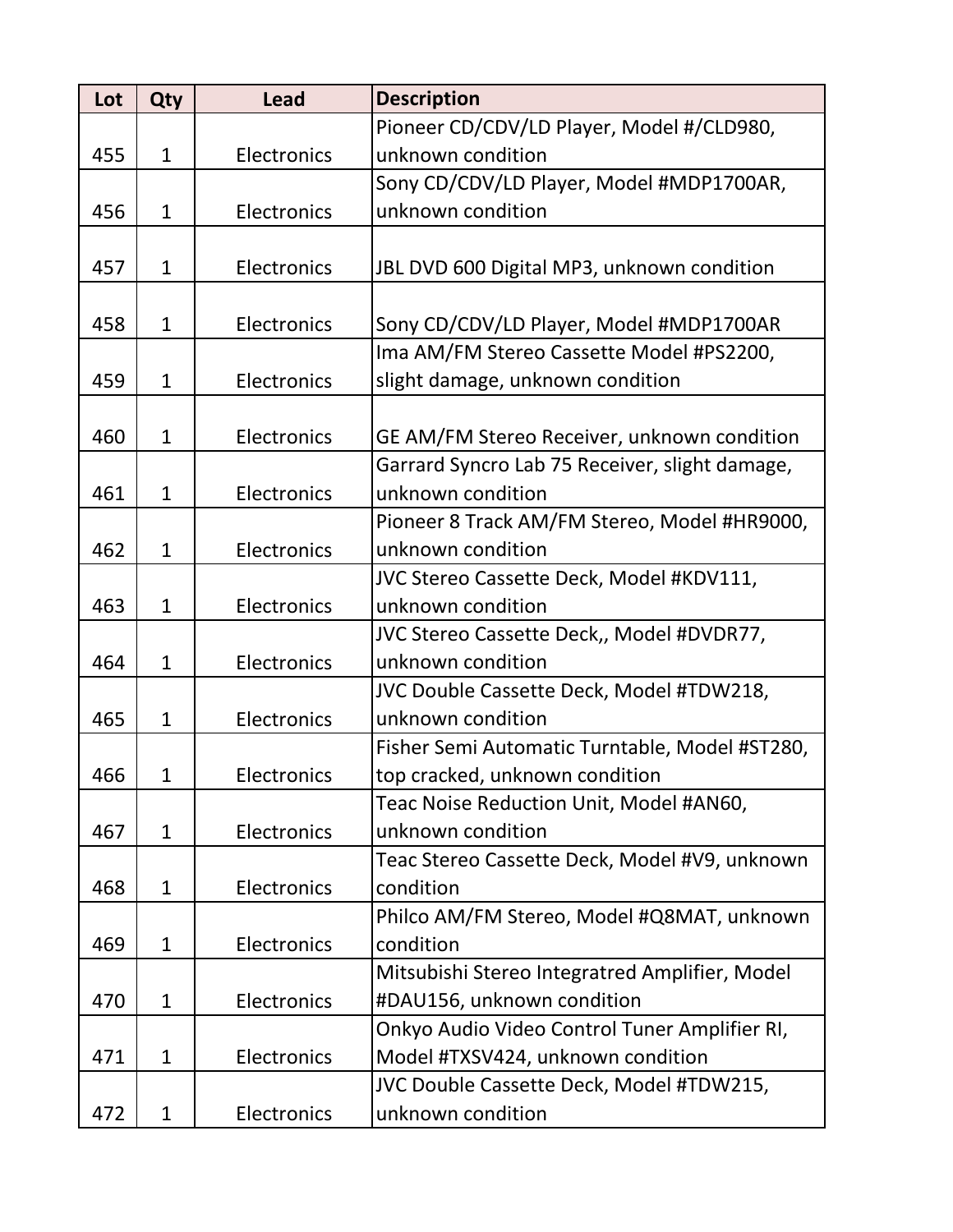| Lot | Qty          | <b>Lead</b> | <b>Description</b>                             |
|-----|--------------|-------------|------------------------------------------------|
|     |              |             | Pioneer CD/CDV/LD Player, Model #/CLD980,      |
| 455 | $\mathbf{1}$ | Electronics | unknown condition                              |
|     |              |             | Sony CD/CDV/LD Player, Model #MDP1700AR,       |
| 456 | $\mathbf{1}$ | Electronics | unknown condition                              |
|     |              |             |                                                |
| 457 | $\mathbf{1}$ | Electronics | JBL DVD 600 Digital MP3, unknown condition     |
|     |              |             |                                                |
| 458 | $\mathbf 1$  | Electronics | Sony CD/CDV/LD Player, Model #MDP1700AR        |
|     |              |             | Ima AM/FM Stereo Cassette Model #PS2200,       |
| 459 | $\mathbf{1}$ | Electronics | slight damage, unknown condition               |
|     |              |             |                                                |
| 460 | $\mathbf{1}$ | Electronics | GE AM/FM Stereo Receiver, unknown condition    |
|     |              |             | Garrard Syncro Lab 75 Receiver, slight damage, |
| 461 | $\mathbf{1}$ | Electronics | unknown condition                              |
|     |              |             | Pioneer 8 Track AM/FM Stereo, Model #HR9000,   |
| 462 | $\mathbf{1}$ | Electronics | unknown condition                              |
|     |              |             | JVC Stereo Cassette Deck, Model #KDV111,       |
| 463 | $\mathbf{1}$ | Electronics | unknown condition                              |
|     |              |             | JVC Stereo Cassette Deck,, Model #DVDR77,      |
| 464 | $\mathbf{1}$ | Electronics | unknown condition                              |
|     |              |             | JVC Double Cassette Deck, Model #TDW218,       |
| 465 | $\mathbf{1}$ | Electronics | unknown condition                              |
|     |              |             | Fisher Semi Automatic Turntable, Model #ST280, |
| 466 | 1            | Electronics | top cracked, unknown condition                 |
|     |              |             | Teac Noise Reduction Unit, Model #AN60,        |
| 467 | $\mathbf{1}$ | Electronics | unknown condition                              |
|     |              |             | Teac Stereo Cassette Deck, Model #V9, unknown  |
| 468 | $\mathbf{1}$ | Electronics | condition                                      |
|     |              |             | Philco AM/FM Stereo, Model #Q8MAT, unknown     |
| 469 | $\mathbf{1}$ | Electronics | condition                                      |
|     |              |             | Mitsubishi Stereo Integratred Amplifier, Model |
| 470 | $\mathbf{1}$ | Electronics | #DAU156, unknown condition                     |
|     |              |             | Onkyo Audio Video Control Tuner Amplifier RI,  |
| 471 | $\mathbf 1$  | Electronics | Model #TXSV424, unknown condition              |
|     |              |             | JVC Double Cassette Deck, Model #TDW215,       |
| 472 | $\mathbf{1}$ | Electronics | unknown condition                              |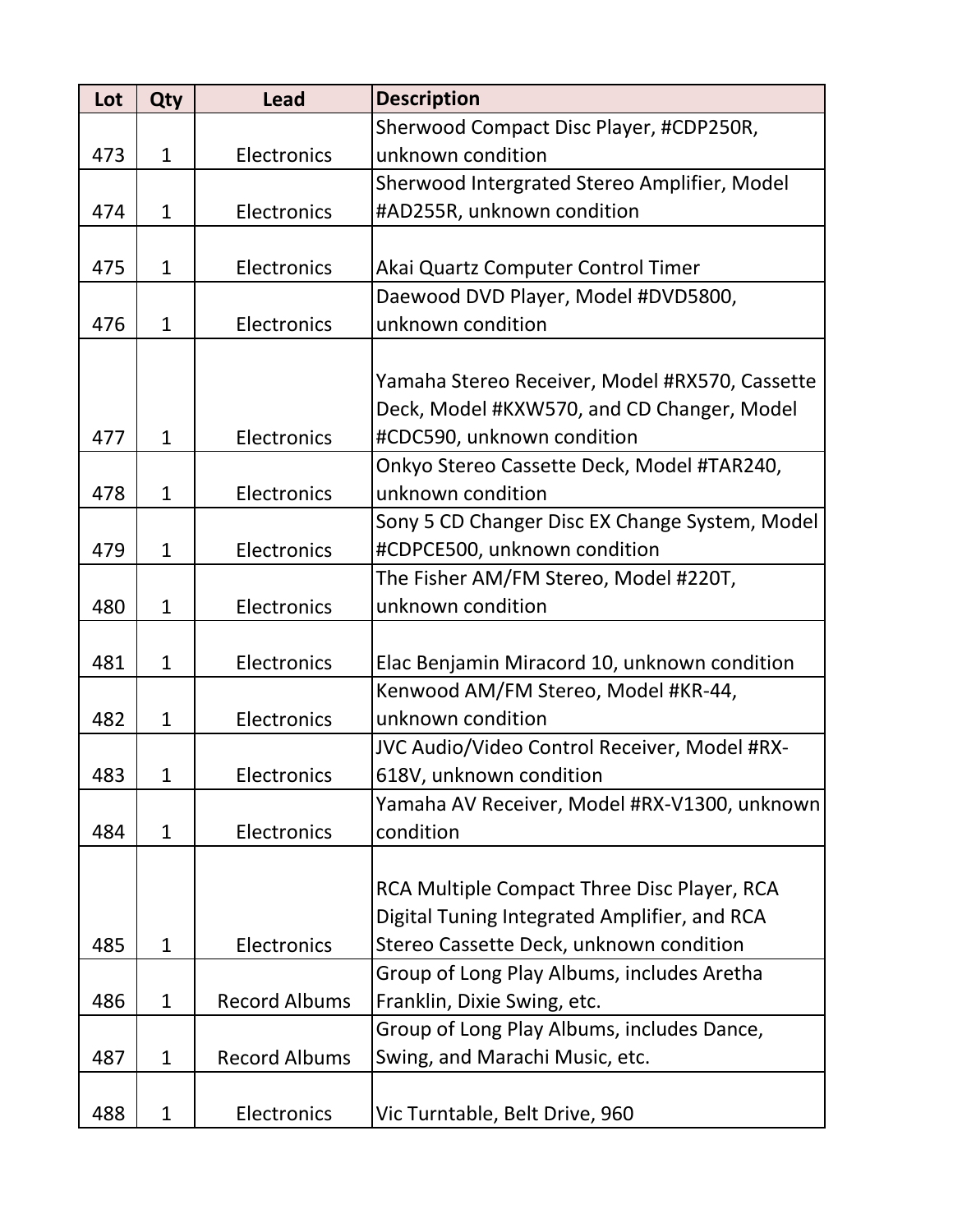| Lot | Qty          | <b>Lead</b>          | <b>Description</b>                             |
|-----|--------------|----------------------|------------------------------------------------|
|     |              |                      | Sherwood Compact Disc Player, #CDP250R,        |
| 473 | $\mathbf{1}$ | Electronics          | unknown condition                              |
|     |              |                      | Sherwood Intergrated Stereo Amplifier, Model   |
| 474 | $\mathbf{1}$ | Electronics          | #AD255R, unknown condition                     |
|     |              |                      |                                                |
| 475 | $\mathbf{1}$ | Electronics          | Akai Quartz Computer Control Timer             |
|     |              |                      | Daewood DVD Player, Model #DVD5800,            |
| 476 | $\mathbf{1}$ | Electronics          | unknown condition                              |
|     |              |                      |                                                |
|     |              |                      | Yamaha Stereo Receiver, Model #RX570, Cassette |
|     |              |                      | Deck, Model #KXW570, and CD Changer, Model     |
| 477 | $\mathbf{1}$ | Electronics          | #CDC590, unknown condition                     |
|     |              |                      | Onkyo Stereo Cassette Deck, Model #TAR240,     |
| 478 | $\mathbf{1}$ | Electronics          | unknown condition                              |
|     |              |                      | Sony 5 CD Changer Disc EX Change System, Model |
| 479 | $\mathbf{1}$ | Electronics          | #CDPCE500, unknown condition                   |
|     |              |                      | The Fisher AM/FM Stereo, Model #220T,          |
| 480 | $\mathbf{1}$ | Electronics          | unknown condition                              |
|     |              |                      |                                                |
| 481 | $\mathbf{1}$ | Electronics          | Elac Benjamin Miracord 10, unknown condition   |
|     |              |                      | Kenwood AM/FM Stereo, Model #KR-44,            |
| 482 | $\mathbf{1}$ | Electronics          | unknown condition                              |
|     |              |                      | JVC Audio/Video Control Receiver, Model #RX-   |
| 483 | 1            | Electronics          | 618V, unknown condition                        |
|     |              |                      | Yamaha AV Receiver, Model #RX-V1300, unknown   |
| 484 | $\mathbf{1}$ | Electronics          | condition                                      |
|     |              |                      |                                                |
|     |              |                      | RCA Multiple Compact Three Disc Player, RCA    |
|     |              |                      | Digital Tuning Integrated Amplifier, and RCA   |
| 485 | $\mathbf{1}$ | Electronics          | Stereo Cassette Deck, unknown condition        |
|     |              |                      | Group of Long Play Albums, includes Aretha     |
| 486 | $\mathbf 1$  | <b>Record Albums</b> | Franklin, Dixie Swing, etc.                    |
|     |              |                      | Group of Long Play Albums, includes Dance,     |
| 487 | $\mathbf{1}$ | <b>Record Albums</b> | Swing, and Marachi Music, etc.                 |
|     |              |                      |                                                |
| 488 | $\mathbf{1}$ | Electronics          | Vic Turntable, Belt Drive, 960                 |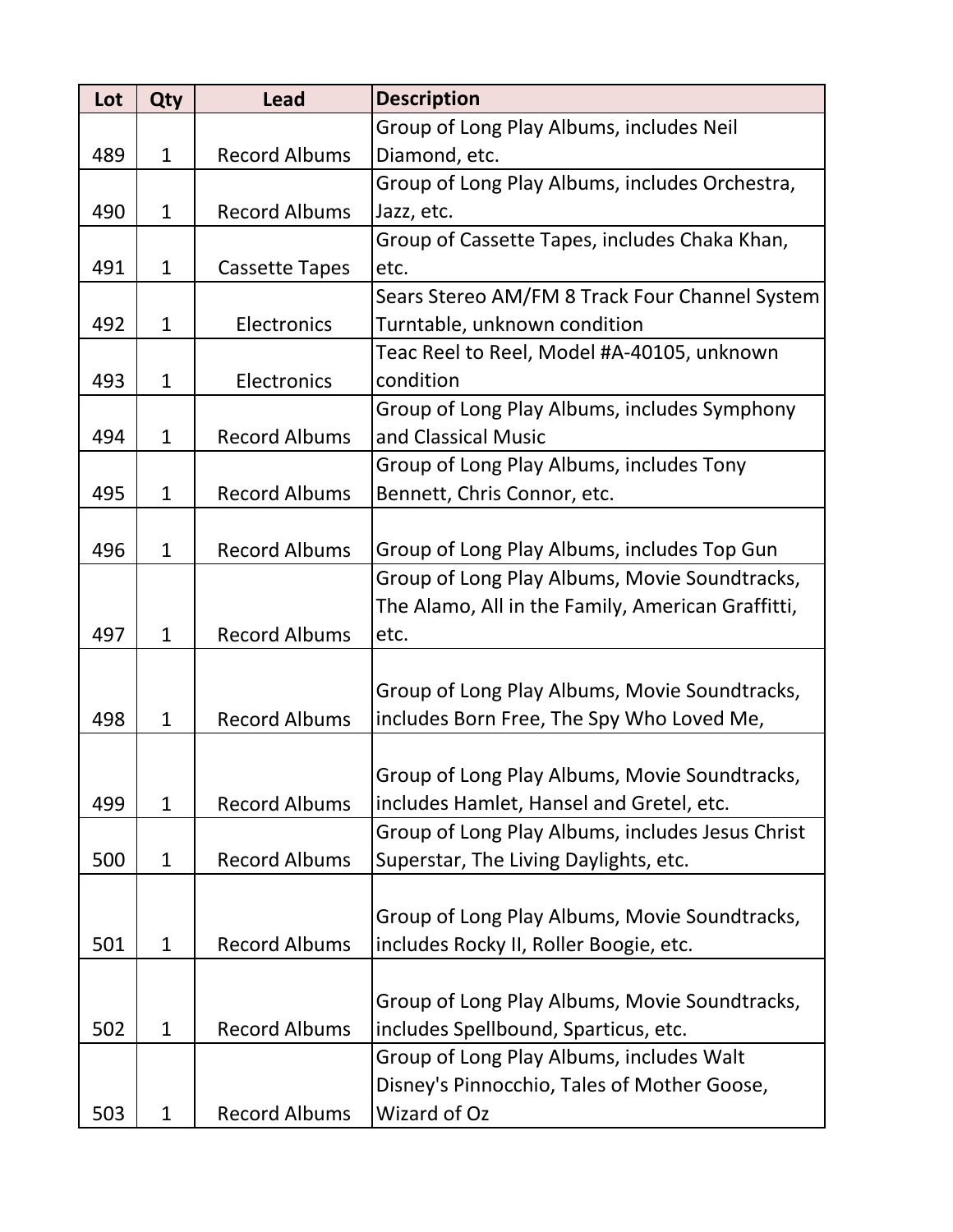| Lot | Qty          | <b>Lead</b>           | <b>Description</b>                                |
|-----|--------------|-----------------------|---------------------------------------------------|
|     |              |                       | Group of Long Play Albums, includes Neil          |
| 489 | $\mathbf{1}$ | <b>Record Albums</b>  | Diamond, etc.                                     |
|     |              |                       | Group of Long Play Albums, includes Orchestra,    |
| 490 | $\mathbf{1}$ | <b>Record Albums</b>  | Jazz, etc.                                        |
|     |              |                       | Group of Cassette Tapes, includes Chaka Khan,     |
| 491 | $\mathbf{1}$ | <b>Cassette Tapes</b> | etc.                                              |
|     |              |                       | Sears Stereo AM/FM 8 Track Four Channel System    |
| 492 | $\mathbf{1}$ | Electronics           | Turntable, unknown condition                      |
|     |              |                       | Teac Reel to Reel, Model #A-40105, unknown        |
| 493 | $\mathbf{1}$ | Electronics           | condition                                         |
|     |              |                       | Group of Long Play Albums, includes Symphony      |
| 494 | $\mathbf{1}$ | <b>Record Albums</b>  | and Classical Music                               |
|     |              |                       | Group of Long Play Albums, includes Tony          |
| 495 | $\mathbf{1}$ | <b>Record Albums</b>  | Bennett, Chris Connor, etc.                       |
|     |              |                       |                                                   |
| 496 | $\mathbf{1}$ | <b>Record Albums</b>  | Group of Long Play Albums, includes Top Gun       |
|     |              |                       | Group of Long Play Albums, Movie Soundtracks,     |
|     |              |                       | The Alamo, All in the Family, American Graffitti, |
| 497 | $\mathbf{1}$ | <b>Record Albums</b>  | etc.                                              |
|     |              |                       |                                                   |
|     |              |                       | Group of Long Play Albums, Movie Soundtracks,     |
| 498 | $\mathbf{1}$ | <b>Record Albums</b>  | includes Born Free, The Spy Who Loved Me,         |
|     |              |                       |                                                   |
|     |              |                       | Group of Long Play Albums, Movie Soundtracks,     |
| 499 | $\mathbf{1}$ | <b>Record Albums</b>  | includes Hamlet, Hansel and Gretel, etc.          |
|     |              |                       | Group of Long Play Albums, includes Jesus Christ  |
| 500 | $\mathbf{1}$ | <b>Record Albums</b>  | Superstar, The Living Daylights, etc.             |
|     |              |                       |                                                   |
|     |              |                       | Group of Long Play Albums, Movie Soundtracks,     |
| 501 | $\mathbf{1}$ | <b>Record Albums</b>  | includes Rocky II, Roller Boogie, etc.            |
|     |              |                       |                                                   |
|     |              |                       | Group of Long Play Albums, Movie Soundtracks,     |
| 502 | $\mathbf{1}$ | <b>Record Albums</b>  | includes Spellbound, Sparticus, etc.              |
|     |              |                       | Group of Long Play Albums, includes Walt          |
|     |              |                       | Disney's Pinnocchio, Tales of Mother Goose,       |
| 503 | $\mathbf{1}$ | <b>Record Albums</b>  | Wizard of Oz                                      |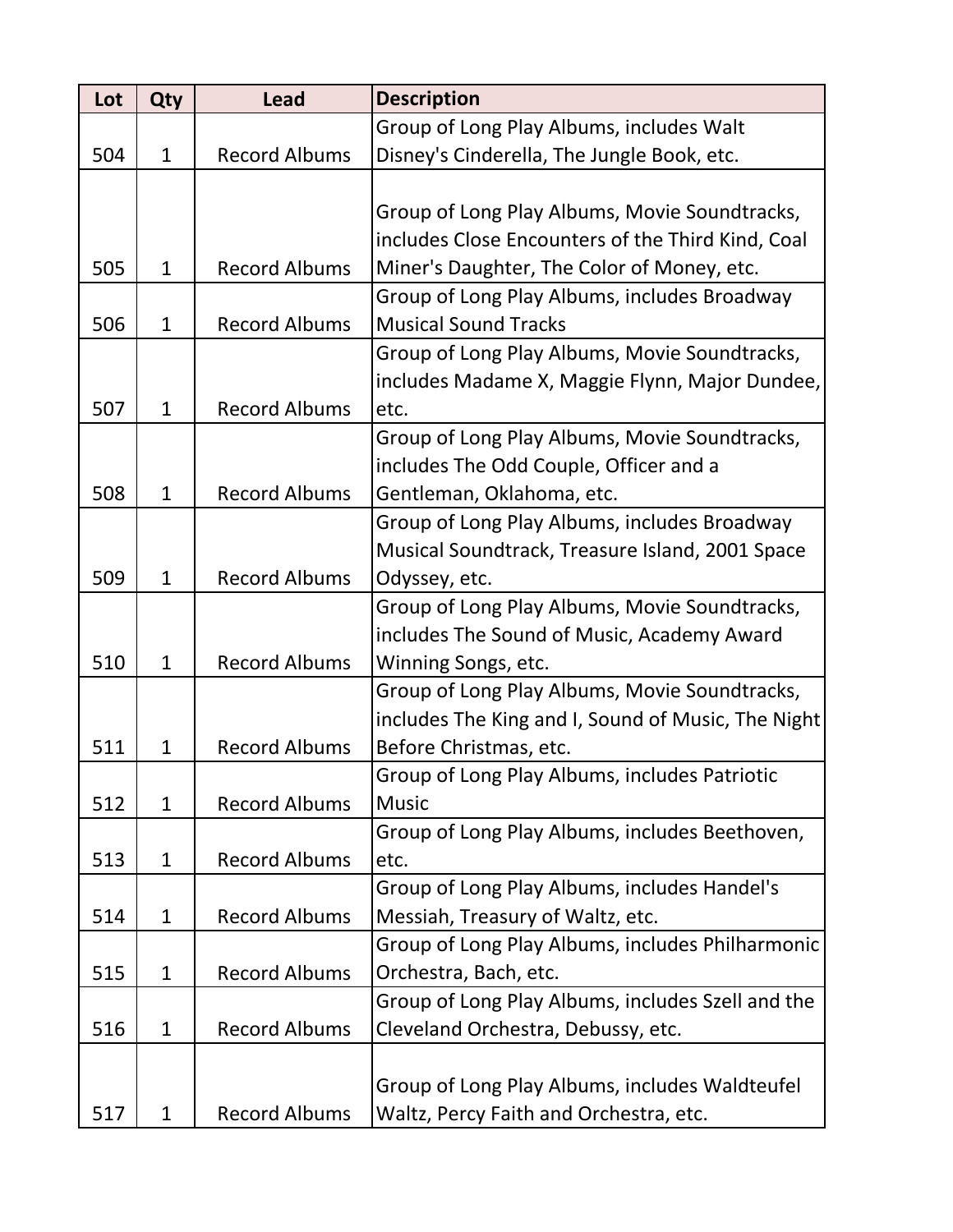| Lot | Qty          | <b>Lead</b>          | <b>Description</b>                                 |
|-----|--------------|----------------------|----------------------------------------------------|
|     |              |                      | Group of Long Play Albums, includes Walt           |
| 504 | $\mathbf{1}$ | <b>Record Albums</b> | Disney's Cinderella, The Jungle Book, etc.         |
|     |              |                      |                                                    |
|     |              |                      | Group of Long Play Albums, Movie Soundtracks,      |
|     |              |                      | includes Close Encounters of the Third Kind, Coal  |
| 505 | $\mathbf{1}$ | <b>Record Albums</b> | Miner's Daughter, The Color of Money, etc.         |
|     |              |                      | Group of Long Play Albums, includes Broadway       |
| 506 | $\mathbf{1}$ | <b>Record Albums</b> | <b>Musical Sound Tracks</b>                        |
|     |              |                      | Group of Long Play Albums, Movie Soundtracks,      |
|     |              |                      | includes Madame X, Maggie Flynn, Major Dundee,     |
| 507 | $\mathbf{1}$ | <b>Record Albums</b> | etc.                                               |
|     |              |                      | Group of Long Play Albums, Movie Soundtracks,      |
|     |              |                      | includes The Odd Couple, Officer and a             |
| 508 | $\mathbf{1}$ | <b>Record Albums</b> | Gentleman, Oklahoma, etc.                          |
|     |              |                      | Group of Long Play Albums, includes Broadway       |
|     |              |                      | Musical Soundtrack, Treasure Island, 2001 Space    |
| 509 | $\mathbf{1}$ | <b>Record Albums</b> | Odyssey, etc.                                      |
|     |              |                      | Group of Long Play Albums, Movie Soundtracks,      |
|     |              |                      | includes The Sound of Music, Academy Award         |
| 510 | $\mathbf{1}$ | <b>Record Albums</b> | Winning Songs, etc.                                |
|     |              |                      | Group of Long Play Albums, Movie Soundtracks,      |
|     |              |                      | includes The King and I, Sound of Music, The Night |
| 511 | $\mathbf{1}$ | <b>Record Albums</b> | Before Christmas, etc.                             |
|     |              |                      | Group of Long Play Albums, includes Patriotic      |
| 512 | $\mathbf{1}$ | <b>Record Albums</b> | <b>Music</b>                                       |
|     |              |                      | Group of Long Play Albums, includes Beethoven,     |
| 513 | $\mathbf{1}$ | <b>Record Albums</b> | etc.                                               |
|     |              |                      | Group of Long Play Albums, includes Handel's       |
| 514 | $\mathbf{1}$ | <b>Record Albums</b> | Messiah, Treasury of Waltz, etc.                   |
|     |              |                      | Group of Long Play Albums, includes Philharmonic   |
| 515 | $\mathbf{1}$ | <b>Record Albums</b> | Orchestra, Bach, etc.                              |
|     |              |                      | Group of Long Play Albums, includes Szell and the  |
| 516 | $\mathbf{1}$ | <b>Record Albums</b> | Cleveland Orchestra, Debussy, etc.                 |
|     |              |                      |                                                    |
|     |              |                      | Group of Long Play Albums, includes Waldteufel     |
| 517 | $\mathbf{1}$ | <b>Record Albums</b> | Waltz, Percy Faith and Orchestra, etc.             |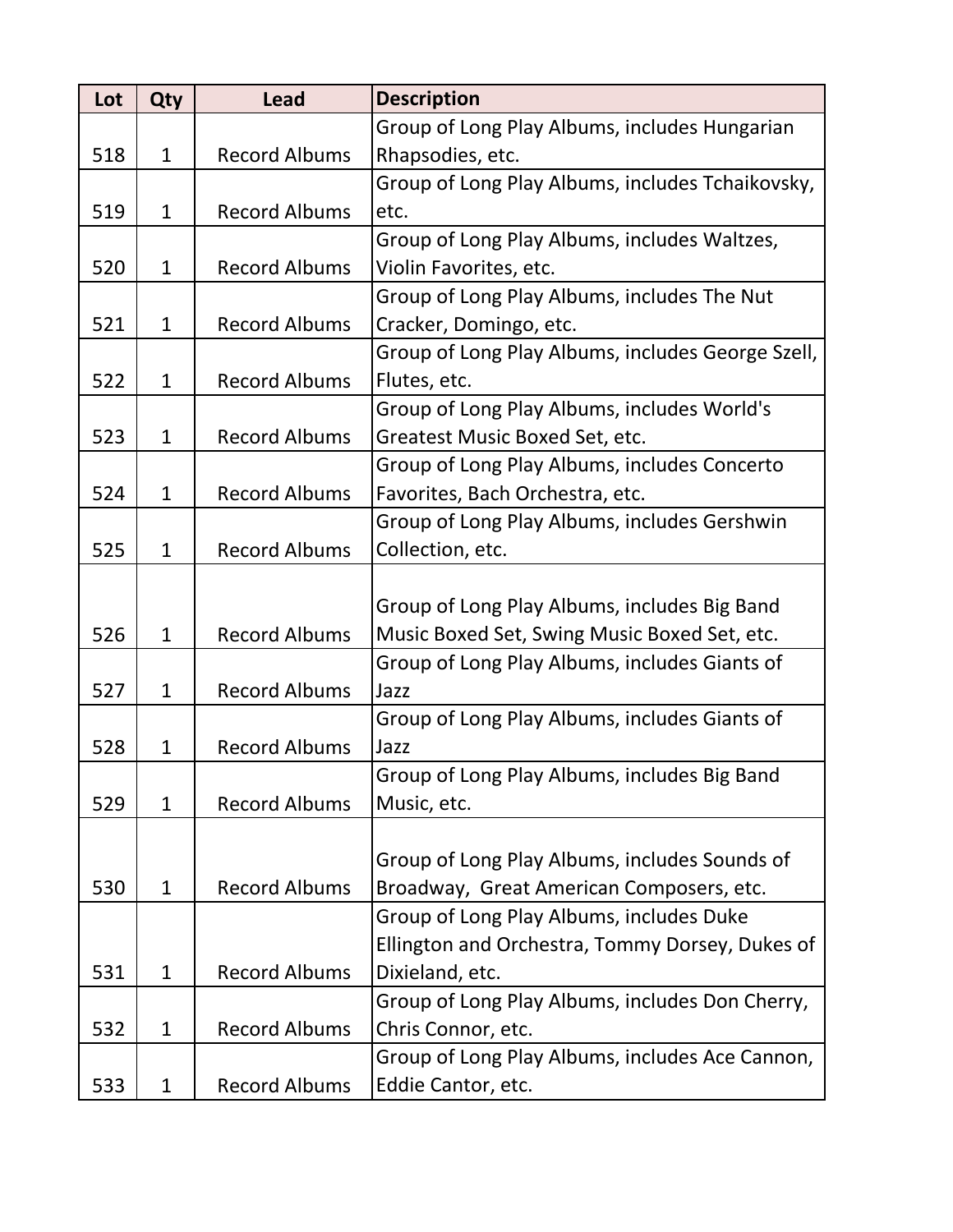| Lot | Qty          | <b>Lead</b>          | <b>Description</b>                                |
|-----|--------------|----------------------|---------------------------------------------------|
|     |              |                      | Group of Long Play Albums, includes Hungarian     |
| 518 | $\mathbf{1}$ | <b>Record Albums</b> | Rhapsodies, etc.                                  |
|     |              |                      | Group of Long Play Albums, includes Tchaikovsky,  |
| 519 | $\mathbf{1}$ | <b>Record Albums</b> | etc.                                              |
|     |              |                      | Group of Long Play Albums, includes Waltzes,      |
| 520 | $\mathbf{1}$ | <b>Record Albums</b> | Violin Favorites, etc.                            |
|     |              |                      | Group of Long Play Albums, includes The Nut       |
| 521 | $\mathbf{1}$ | <b>Record Albums</b> | Cracker, Domingo, etc.                            |
|     |              |                      | Group of Long Play Albums, includes George Szell, |
| 522 | $\mathbf{1}$ | <b>Record Albums</b> | Flutes, etc.                                      |
|     |              |                      | Group of Long Play Albums, includes World's       |
| 523 | $\mathbf{1}$ | <b>Record Albums</b> | Greatest Music Boxed Set, etc.                    |
|     |              |                      | Group of Long Play Albums, includes Concerto      |
| 524 | $\mathbf{1}$ | <b>Record Albums</b> | Favorites, Bach Orchestra, etc.                   |
|     |              |                      | Group of Long Play Albums, includes Gershwin      |
| 525 | $\mathbf{1}$ | <b>Record Albums</b> | Collection, etc.                                  |
|     |              |                      |                                                   |
|     |              |                      | Group of Long Play Albums, includes Big Band      |
| 526 | $\mathbf{1}$ | <b>Record Albums</b> | Music Boxed Set, Swing Music Boxed Set, etc.      |
|     |              |                      | Group of Long Play Albums, includes Giants of     |
| 527 | $\mathbf{1}$ | <b>Record Albums</b> | Jazz                                              |
|     |              |                      | Group of Long Play Albums, includes Giants of     |
| 528 | $\mathbf{1}$ | <b>Record Albums</b> | Jazz                                              |
|     |              |                      | Group of Long Play Albums, includes Big Band      |
| 529 | $\mathbf{1}$ | <b>Record Albums</b> | Music, etc.                                       |
|     |              |                      |                                                   |
|     |              |                      | Group of Long Play Albums, includes Sounds of     |
| 530 | $\mathbf{1}$ | <b>Record Albums</b> | Broadway, Great American Composers, etc.          |
|     |              |                      | Group of Long Play Albums, includes Duke          |
|     |              |                      | Ellington and Orchestra, Tommy Dorsey, Dukes of   |
| 531 | $\mathbf{1}$ | <b>Record Albums</b> | Dixieland, etc.                                   |
|     |              |                      | Group of Long Play Albums, includes Don Cherry,   |
| 532 | $\mathbf 1$  | <b>Record Albums</b> | Chris Connor, etc.                                |
|     |              |                      | Group of Long Play Albums, includes Ace Cannon,   |
| 533 | $\mathbf 1$  | <b>Record Albums</b> | Eddie Cantor, etc.                                |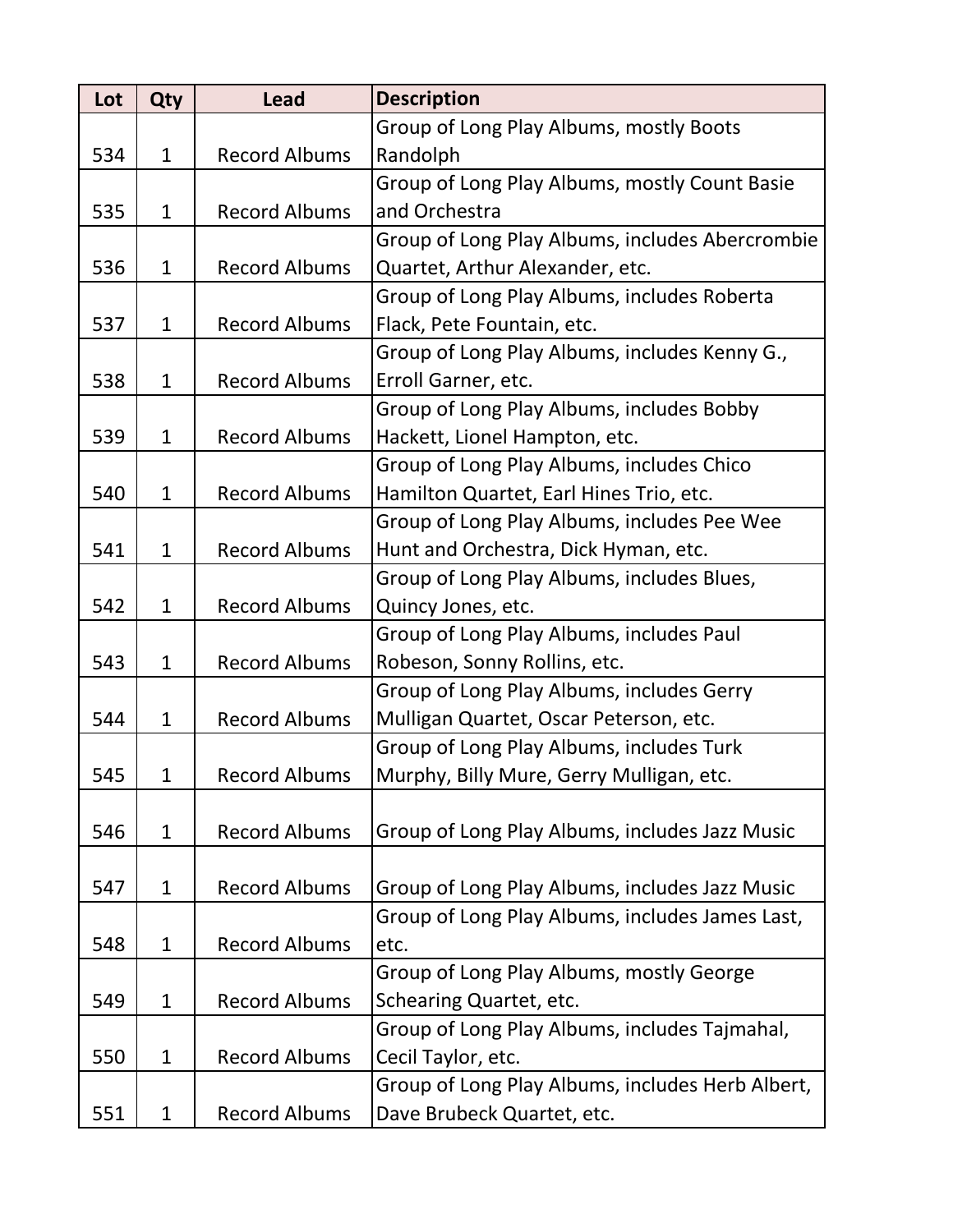| Lot | <b>Qty</b>   | <b>Lead</b>          | <b>Description</b>                               |
|-----|--------------|----------------------|--------------------------------------------------|
|     |              |                      | Group of Long Play Albums, mostly Boots          |
| 534 | $\mathbf{1}$ | <b>Record Albums</b> | Randolph                                         |
|     |              |                      | Group of Long Play Albums, mostly Count Basie    |
| 535 | $\mathbf{1}$ | <b>Record Albums</b> | and Orchestra                                    |
|     |              |                      | Group of Long Play Albums, includes Abercrombie  |
| 536 | $\mathbf{1}$ | <b>Record Albums</b> | Quartet, Arthur Alexander, etc.                  |
|     |              |                      | Group of Long Play Albums, includes Roberta      |
| 537 | $\mathbf{1}$ | <b>Record Albums</b> | Flack, Pete Fountain, etc.                       |
|     |              |                      | Group of Long Play Albums, includes Kenny G.,    |
| 538 | $\mathbf{1}$ | <b>Record Albums</b> | Erroll Garner, etc.                              |
|     |              |                      | Group of Long Play Albums, includes Bobby        |
| 539 | $\mathbf{1}$ | <b>Record Albums</b> | Hackett, Lionel Hampton, etc.                    |
|     |              |                      | Group of Long Play Albums, includes Chico        |
| 540 | $\mathbf{1}$ | <b>Record Albums</b> | Hamilton Quartet, Earl Hines Trio, etc.          |
|     |              |                      | Group of Long Play Albums, includes Pee Wee      |
| 541 | $\mathbf{1}$ | <b>Record Albums</b> | Hunt and Orchestra, Dick Hyman, etc.             |
|     |              |                      | Group of Long Play Albums, includes Blues,       |
| 542 | $\mathbf{1}$ | <b>Record Albums</b> | Quincy Jones, etc.                               |
|     |              |                      | Group of Long Play Albums, includes Paul         |
| 543 | $\mathbf{1}$ | <b>Record Albums</b> | Robeson, Sonny Rollins, etc.                     |
|     |              |                      | Group of Long Play Albums, includes Gerry        |
| 544 | $\mathbf{1}$ | <b>Record Albums</b> | Mulligan Quartet, Oscar Peterson, etc.           |
|     |              |                      | Group of Long Play Albums, includes Turk         |
| 545 | 1            | <b>Record Albums</b> | Murphy, Billy Mure, Gerry Mulligan, etc.         |
|     |              |                      |                                                  |
| 546 | $\mathbf{1}$ | <b>Record Albums</b> | Group of Long Play Albums, includes Jazz Music   |
|     |              |                      |                                                  |
| 547 | $\mathbf{1}$ | <b>Record Albums</b> | Group of Long Play Albums, includes Jazz Music   |
|     |              |                      | Group of Long Play Albums, includes James Last,  |
| 548 | $\mathbf{1}$ | <b>Record Albums</b> | etc.                                             |
|     |              |                      | Group of Long Play Albums, mostly George         |
| 549 | $\mathbf{1}$ | <b>Record Albums</b> | Schearing Quartet, etc.                          |
|     |              |                      | Group of Long Play Albums, includes Tajmahal,    |
| 550 | $\mathbf{1}$ | <b>Record Albums</b> | Cecil Taylor, etc.                               |
|     |              |                      | Group of Long Play Albums, includes Herb Albert, |
| 551 | $\mathbf{1}$ | <b>Record Albums</b> | Dave Brubeck Quartet, etc.                       |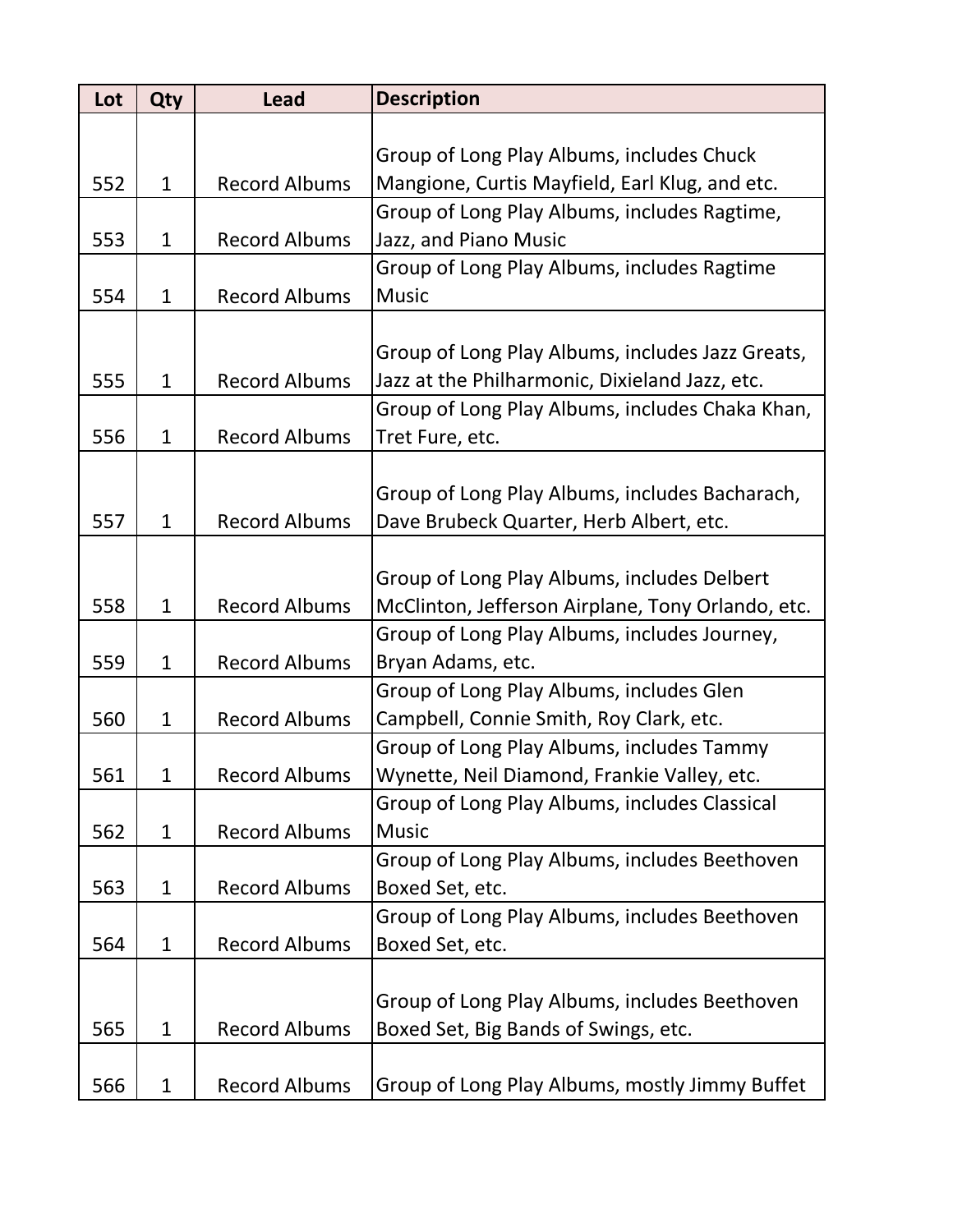| Lot | Qty          | <b>Lead</b>          | <b>Description</b>                                                                       |
|-----|--------------|----------------------|------------------------------------------------------------------------------------------|
|     |              |                      |                                                                                          |
|     |              |                      | Group of Long Play Albums, includes Chuck                                                |
| 552 | $\mathbf{1}$ | <b>Record Albums</b> | Mangione, Curtis Mayfield, Earl Klug, and etc.                                           |
|     |              |                      | Group of Long Play Albums, includes Ragtime,                                             |
| 553 | $\mathbf{1}$ | <b>Record Albums</b> | Jazz, and Piano Music                                                                    |
|     |              |                      | Group of Long Play Albums, includes Ragtime                                              |
| 554 | $\mathbf{1}$ | <b>Record Albums</b> | <b>Music</b>                                                                             |
|     |              |                      |                                                                                          |
|     |              |                      | Group of Long Play Albums, includes Jazz Greats,                                         |
| 555 | $\mathbf{1}$ | <b>Record Albums</b> | Jazz at the Philharmonic, Dixieland Jazz, etc.                                           |
|     |              |                      | Group of Long Play Albums, includes Chaka Khan,                                          |
| 556 | $\mathbf{1}$ | <b>Record Albums</b> | Tret Fure, etc.                                                                          |
|     |              |                      |                                                                                          |
|     |              |                      | Group of Long Play Albums, includes Bacharach,                                           |
| 557 | $\mathbf{1}$ | <b>Record Albums</b> | Dave Brubeck Quarter, Herb Albert, etc.                                                  |
|     |              |                      |                                                                                          |
|     |              |                      | Group of Long Play Albums, includes Delbert                                              |
| 558 | $\mathbf{1}$ | <b>Record Albums</b> | McClinton, Jefferson Airplane, Tony Orlando, etc.                                        |
|     |              |                      | Group of Long Play Albums, includes Journey,                                             |
| 559 | $\mathbf{1}$ | <b>Record Albums</b> | Bryan Adams, etc.                                                                        |
| 560 | $\mathbf{1}$ | <b>Record Albums</b> | Group of Long Play Albums, includes Glen                                                 |
|     |              |                      | Campbell, Connie Smith, Roy Clark, etc.                                                  |
| 561 | 1            | <b>Record Albums</b> | Group of Long Play Albums, includes Tammy<br>Wynette, Neil Diamond, Frankie Valley, etc. |
|     |              |                      | Group of Long Play Albums, includes Classical                                            |
| 562 | $\mathbf{1}$ | <b>Record Albums</b> | <b>Music</b>                                                                             |
|     |              |                      | Group of Long Play Albums, includes Beethoven                                            |
| 563 | $\mathbf{1}$ | <b>Record Albums</b> | Boxed Set, etc.                                                                          |
|     |              |                      | Group of Long Play Albums, includes Beethoven                                            |
| 564 | $\mathbf{1}$ | <b>Record Albums</b> | Boxed Set, etc.                                                                          |
|     |              |                      |                                                                                          |
|     |              |                      | Group of Long Play Albums, includes Beethoven                                            |
| 565 | $\mathbf{1}$ | <b>Record Albums</b> | Boxed Set, Big Bands of Swings, etc.                                                     |
|     |              |                      |                                                                                          |
| 566 | $\mathbf 1$  | <b>Record Albums</b> | Group of Long Play Albums, mostly Jimmy Buffet                                           |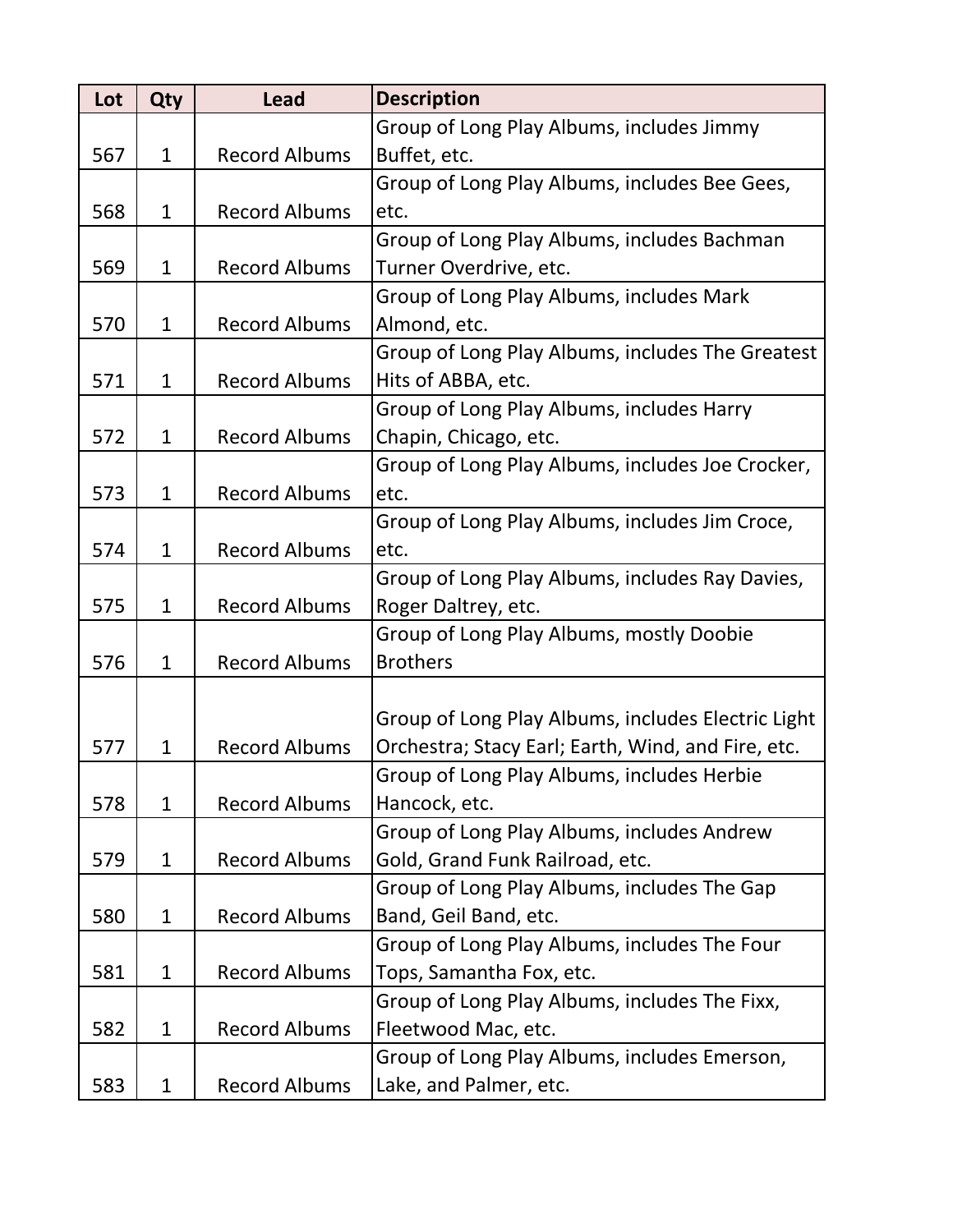| Lot | Qty          | <b>Lead</b>          | <b>Description</b>                                 |
|-----|--------------|----------------------|----------------------------------------------------|
|     |              |                      | Group of Long Play Albums, includes Jimmy          |
| 567 | $\mathbf{1}$ | <b>Record Albums</b> | Buffet, etc.                                       |
|     |              |                      | Group of Long Play Albums, includes Bee Gees,      |
| 568 | $\mathbf{1}$ | <b>Record Albums</b> | etc.                                               |
|     |              |                      | Group of Long Play Albums, includes Bachman        |
| 569 | $\mathbf 1$  | <b>Record Albums</b> | Turner Overdrive, etc.                             |
|     |              |                      | Group of Long Play Albums, includes Mark           |
| 570 | $\mathbf{1}$ | <b>Record Albums</b> | Almond, etc.                                       |
|     |              |                      | Group of Long Play Albums, includes The Greatest   |
| 571 | $\mathbf{1}$ | <b>Record Albums</b> | Hits of ABBA, etc.                                 |
|     |              |                      | Group of Long Play Albums, includes Harry          |
| 572 | $\mathbf{1}$ | <b>Record Albums</b> | Chapin, Chicago, etc.                              |
|     |              |                      | Group of Long Play Albums, includes Joe Crocker,   |
| 573 | $\mathbf{1}$ | <b>Record Albums</b> | etc.                                               |
|     |              |                      | Group of Long Play Albums, includes Jim Croce,     |
| 574 | $\mathbf{1}$ | <b>Record Albums</b> | etc.                                               |
|     |              |                      | Group of Long Play Albums, includes Ray Davies,    |
| 575 | $\mathbf{1}$ | <b>Record Albums</b> | Roger Daltrey, etc.                                |
|     |              |                      | Group of Long Play Albums, mostly Doobie           |
| 576 | $\mathbf{1}$ | <b>Record Albums</b> | <b>Brothers</b>                                    |
|     |              |                      |                                                    |
|     |              |                      | Group of Long Play Albums, includes Electric Light |
| 577 | $\mathbf{1}$ | <b>Record Albums</b> | Orchestra; Stacy Earl; Earth, Wind, and Fire, etc. |
|     |              |                      | Group of Long Play Albums, includes Herbie         |
| 578 | $\mathbf{1}$ | <b>Record Albums</b> | Hancock, etc.                                      |
|     |              |                      | Group of Long Play Albums, includes Andrew         |
| 579 | $\mathbf{1}$ | <b>Record Albums</b> | Gold, Grand Funk Railroad, etc.                    |
|     |              |                      | Group of Long Play Albums, includes The Gap        |
| 580 | $\mathbf{1}$ | <b>Record Albums</b> | Band, Geil Band, etc.                              |
|     |              |                      | Group of Long Play Albums, includes The Four       |
| 581 | $\mathbf{1}$ | <b>Record Albums</b> | Tops, Samantha Fox, etc.                           |
|     |              |                      | Group of Long Play Albums, includes The Fixx,      |
| 582 | $\mathbf{1}$ | <b>Record Albums</b> | Fleetwood Mac, etc.                                |
|     |              |                      | Group of Long Play Albums, includes Emerson,       |
| 583 | $\mathbf{1}$ | <b>Record Albums</b> | Lake, and Palmer, etc.                             |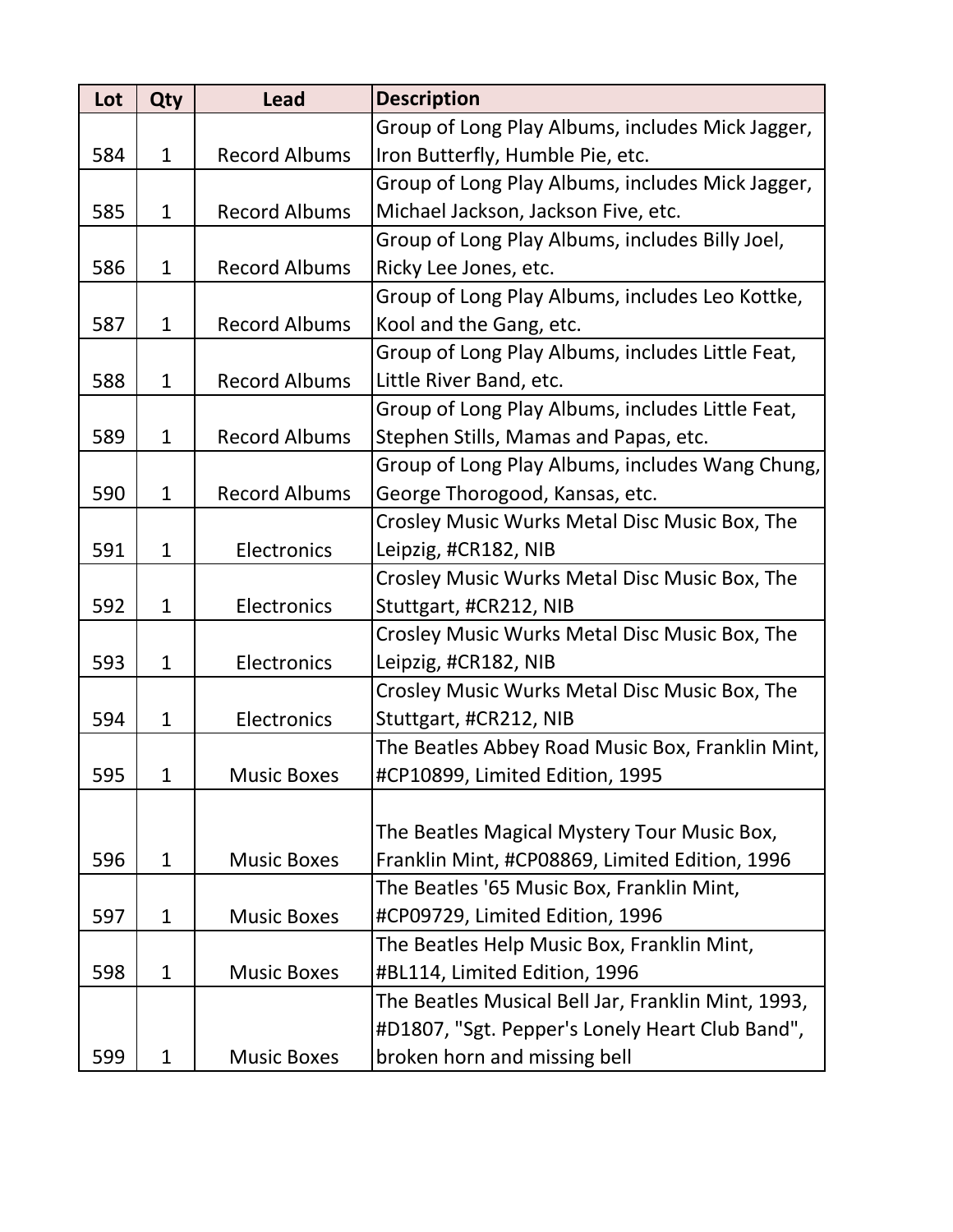| Lot | Qty          | <b>Lead</b>          | <b>Description</b>                                 |
|-----|--------------|----------------------|----------------------------------------------------|
|     |              |                      | Group of Long Play Albums, includes Mick Jagger,   |
| 584 | $\mathbf{1}$ | <b>Record Albums</b> | Iron Butterfly, Humble Pie, etc.                   |
|     |              |                      | Group of Long Play Albums, includes Mick Jagger,   |
| 585 | $\mathbf{1}$ | <b>Record Albums</b> | Michael Jackson, Jackson Five, etc.                |
|     |              |                      | Group of Long Play Albums, includes Billy Joel,    |
| 586 | $\mathbf{1}$ | <b>Record Albums</b> | Ricky Lee Jones, etc.                              |
|     |              |                      | Group of Long Play Albums, includes Leo Kottke,    |
| 587 | $\mathbf{1}$ | <b>Record Albums</b> | Kool and the Gang, etc.                            |
|     |              |                      | Group of Long Play Albums, includes Little Feat,   |
| 588 | $\mathbf{1}$ | <b>Record Albums</b> | Little River Band, etc.                            |
|     |              |                      | Group of Long Play Albums, includes Little Feat,   |
| 589 | $\mathbf{1}$ | <b>Record Albums</b> | Stephen Stills, Mamas and Papas, etc.              |
|     |              |                      | Group of Long Play Albums, includes Wang Chung,    |
| 590 | $\mathbf{1}$ | <b>Record Albums</b> | George Thorogood, Kansas, etc.                     |
|     |              |                      | Crosley Music Wurks Metal Disc Music Box, The      |
| 591 | $\mathbf{1}$ | Electronics          | Leipzig, #CR182, NIB                               |
|     |              |                      | Crosley Music Wurks Metal Disc Music Box, The      |
| 592 | $\mathbf{1}$ | Electronics          | Stuttgart, #CR212, NIB                             |
|     |              |                      | Crosley Music Wurks Metal Disc Music Box, The      |
| 593 | $\mathbf{1}$ | Electronics          | Leipzig, #CR182, NIB                               |
|     |              |                      | Crosley Music Wurks Metal Disc Music Box, The      |
| 594 | $\mathbf{1}$ | Electronics          | Stuttgart, #CR212, NIB                             |
|     |              |                      | The Beatles Abbey Road Music Box, Franklin Mint,   |
| 595 | 1            | <b>Music Boxes</b>   | #CP10899, Limited Edition, 1995                    |
|     |              |                      |                                                    |
|     |              |                      | The Beatles Magical Mystery Tour Music Box,        |
| 596 | $\mathbf{1}$ | <b>Music Boxes</b>   | Franklin Mint, #CP08869, Limited Edition, 1996     |
|     |              |                      | The Beatles '65 Music Box, Franklin Mint,          |
| 597 | $\mathbf{1}$ | <b>Music Boxes</b>   | #CP09729, Limited Edition, 1996                    |
|     |              |                      | The Beatles Help Music Box, Franklin Mint,         |
| 598 | $\mathbf{1}$ | <b>Music Boxes</b>   | #BL114, Limited Edition, 1996                      |
|     |              |                      | The Beatles Musical Bell Jar, Franklin Mint, 1993, |
|     |              |                      | #D1807, "Sgt. Pepper's Lonely Heart Club Band",    |
| 599 | $\mathbf{1}$ | <b>Music Boxes</b>   | broken horn and missing bell                       |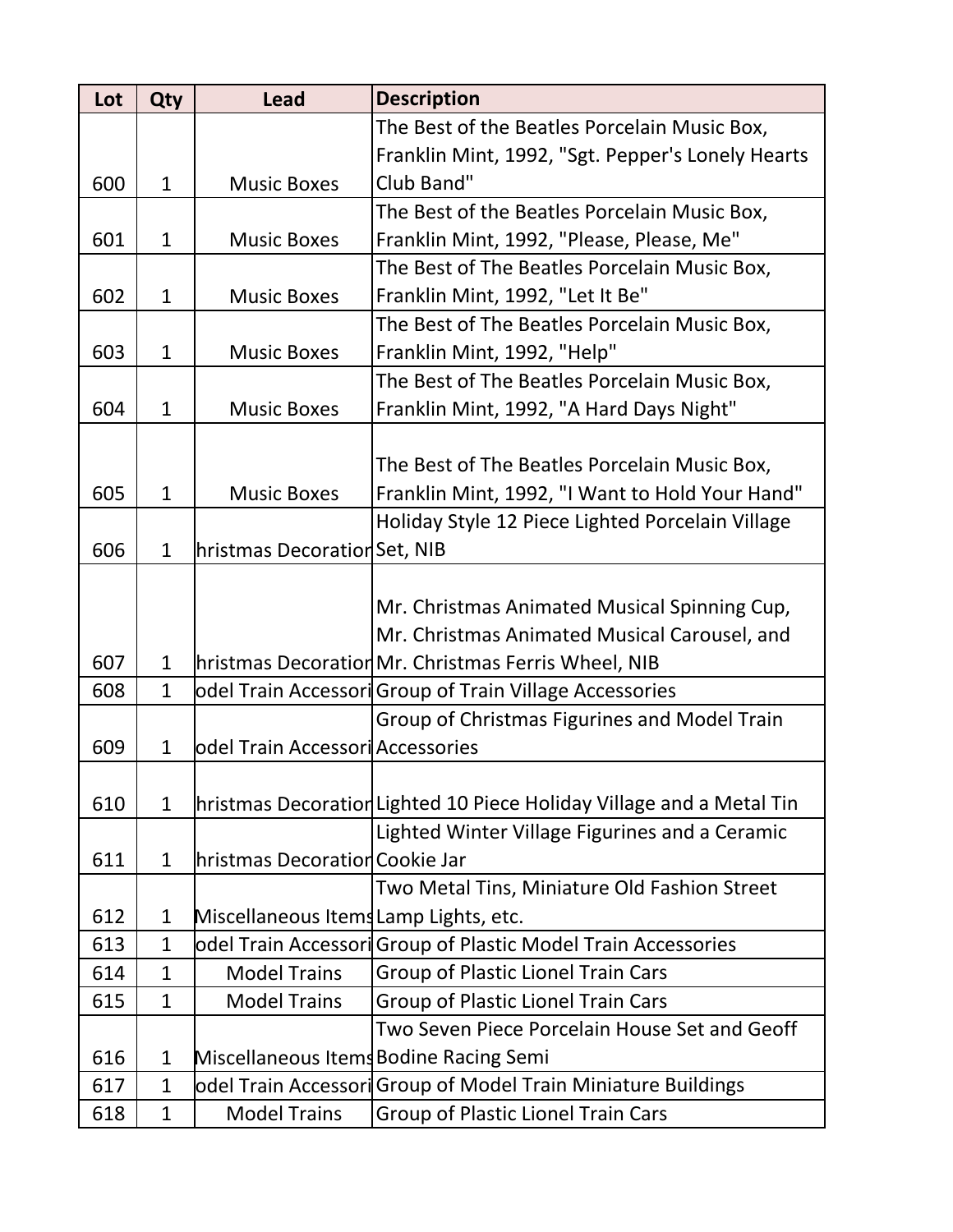| Lot | Qty          | <b>Lead</b>                           | <b>Description</b>                                                   |
|-----|--------------|---------------------------------------|----------------------------------------------------------------------|
|     |              |                                       | The Best of the Beatles Porcelain Music Box,                         |
|     |              |                                       | Franklin Mint, 1992, "Sgt. Pepper's Lonely Hearts                    |
| 600 | $\mathbf{1}$ | <b>Music Boxes</b>                    | Club Band"                                                           |
|     |              |                                       | The Best of the Beatles Porcelain Music Box,                         |
| 601 | $\mathbf{1}$ | <b>Music Boxes</b>                    | Franklin Mint, 1992, "Please, Please, Me"                            |
|     |              |                                       | The Best of The Beatles Porcelain Music Box,                         |
| 602 | $\mathbf{1}$ | <b>Music Boxes</b>                    | Franklin Mint, 1992, "Let It Be"                                     |
|     |              |                                       | The Best of The Beatles Porcelain Music Box,                         |
| 603 | $\mathbf{1}$ | <b>Music Boxes</b>                    | Franklin Mint, 1992, "Help"                                          |
|     |              |                                       | The Best of The Beatles Porcelain Music Box,                         |
| 604 | $\mathbf{1}$ | <b>Music Boxes</b>                    | Franklin Mint, 1992, "A Hard Days Night"                             |
|     |              |                                       |                                                                      |
|     |              |                                       | The Best of The Beatles Porcelain Music Box,                         |
| 605 | $\mathbf{1}$ | <b>Music Boxes</b>                    | Franklin Mint, 1992, "I Want to Hold Your Hand"                      |
|     |              |                                       | Holiday Style 12 Piece Lighted Porcelain Village                     |
| 606 | $\mathbf{1}$ | hristmas Decoration Set, NIB          |                                                                      |
|     |              |                                       |                                                                      |
|     |              |                                       | Mr. Christmas Animated Musical Spinning Cup,                         |
|     |              |                                       | Mr. Christmas Animated Musical Carousel, and                         |
| 607 | $\mathbf{1}$ |                                       | hristmas DecorationMr. Christmas Ferris Wheel, NIB                   |
| 608 | $\mathbf{1}$ |                                       | odel Train Accessori Group of Train Village Accessories              |
|     |              |                                       | Group of Christmas Figurines and Model Train                         |
| 609 | $\mathbf{1}$ | odel Train Accessori Accessories      |                                                                      |
|     |              |                                       |                                                                      |
| 610 | $\mathbf{1}$ |                                       | hristmas Decoration Lighted 10 Piece Holiday Village and a Metal Tin |
|     |              |                                       | Lighted Winter Village Figurines and a Ceramic                       |
| 611 | $\mathbf{1}$ | hristmas Decoration Cookie Jar        |                                                                      |
|     |              |                                       | Two Metal Tins, Miniature Old Fashion Street                         |
| 612 | $\mathbf{1}$ | Miscellaneous Items Lamp Lights, etc. |                                                                      |
| 613 | $\mathbf{1}$ |                                       | odel Train Accessori Group of Plastic Model Train Accessories        |
| 614 | $\mathbf{1}$ | <b>Model Trains</b>                   | <b>Group of Plastic Lionel Train Cars</b>                            |
| 615 | $\mathbf{1}$ | <b>Model Trains</b>                   | Group of Plastic Lionel Train Cars                                   |
|     |              |                                       | Two Seven Piece Porcelain House Set and Geoff                        |
| 616 | $\mathbf{1}$ |                                       | Miscellaneous Items Bodine Racing Semi                               |
| 617 | $\mathbf{1}$ |                                       | odel Train Accessori Group of Model Train Miniature Buildings        |
| 618 | $\mathbf{1}$ | <b>Model Trains</b>                   | Group of Plastic Lionel Train Cars                                   |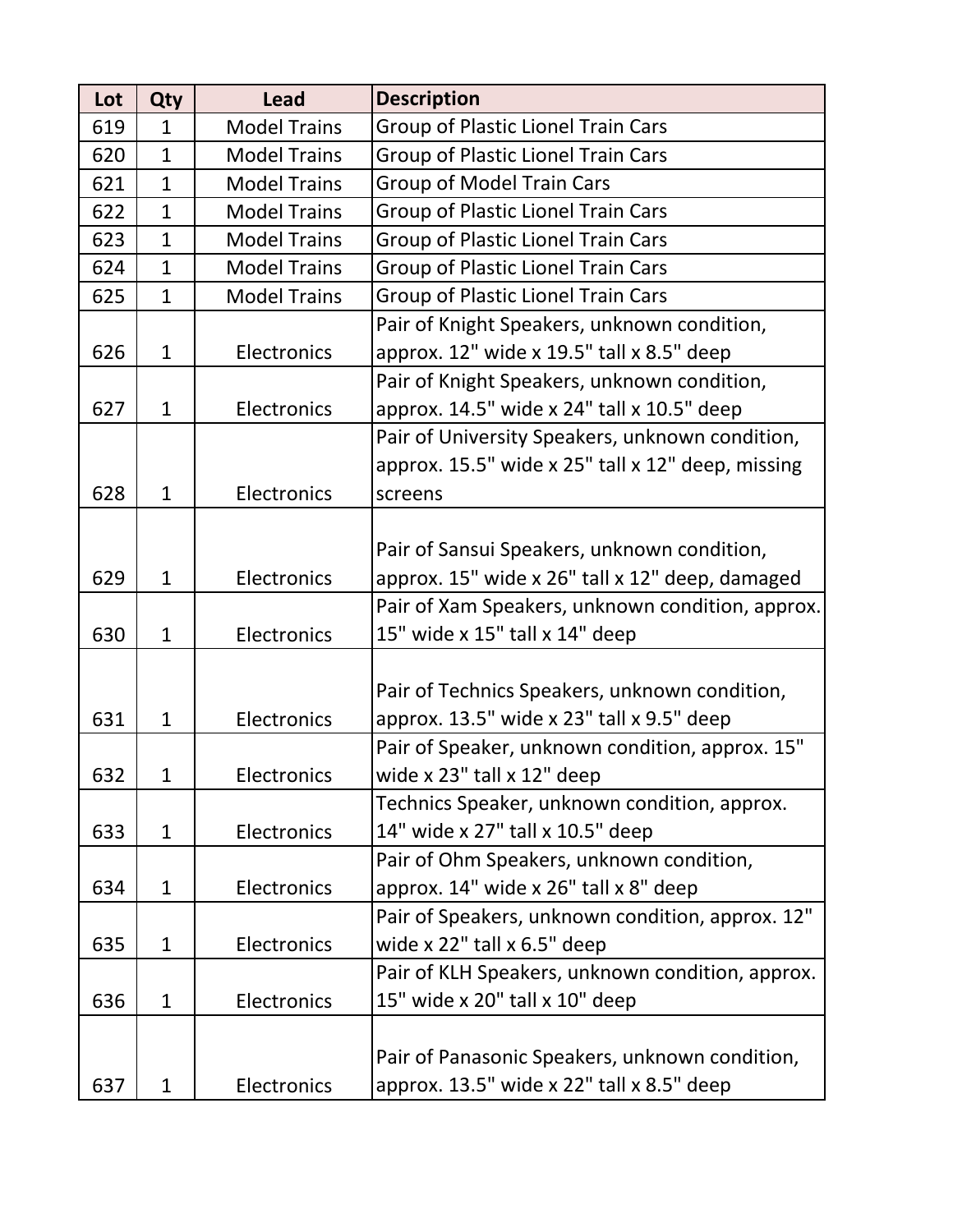| Lot | Qty          | <b>Lead</b>         | <b>Description</b>                                |
|-----|--------------|---------------------|---------------------------------------------------|
| 619 | $\mathbf{1}$ | <b>Model Trains</b> | Group of Plastic Lionel Train Cars                |
| 620 | $\mathbf{1}$ | <b>Model Trains</b> | Group of Plastic Lionel Train Cars                |
| 621 | $\mathbf{1}$ | <b>Model Trains</b> | <b>Group of Model Train Cars</b>                  |
| 622 | $\mathbf{1}$ | <b>Model Trains</b> | <b>Group of Plastic Lionel Train Cars</b>         |
| 623 | $\mathbf{1}$ | <b>Model Trains</b> | <b>Group of Plastic Lionel Train Cars</b>         |
| 624 | $\mathbf{1}$ | <b>Model Trains</b> | <b>Group of Plastic Lionel Train Cars</b>         |
| 625 | $\mathbf{1}$ | <b>Model Trains</b> | Group of Plastic Lionel Train Cars                |
|     |              |                     | Pair of Knight Speakers, unknown condition,       |
| 626 | $\mathbf{1}$ | Electronics         | approx. 12" wide x 19.5" tall x 8.5" deep         |
|     |              |                     | Pair of Knight Speakers, unknown condition,       |
| 627 | $\mathbf{1}$ | Electronics         | approx. 14.5" wide x 24" tall x 10.5" deep        |
|     |              |                     | Pair of University Speakers, unknown condition,   |
|     |              |                     | approx. 15.5" wide x 25" tall x 12" deep, missing |
| 628 | $\mathbf{1}$ | Electronics         | screens                                           |
|     |              |                     |                                                   |
|     |              |                     | Pair of Sansui Speakers, unknown condition,       |
| 629 | $\mathbf{1}$ | Electronics         | approx. 15" wide x 26" tall x 12" deep, damaged   |
|     |              |                     | Pair of Xam Speakers, unknown condition, approx.  |
| 630 | $\mathbf{1}$ | Electronics         | 15" wide x 15" tall x 14" deep                    |
|     |              |                     |                                                   |
|     |              |                     | Pair of Technics Speakers, unknown condition,     |
| 631 | $\mathbf{1}$ | Electronics         | approx. 13.5" wide x 23" tall x 9.5" deep         |
|     |              |                     | Pair of Speaker, unknown condition, approx. 15"   |
| 632 | 1            | Electronics         | wide x 23" tall x 12" deep                        |
|     |              |                     | Technics Speaker, unknown condition, approx.      |
| 633 | $\mathbf{1}$ | Electronics         | 14" wide x 27" tall x 10.5" deep                  |
|     |              |                     | Pair of Ohm Speakers, unknown condition,          |
| 634 | $\mathbf{1}$ | Electronics         | approx. 14" wide x 26" tall x 8" deep             |
|     |              |                     | Pair of Speakers, unknown condition, approx. 12"  |
| 635 | $\mathbf{1}$ | Electronics         | wide $x$ 22" tall $x$ 6.5" deep                   |
|     |              |                     | Pair of KLH Speakers, unknown condition, approx.  |
| 636 | $\mathbf{1}$ | Electronics         | 15" wide x 20" tall x 10" deep                    |
|     |              |                     |                                                   |
|     |              |                     | Pair of Panasonic Speakers, unknown condition,    |
| 637 | $\mathbf{1}$ | Electronics         | approx. 13.5" wide x 22" tall x 8.5" deep         |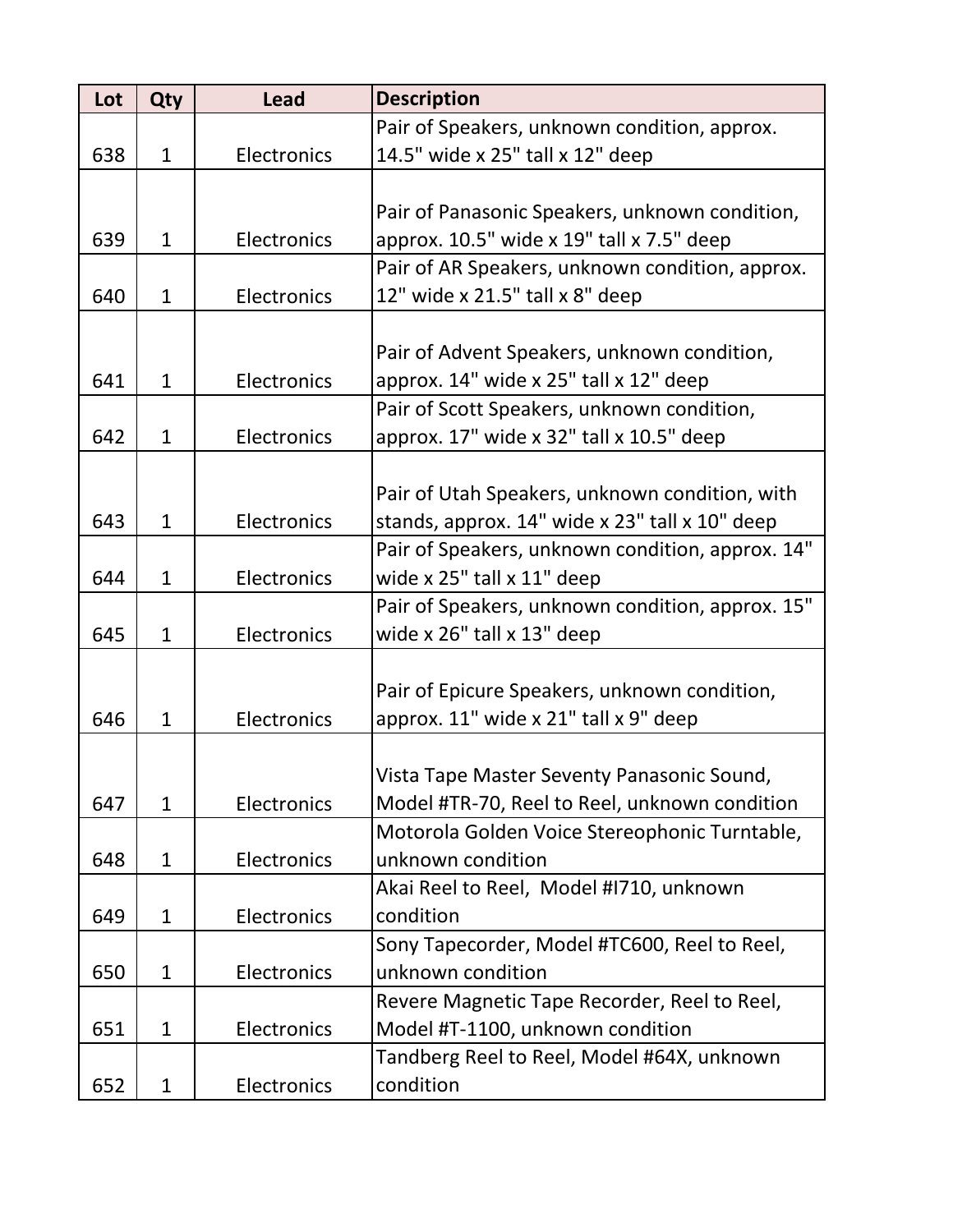| Lot | Qty          | <b>Lead</b> | <b>Description</b>                               |
|-----|--------------|-------------|--------------------------------------------------|
|     |              |             | Pair of Speakers, unknown condition, approx.     |
| 638 | $\mathbf{1}$ | Electronics | 14.5" wide x 25" tall x 12" deep                 |
|     |              |             |                                                  |
|     |              |             | Pair of Panasonic Speakers, unknown condition,   |
| 639 | $\mathbf{1}$ | Electronics | approx. 10.5" wide x 19" tall x 7.5" deep        |
|     |              |             | Pair of AR Speakers, unknown condition, approx.  |
| 640 | $\mathbf{1}$ | Electronics | 12" wide x 21.5" tall x 8" deep                  |
|     |              |             |                                                  |
|     |              |             | Pair of Advent Speakers, unknown condition,      |
| 641 | $\mathbf{1}$ | Electronics | approx. 14" wide x 25" tall x 12" deep           |
|     |              |             | Pair of Scott Speakers, unknown condition,       |
| 642 | $\mathbf{1}$ | Electronics | approx. 17" wide x 32" tall x 10.5" deep         |
|     |              |             |                                                  |
|     |              |             | Pair of Utah Speakers, unknown condition, with   |
| 643 | $\mathbf{1}$ | Electronics | stands, approx. 14" wide x 23" tall x 10" deep   |
|     |              |             | Pair of Speakers, unknown condition, approx. 14" |
| 644 | $\mathbf{1}$ | Electronics | wide $x$ 25" tall $x$ 11" deep                   |
|     |              |             | Pair of Speakers, unknown condition, approx. 15" |
| 645 | $\mathbf{1}$ | Electronics | wide x 26" tall x 13" deep                       |
|     |              |             |                                                  |
|     |              |             | Pair of Epicure Speakers, unknown condition,     |
| 646 | $\mathbf{1}$ | Electronics | approx. 11" wide x 21" tall x 9" deep            |
|     |              |             |                                                  |
|     |              |             | Vista Tape Master Seventy Panasonic Sound,       |
| 647 | $\mathbf{1}$ | Electronics | Model #TR-70, Reel to Reel, unknown condition    |
|     |              |             | Motorola Golden Voice Stereophonic Turntable,    |
| 648 | $\mathbf{1}$ | Electronics | unknown condition                                |
|     |              |             | Akai Reel to Reel, Model #1710, unknown          |
| 649 | $\mathbf 1$  | Electronics | condition                                        |
|     |              |             | Sony Tapecorder, Model #TC600, Reel to Reel,     |
| 650 | $\mathbf{1}$ | Electronics | unknown condition                                |
|     |              |             | Revere Magnetic Tape Recorder, Reel to Reel,     |
| 651 | $\mathbf{1}$ | Electronics | Model #T-1100, unknown condition                 |
|     |              |             | Tandberg Reel to Reel, Model #64X, unknown       |
| 652 | $\mathbf{1}$ | Electronics | condition                                        |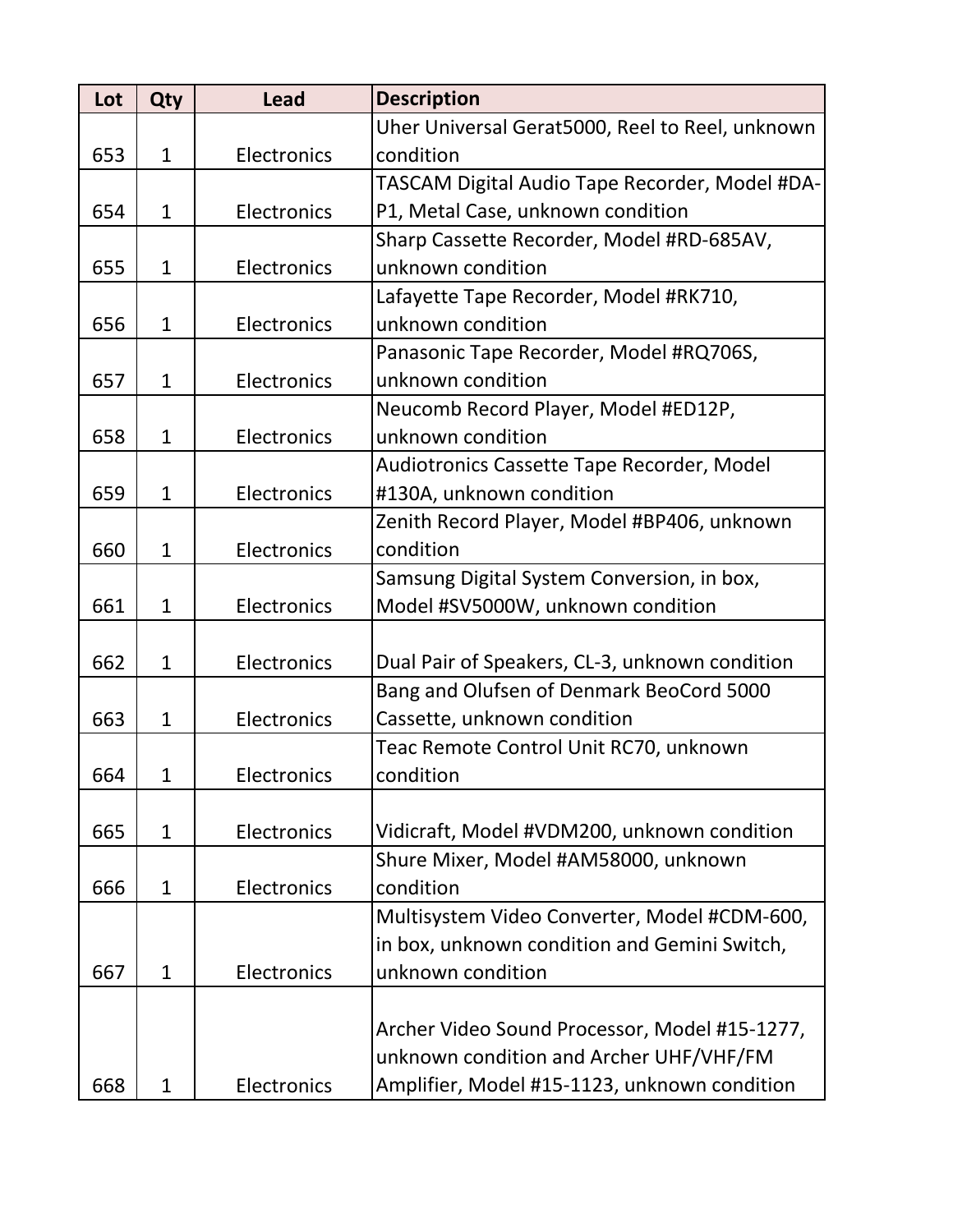| Lot | Qty          | <b>Lead</b> | <b>Description</b>                              |
|-----|--------------|-------------|-------------------------------------------------|
|     |              |             | Uher Universal Gerat5000, Reel to Reel, unknown |
| 653 | $\mathbf{1}$ | Electronics | condition                                       |
|     |              |             | TASCAM Digital Audio Tape Recorder, Model #DA-  |
| 654 | $\mathbf{1}$ | Electronics | P1, Metal Case, unknown condition               |
|     |              |             | Sharp Cassette Recorder, Model #RD-685AV,       |
| 655 | $\mathbf{1}$ | Electronics | unknown condition                               |
|     |              |             | Lafayette Tape Recorder, Model #RK710,          |
| 656 | $\mathbf{1}$ | Electronics | unknown condition                               |
|     |              |             | Panasonic Tape Recorder, Model #RQ706S,         |
| 657 | $\mathbf{1}$ | Electronics | unknown condition                               |
|     |              |             | Neucomb Record Player, Model #ED12P,            |
| 658 | $\mathbf{1}$ | Electronics | unknown condition                               |
|     |              |             | Audiotronics Cassette Tape Recorder, Model      |
| 659 | $\mathbf{1}$ | Electronics | #130A, unknown condition                        |
|     |              |             | Zenith Record Player, Model #BP406, unknown     |
| 660 | $\mathbf{1}$ | Electronics | condition                                       |
|     |              |             | Samsung Digital System Conversion, in box,      |
| 661 | $\mathbf{1}$ | Electronics | Model #SV5000W, unknown condition               |
|     |              |             |                                                 |
| 662 | $\mathbf{1}$ | Electronics | Dual Pair of Speakers, CL-3, unknown condition  |
|     |              |             | Bang and Olufsen of Denmark BeoCord 5000        |
| 663 | $\mathbf{1}$ | Electronics | Cassette, unknown condition                     |
|     |              |             | Teac Remote Control Unit RC70, unknown          |
| 664 | 1            | Electronics | condition                                       |
|     |              |             |                                                 |
| 665 | $\mathbf{1}$ | Electronics | Vidicraft, Model #VDM200, unknown condition     |
|     |              |             | Shure Mixer, Model #AM58000, unknown            |
| 666 | $\mathbf{1}$ | Electronics | condition                                       |
|     |              |             | Multisystem Video Converter, Model #CDM-600,    |
|     |              |             | in box, unknown condition and Gemini Switch,    |
| 667 | $\mathbf{1}$ | Electronics | unknown condition                               |
|     |              |             |                                                 |
|     |              |             | Archer Video Sound Processor, Model #15-1277,   |
|     |              |             | unknown condition and Archer UHF/VHF/FM         |
| 668 | 1            | Electronics | Amplifier, Model #15-1123, unknown condition    |